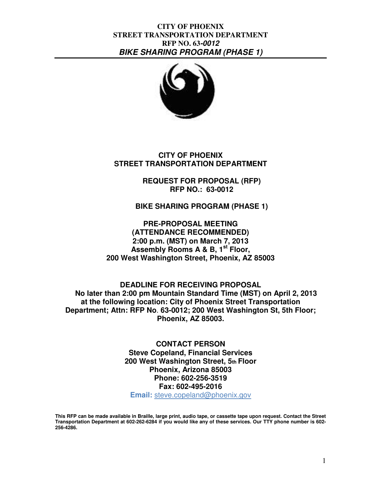

**CITY OF PHOENIX STREET TRANSPORTATION DEPARTMENT** 

> **REQUEST FOR PROPOSAL (RFP) RFP NO.: 63-0012**

**BIKE SHARING PROGRAM (PHASE 1)** 

**PRE-PROPOSAL MEETING (ATTENDANCE RECOMMENDED) 2:00 p.m. (MST) on March 7, 2013 Assembly Rooms A & B, 1st Floor, 200 West Washington Street, Phoenix, AZ 85003** 

**DEADLINE FOR RECEIVING PROPOSAL No later than 2:00 pm Mountain Standard Time (MST) on April 2, 2013 at the following location: City of Phoenix Street Transportation Department; Attn: RFP No**. **63-0012; 200 West Washington St, 5th Floor; Phoenix, AZ 85003.** 

> **CONTACT PERSON Steve Copeland, Financial Services 200 West Washington Street, 5th Floor Phoenix, Arizona 85003 Phone: 602-256-3519 Fax: 602-495-2016 Email:** steve.copeland@phoenix.gov

**This RFP can be made available in Braille, large print, audio tape, or cassette tape upon request. Contact the Street Transportation Department at 602-262-6284 if you would like any of these services. Our TTY phone number is 602- 256-4286.**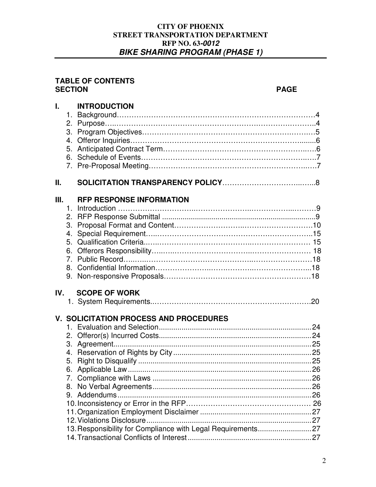#### **TABLE OF CONTENTS SECTION PAGE**

| 4.<br>5. | <b>INTRODUCTION</b>             |                                                                                                                                      |
|----------|---------------------------------|--------------------------------------------------------------------------------------------------------------------------------------|
|          |                                 |                                                                                                                                      |
| 4.       | <b>RFP RESPONSE INFORMATION</b> |                                                                                                                                      |
|          |                                 |                                                                                                                                      |
| 8.       |                                 |                                                                                                                                      |
|          | III.<br>IV.                     | <b>SCOPE OF WORK</b><br><b>V. SOLICITATION PROCESS AND PROCEDURES</b><br>13. Responsibility for Compliance with Legal Requirements27 |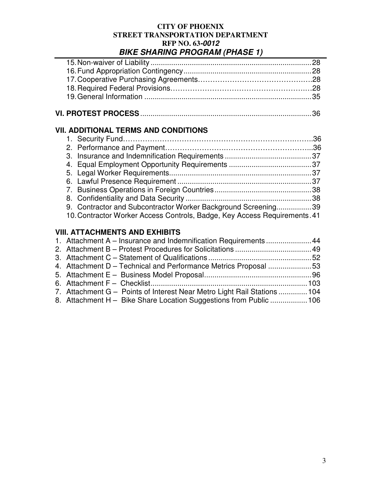| <b>VII. ADDITIONAL TERMS AND CONDITIONS</b>                               |
|---------------------------------------------------------------------------|
|                                                                           |
|                                                                           |
|                                                                           |
|                                                                           |
|                                                                           |
|                                                                           |
|                                                                           |
|                                                                           |
|                                                                           |
| 9. Contractor and Subcontractor Worker Background Screening39             |
| 10. Contractor Worker Access Controls, Badge, Key Access Requirements. 41 |
|                                                                           |
| <b>VIII. ATTACHMENTS AND EXHIBITS</b>                                     |
|                                                                           |

| 1. Attachment A – Insurance and Indemnification Requirements  44         |  |
|--------------------------------------------------------------------------|--|
|                                                                          |  |
|                                                                          |  |
| 4. Attachment D – Technical and Performance Metrics Proposal 53          |  |
|                                                                          |  |
|                                                                          |  |
| 7. Attachment G – Points of Interest Near Metro Light Rail Stations  104 |  |
| 8. Attachment H - Bike Share Location Suggestions from Public 106        |  |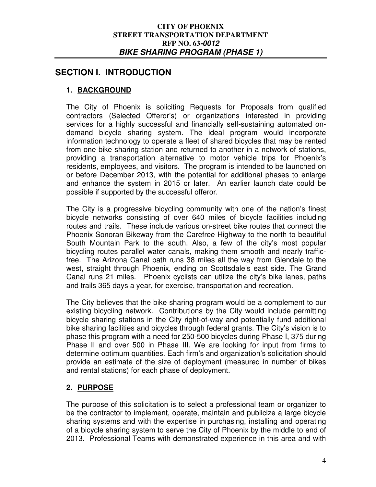# **SECTION I. INTRODUCTION**

# **1. BACKGROUND**

The City of Phoenix is soliciting Requests for Proposals from qualified contractors (Selected Offeror's) or organizations interested in providing services for a highly successful and financially self-sustaining automated ondemand bicycle sharing system. The ideal program would incorporate information technology to operate a fleet of shared bicycles that may be rented from one bike sharing station and returned to another in a network of stations, providing a transportation alternative to motor vehicle trips for Phoenix's residents, employees, and visitors. The program is intended to be launched on or before December 2013, with the potential for additional phases to enlarge and enhance the system in 2015 or later. An earlier launch date could be possible if supported by the successful offeror.

The City is a progressive bicycling community with one of the nation's finest bicycle networks consisting of over 640 miles of bicycle facilities including routes and trails. These include various on-street bike routes that connect the Phoenix Sonoran Bikeway from the Carefree Highway to the north to beautiful South Mountain Park to the south. Also, a few of the city's most popular bicycling routes parallel water canals, making them smooth and nearly trafficfree. The Arizona Canal path runs 38 miles all the way from Glendale to the west, straight through Phoenix, ending on Scottsdale's east side. The Grand Canal runs 21 miles. Phoenix cyclists can utilize the city's bike lanes, paths and trails 365 days a year, for exercise, transportation and recreation.

The City believes that the bike sharing program would be a complement to our existing bicycling network. Contributions by the City would include permitting bicycle sharing stations in the City right-of-way and potentially fund additional bike sharing facilities and bicycles through federal grants. The City's vision is to phase this program with a need for 250-500 bicycles during Phase I, 375 during Phase II and over 500 in Phase III. We are looking for input from firms to determine optimum quantities. Each firm's and organization's solicitation should provide an estimate of the size of deployment (measured in number of bikes and rental stations) for each phase of deployment.

## **2. PURPOSE**

The purpose of this solicitation is to select a professional team or organizer to be the contractor to implement, operate, maintain and publicize a large bicycle sharing systems and with the expertise in purchasing, installing and operating of a bicycle sharing system to serve the City of Phoenix by the middle to end of 2013. Professional Teams with demonstrated experience in this area and with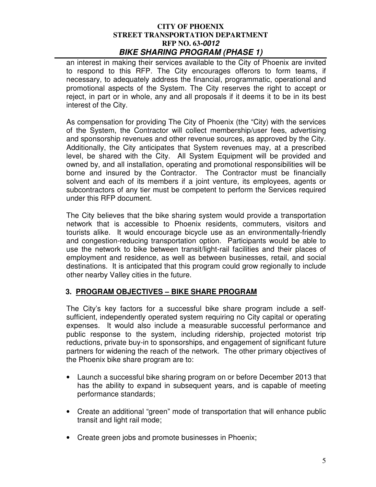an interest in making their services available to the City of Phoenix are invited to respond to this RFP. The City encourages offerors to form teams, if necessary, to adequately address the financial, programmatic, operational and promotional aspects of the System. The City reserves the right to accept or reject, in part or in whole, any and all proposals if it deems it to be in its best interest of the City.

As compensation for providing The City of Phoenix (the "City) with the services of the System, the Contractor will collect membership/user fees, advertising and sponsorship revenues and other revenue sources, as approved by the City. Additionally, the City anticipates that System revenues may, at a prescribed level, be shared with the City. All System Equipment will be provided and owned by, and all installation, operating and promotional responsibilities will be borne and insured by the Contractor. The Contractor must be financially solvent and each of its members if a joint venture, its employees, agents or subcontractors of any tier must be competent to perform the Services required under this RFP document.

The City believes that the bike sharing system would provide a transportation network that is accessible to Phoenix residents, commuters, visitors and tourists alike. It would encourage bicycle use as an environmentally-friendly and congestion-reducing transportation option. Participants would be able to use the network to bike between transit/light-rail facilities and their places of employment and residence, as well as between businesses, retail, and social destinations. It is anticipated that this program could grow regionally to include other nearby Valley cities in the future.

# **3. PROGRAM OBJECTIVES – BIKE SHARE PROGRAM**

The City's key factors for a successful bike share program include a selfsufficient, independently operated system requiring no City capital or operating expenses. It would also include a measurable successful performance and public response to the system, including ridership, projected motorist trip reductions, private buy-in to sponsorships, and engagement of significant future partners for widening the reach of the network. The other primary objectives of the Phoenix bike share program are to:

- Launch a successful bike sharing program on or before December 2013 that has the ability to expand in subsequent years, and is capable of meeting performance standards;
- Create an additional "green" mode of transportation that will enhance public transit and light rail mode;
- Create green jobs and promote businesses in Phoenix;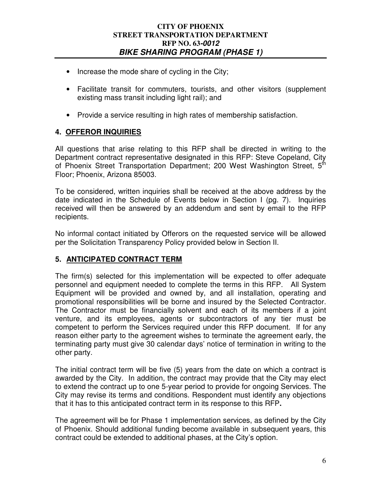- Increase the mode share of cycling in the City;
- Facilitate transit for commuters, tourists, and other visitors (supplement existing mass transit including light rail); and
- Provide a service resulting in high rates of membership satisfaction.

## **4. OFFEROR INQUIRIES**

All questions that arise relating to this RFP shall be directed in writing to the Department contract representative designated in this RFP: Steve Copeland, City of Phoenix Street Transportation Department; 200 West Washington Street, 5<sup>th</sup> Floor; Phoenix, Arizona 85003.

To be considered, written inquiries shall be received at the above address by the date indicated in the Schedule of Events below in Section I (pg. 7). Inquiries received will then be answered by an addendum and sent by email to the RFP recipients.

No informal contact initiated by Offerors on the requested service will be allowed per the Solicitation Transparency Policy provided below in Section II.

## **5. ANTICIPATED CONTRACT TERM**

The firm(s) selected for this implementation will be expected to offer adequate personnel and equipment needed to complete the terms in this RFP. All System Equipment will be provided and owned by, and all installation, operating and promotional responsibilities will be borne and insured by the Selected Contractor. The Contractor must be financially solvent and each of its members if a joint venture, and its employees, agents or subcontractors of any tier must be competent to perform the Services required under this RFP document. If for any reason either party to the agreement wishes to terminate the agreement early, the terminating party must give 30 calendar days' notice of termination in writing to the other party.

The initial contract term will be five (5) years from the date on which a contract is awarded by the City. In addition, the contract may provide that the City may elect to extend the contract up to one 5-year period to provide for ongoing Services. The City may revise its terms and conditions. Respondent must identify any objections that it has to this anticipated contract term in its response to this RFP**.** 

The agreement will be for Phase 1 implementation services, as defined by the City of Phoenix. Should additional funding become available in subsequent years, this contract could be extended to additional phases, at the City's option.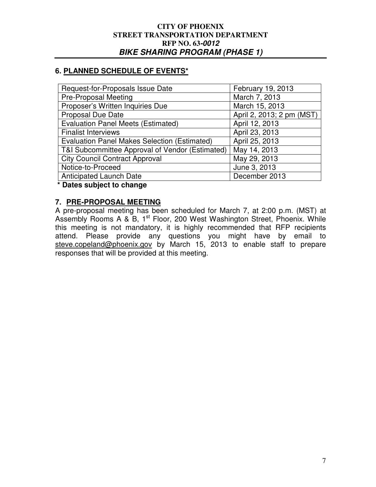## **6. PLANNED SCHEDULE OF EVENTS\***

| Request-for-Proposals Issue Date                    | February 19, 2013         |
|-----------------------------------------------------|---------------------------|
| <b>Pre-Proposal Meeting</b>                         | March 7, 2013             |
| Proposer's Written Inquiries Due                    | March 15, 2013            |
| <b>Proposal Due Date</b>                            | April 2, 2013; 2 pm (MST) |
| <b>Evaluation Panel Meets (Estimated)</b>           | April 12, 2013            |
| <b>Finalist Interviews</b>                          | April 23, 2013            |
| <b>Evaluation Panel Makes Selection (Estimated)</b> | April 25, 2013            |
| T&I Subcommittee Approval of Vendor (Estimated)     | May 14, 2013              |
| <b>City Council Contract Approval</b>               | May 29, 2013              |
| Notice-to-Proceed                                   | June 3, 2013              |
| <b>Anticipated Launch Date</b>                      | December 2013             |
| .                                                   |                           |

 **\* Dates subject to change** 

## **7. PRE-PROPOSAL MEETING**

A pre-proposal meeting has been scheduled for March 7, at 2:00 p.m. (MST) at Assembly Rooms A & B, 1<sup>st</sup> Floor, 200 West Washington Street, Phoenix. While this meeting is not mandatory, it is highly recommended that RFP recipients attend. Please provide any questions you might have by email to steve.copeland@phoenix.gov by March 15, 2013 to enable staff to prepare responses that will be provided at this meeting.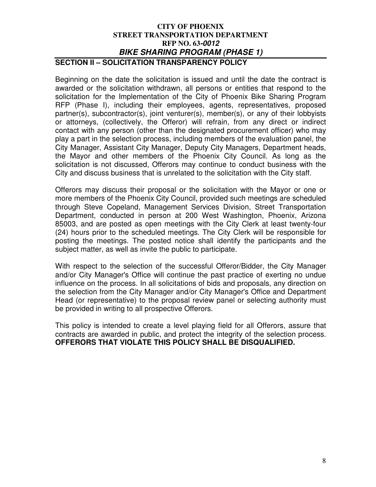#### **CITY OF PHOENIX STREET TRANSPORTATION DEPARTMENT RFP NO. 63-0012 BIKE SHARING PROGRAM (PHASE 1) SECTION II – SOLICITATION TRANSPARENCY POLICY**

Beginning on the date the solicitation is issued and until the date the contract is awarded or the solicitation withdrawn, all persons or entities that respond to the solicitation for the Implementation of the City of Phoenix Bike Sharing Program RFP (Phase I), including their employees, agents, representatives, proposed partner(s), subcontractor(s), joint venturer(s), member(s), or any of their lobbyists or attorneys, (collectively, the Offeror) will refrain, from any direct or indirect contact with any person (other than the designated procurement officer) who may play a part in the selection process, including members of the evaluation panel, the City Manager, Assistant City Manager, Deputy City Managers, Department heads, the Mayor and other members of the Phoenix City Council. As long as the solicitation is not discussed, Offerors may continue to conduct business with the City and discuss business that is unrelated to the solicitation with the City staff.

Offerors may discuss their proposal or the solicitation with the Mayor or one or more members of the Phoenix City Council, provided such meetings are scheduled through Steve Copeland, Management Services Division, Street Transportation Department, conducted in person at 200 West Washington, Phoenix, Arizona 85003, and are posted as open meetings with the City Clerk at least twenty-four (24) hours prior to the scheduled meetings. The City Clerk will be responsible for posting the meetings. The posted notice shall identify the participants and the subject matter, as well as invite the public to participate.

With respect to the selection of the successful Offeror/Bidder, the City Manager and/or City Manager's Office will continue the past practice of exerting no undue influence on the process. In all solicitations of bids and proposals, any direction on the selection from the City Manager and/or City Manager's Office and Department Head (or representative) to the proposal review panel or selecting authority must be provided in writing to all prospective Offerors.

This policy is intended to create a level playing field for all Offerors, assure that contracts are awarded in public, and protect the integrity of the selection process. **OFFERORS THAT VIOLATE THIS POLICY SHALL BE DISQUALIFIED.**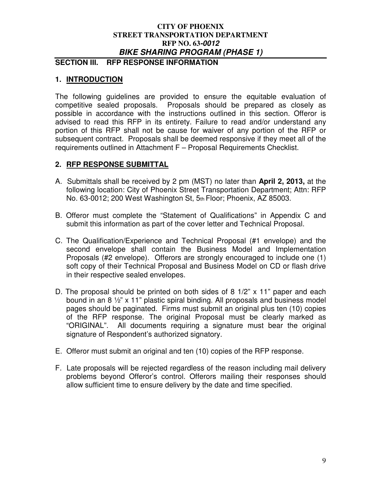## **SECTION III. RFP RESPONSE INFORMATION**

## **1. INTRODUCTION**

The following guidelines are provided to ensure the equitable evaluation of competitive sealed proposals. Proposals should be prepared as closely as possible in accordance with the instructions outlined in this section. Offeror is advised to read this RFP in its entirety. Failure to read and/or understand any portion of this RFP shall not be cause for waiver of any portion of the RFP or subsequent contract. Proposals shall be deemed responsive if they meet all of the requirements outlined in Attachment F – Proposal Requirements Checklist.

## **2. RFP RESPONSE SUBMITTAL**

- A. Submittals shall be received by 2 pm (MST) no later than **April 2, 2013,** at the following location: City of Phoenix Street Transportation Department; Attn: RFP No. 63-0012; 200 West Washington St, 5th Floor; Phoenix, AZ 85003.
- B. Offeror must complete the "Statement of Qualifications" in Appendix C and submit this information as part of the cover letter and Technical Proposal.
- C. The Qualification/Experience and Technical Proposal (#1 envelope) and the second envelope shall contain the Business Model and Implementation Proposals (#2 envelope). Offerors are strongly encouraged to include one (1) soft copy of their Technical Proposal and Business Model on CD or flash drive in their respective sealed envelopes.
- D. The proposal should be printed on both sides of 8 1/2" x 11" paper and each bound in an 8 ½" x 11" plastic spiral binding. All proposals and business model pages should be paginated. Firms must submit an original plus ten (10) copies of the RFP response. The original Proposal must be clearly marked as "ORIGINAL". All documents requiring a signature must bear the original signature of Respondent's authorized signatory.
- E. Offeror must submit an original and ten (10) copies of the RFP response.
- F. Late proposals will be rejected regardless of the reason including mail delivery problems beyond Offeror's control. Offerors mailing their responses should allow sufficient time to ensure delivery by the date and time specified.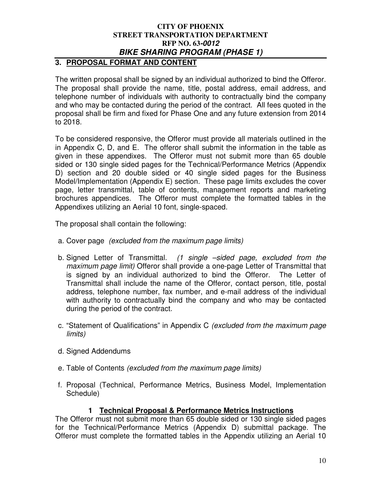# **3. PROPOSAL FORMAT AND CONTENT**

The written proposal shall be signed by an individual authorized to bind the Offeror. The proposal shall provide the name, title, postal address, email address, and telephone number of individuals with authority to contractually bind the company and who may be contacted during the period of the contract. All fees quoted in the proposal shall be firm and fixed for Phase One and any future extension from 2014 to 2018.

To be considered responsive, the Offeror must provide all materials outlined in the in Appendix C, D, and E. The offeror shall submit the information in the table as given in these appendixes. The Offeror must not submit more than 65 double sided or 130 single sided pages for the Technical/Performance Metrics (Appendix D) section and 20 double sided or 40 single sided pages for the Business Model/Implementation (Appendix E) section. These page limits excludes the cover page, letter transmittal, table of contents, management reports and marketing brochures appendices. The Offeror must complete the formatted tables in the Appendixes utilizing an Aerial 10 font, single-spaced.

The proposal shall contain the following:

- a. Cover page (excluded from the maximum page limits)
- b. Signed Letter of Transmittal. (1 single –sided page, excluded from the maximum page limit) Offeror shall provide a one-page Letter of Transmittal that is signed by an individual authorized to bind the Offeror. The Letter of Transmittal shall include the name of the Offeror, contact person, title, postal address, telephone number, fax number, and e-mail address of the individual with authority to contractually bind the company and who may be contacted during the period of the contract.
- c. "Statement of Qualifications" in Appendix C (excluded from the maximum page limits)
- d. Signed Addendums
- e. Table of Contents (excluded from the maximum page limits)
- f. Proposal (Technical, Performance Metrics, Business Model, Implementation Schedule)

## **1 Technical Proposal & Performance Metrics Instructions**

The Offeror must not submit more than 65 double sided or 130 single sided pages for the Technical/Performance Metrics (Appendix D) submittal package. The Offeror must complete the formatted tables in the Appendix utilizing an Aerial 10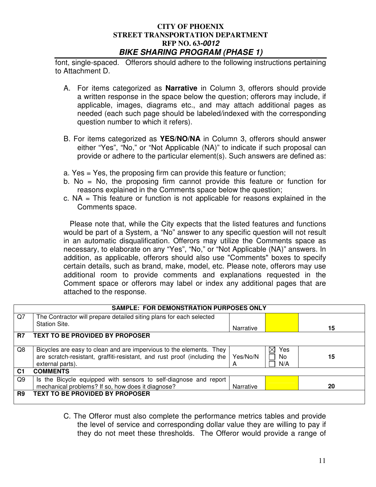font, single-spaced. Offerors should adhere to the following instructions pertaining to Attachment D.

- A. For items categorized as **Narrative** in Column 3, offerors should provide a written response in the space below the question; offerors may include, if applicable, images, diagrams etc., and may attach additional pages as needed (each such page should be labeled/indexed with the corresponding question number to which it refers).
- B. For items categorized as **YES/NO/NA** in Column 3, offerors should answer either "Yes", "No," or "Not Applicable (NA)" to indicate if such proposal can provide or adhere to the particular element(s). Such answers are defined as:
- a. Yes = Yes, the proposing firm can provide this feature or function;
- b. No  $=$  No, the proposing firm cannot provide this feature or function for reasons explained in the Comments space below the question;
- c. NA = This feature or function is not applicable for reasons explained in the Comments space.

 Please note that, while the City expects that the listed features and functions would be part of a System, a "No" answer to any specific question will not result in an automatic disqualification. Offerors may utilize the Comments space as necessary, to elaborate on any "Yes", "No," or "Not Applicable (NA)" answers. In addition, as applicable, offerors should also use "Comments" boxes to specify certain details, such as brand, make, model, etc. Please note, offerors may use additional room to provide comments and explanations requested in the Comment space or offerors may label or index any additional pages that are attached to the response.

| <b>SAMPLE: FOR DEMONSTRATION PURPOSES ONLY</b> |                                                                                                                                                                     |               |                                 |    |
|------------------------------------------------|---------------------------------------------------------------------------------------------------------------------------------------------------------------------|---------------|---------------------------------|----|
| Q7                                             | The Contractor will prepare detailed siting plans for each selected<br><b>Station Site.</b>                                                                         | Narrative     |                                 | 15 |
| R7                                             | <b>TEXT TO BE PROVIDED BY PROPOSER</b>                                                                                                                              |               |                                 |    |
| Q8                                             | Bicycles are easy to clean and are impervious to the elements. They<br>are scratch-resistant, graffiti-resistant, and rust proof (including the<br>external parts). | Yes/No/N<br>А | Yes<br>$\times$ l<br>No.<br>N/A | 15 |
| C <sub>1</sub>                                 | <b>COMMENTS</b>                                                                                                                                                     |               |                                 |    |
| Q9                                             | Is the Bicycle equipped with sensors to self-diagnose and report<br>mechanical problems? If so, how does it diagnose?                                               | Narrative     |                                 | 20 |
| R9                                             | <b>TEXT TO BE PROVIDED BY PROPOSER</b>                                                                                                                              |               |                                 |    |

C. The Offeror must also complete the performance metrics tables and provide the level of service and corresponding dollar value they are willing to pay if they do not meet these thresholds. The Offeror would provide a range of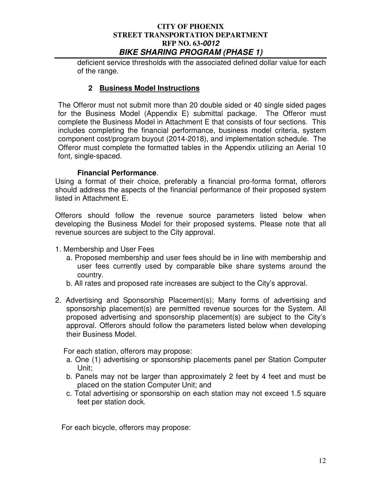deficient service thresholds with the associated defined dollar value for each of the range.

## **2 Business Model Instructions**

The Offeror must not submit more than 20 double sided or 40 single sided pages for the Business Model (Appendix E) submittal package. The Offeror must complete the Business Model in Attachment E that consists of four sections. This includes completing the financial performance, business model criteria, system component cost/program buyout (2014-2018), and implementation schedule. The Offeror must complete the formatted tables in the Appendix utilizing an Aerial 10 font, single-spaced.

## **Financial Performance**.

Using a format of their choice, preferably a financial pro-forma format, offerors should address the aspects of the financial performance of their proposed system listed in Attachment E.

Offerors should follow the revenue source parameters listed below when developing the Business Model for their proposed systems. Please note that all revenue sources are subject to the City approval.

- 1. Membership and User Fees
	- a. Proposed membership and user fees should be in line with membership and user fees currently used by comparable bike share systems around the country.
	- b. All rates and proposed rate increases are subject to the City's approval.
- 2. Advertising and Sponsorship Placement(s); Many forms of advertising and sponsorship placement(s) are permitted revenue sources for the System. All proposed advertising and sponsorship placement(s) are subject to the City's approval. Offerors should follow the parameters listed below when developing their Business Model.

For each station, offerors may propose:

- a. One (1) advertising or sponsorship placements panel per Station Computer Unit;
- b. Panels may not be larger than approximately 2 feet by 4 feet and must be placed on the station Computer Unit; and
- c. Total advertising or sponsorship on each station may not exceed 1.5 square feet per station dock.

For each bicycle, offerors may propose: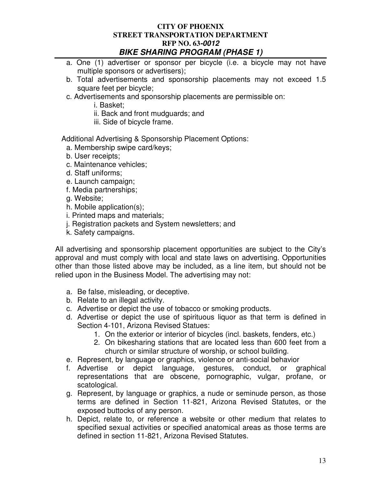- a. One (1) advertiser or sponsor per bicycle (i.e. a bicycle may not have multiple sponsors or advertisers);
- b. Total advertisements and sponsorship placements may not exceed 1.5 square feet per bicycle;
- c. Advertisements and sponsorship placements are permissible on:
	- i. Basket;
	- ii. Back and front mudguards; and
	- iii. Side of bicycle frame.

Additional Advertising & Sponsorship Placement Options:

- a. Membership swipe card/keys;
- b. User receipts;
- c. Maintenance vehicles;
- d. Staff uniforms;
- e. Launch campaign;
- f. Media partnerships;
- g. Website;
- h. Mobile application(s);
- i. Printed maps and materials;
- j. Registration packets and System newsletters; and
- k. Safety campaigns.

All advertising and sponsorship placement opportunities are subject to the City's approval and must comply with local and state laws on advertising. Opportunities other than those listed above may be included, as a line item, but should not be relied upon in the Business Model. The advertising may not:

- a. Be false, misleading, or deceptive.
- b. Relate to an illegal activity.
- c. Advertise or depict the use of tobacco or smoking products.
- d. Advertise or depict the use of spirituous liquor as that term is defined in Section 4-101, Arizona Revised Statues:
	- 1. On the exterior or interior of bicycles (incl. baskets, fenders, etc.)
	- 2. On bikesharing stations that are located less than 600 feet from a church or similar structure of worship, or school building.
- e. Represent, by language or graphics, violence or anti-social behavior
- f. Advertise or depict language, gestures, conduct, or graphical representations that are obscene, pornographic, vulgar, profane, or scatological.
- g. Represent, by language or graphics, a nude or seminude person, as those terms are defined in Section 11-821, Arizona Revised Statutes, or the exposed buttocks of any person.
- h. Depict, relate to, or reference a website or other medium that relates to specified sexual activities or specified anatomical areas as those terms are defined in section 11-821, Arizona Revised Statutes.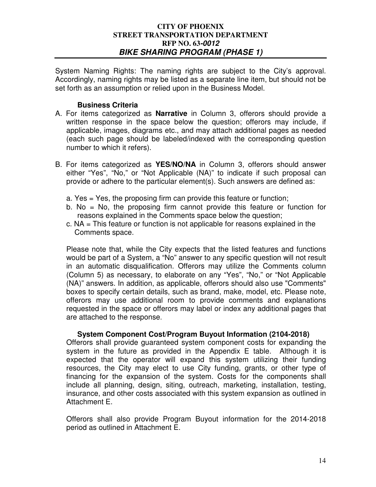System Naming Rights: The naming rights are subject to the City's approval. Accordingly, naming rights may be listed as a separate line item, but should not be set forth as an assumption or relied upon in the Business Model.

#### **Business Criteria**

- A. For items categorized as **Narrative** in Column 3, offerors should provide a written response in the space below the question; offerors may include, if applicable, images, diagrams etc., and may attach additional pages as needed (each such page should be labeled/indexed with the corresponding question number to which it refers).
- B. For items categorized as **YES/NO/NA** in Column 3, offerors should answer either "Yes", "No," or "Not Applicable (NA)" to indicate if such proposal can provide or adhere to the particular element(s). Such answers are defined as:
	- a. Yes = Yes, the proposing firm can provide this feature or function;
	- b. No = No, the proposing firm cannot provide this feature or function for reasons explained in the Comments space below the question;
	- c. NA = This feature or function is not applicable for reasons explained in the Comments space.

Please note that, while the City expects that the listed features and functions would be part of a System, a "No" answer to any specific question will not result in an automatic disqualification. Offerors may utilize the Comments column (Column 5) as necessary, to elaborate on any "Yes", "No," or "Not Applicable (NA)" answers. In addition, as applicable, offerors should also use "Comments" boxes to specify certain details, such as brand, make, model, etc. Please note, offerors may use additional room to provide comments and explanations requested in the space or offerors may label or index any additional pages that are attached to the response.

#### **System Component Cost/Program Buyout Information (2104-2018)**

Offerors shall provide guaranteed system component costs for expanding the system in the future as provided in the Appendix E table. Although it is expected that the operator will expand this system utilizing their funding resources, the City may elect to use City funding, grants, or other type of financing for the expansion of the system. Costs for the components shall include all planning, design, siting, outreach, marketing, installation, testing, insurance, and other costs associated with this system expansion as outlined in Attachment E.

Offerors shall also provide Program Buyout information for the 2014-2018 period as outlined in Attachment E.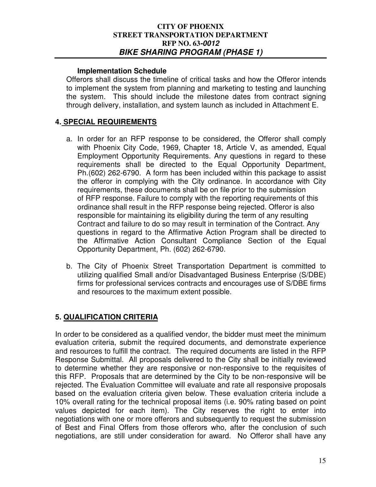#### **Implementation Schedule**

Offerors shall discuss the timeline of critical tasks and how the Offeror intends to implement the system from planning and marketing to testing and launching the system. This should include the milestone dates from contract signing through delivery, installation, and system launch as included in Attachment E.

## **4. SPECIAL REQUIREMENTS**

- a. In order for an RFP response to be considered, the Offeror shall comply with Phoenix City Code, 1969, Chapter 18, Article V, as amended, Equal Employment Opportunity Requirements. Any questions in regard to these requirements shall be directed to the Equal Opportunity Department, Ph.(602) 262-6790. A form has been included within this package to assist the offeror in complying with the City ordinance. In accordance with City requirements, these documents shall be on file prior to the submission of RFP response. Failure to comply with the reporting requirements of this ordinance shall result in the RFP response being rejected. Offeror is also responsible for maintaining its eligibility during the term of any resulting Contract and failure to do so may result in termination of the Contract. Any questions in regard to the Affirmative Action Program shall be directed to the Affirmative Action Consultant Compliance Section of the Equal Opportunity Department, Ph. (602) 262-6790.
- b. The City of Phoenix Street Transportation Department is committed to utilizing qualified Small and/or Disadvantaged Business Enterprise (S/DBE) firms for professional services contracts and encourages use of S/DBE firms and resources to the maximum extent possible.

## **5. QUALIFICATION CRITERIA**

In order to be considered as a qualified vendor, the bidder must meet the minimum evaluation criteria, submit the required documents, and demonstrate experience and resources to fulfill the contract. The required documents are listed in the RFP Response Submittal. All proposals delivered to the City shall be initially reviewed to determine whether they are responsive or non-responsive to the requisites of this RFP. Proposals that are determined by the City to be non-responsive will be rejected. The Evaluation Committee will evaluate and rate all responsive proposals based on the evaluation criteria given below. These evaluation criteria include a 10% overall rating for the technical proposal items (i.e. 90% rating based on point values depicted for each item). The City reserves the right to enter into negotiations with one or more offerors and subsequently to request the submission of Best and Final Offers from those offerors who, after the conclusion of such negotiations, are still under consideration for award. No Offeror shall have any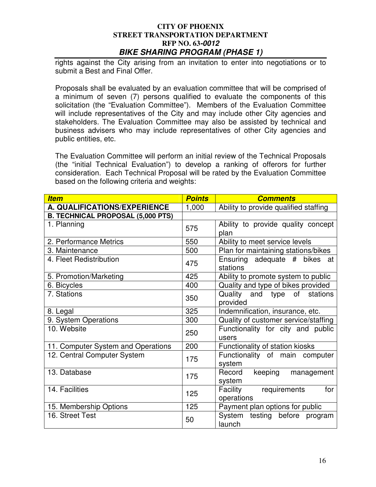rights against the City arising from an invitation to enter into negotiations or to submit a Best and Final Offer.

Proposals shall be evaluated by an evaluation committee that will be comprised of a minimum of seven (7) persons qualified to evaluate the components of this solicitation (the "Evaluation Committee"). Members of the Evaluation Committee will include representatives of the City and may include other City agencies and stakeholders. The Evaluation Committee may also be assisted by technical and business advisers who may include representatives of other City agencies and public entities, etc.

The Evaluation Committee will perform an initial review of the Technical Proposals (the "initial Technical Evaluation") to develop a ranking of offerors for further consideration. Each Technical Proposal will be rated by the Evaluation Committee based on the following criteria and weights:

| <b>Item</b>                              | <b>Points</b> | <b>Comments</b>                            |
|------------------------------------------|---------------|--------------------------------------------|
| A. QUALIFICATIONS/EXPERIENCE             | 1,000         | Ability to provide qualified staffing      |
| <b>B. TECHNICAL PROPOSAL (5,000 PTS)</b> |               |                                            |
| 1. Planning                              | 575           | Ability to provide quality concept<br>plan |
| 2. Performance Metrics                   | 550           | Ability to meet service levels             |
| 3. Maintenance                           | 500           | Plan for maintaining stations/bikes        |
| 4. Fleet Redistribution                  | 475           | Ensuring adequate # bikes at<br>stations   |
| 5. Promotion/Marketing                   | 425           | Ability to promote system to public        |
| 6. Bicycles                              | 400           | Quality and type of bikes provided         |
| 7. Stations                              | 350           | Quality and type of stations<br>provided   |
| 8. Legal                                 | 325           | Indemnification, insurance, etc.           |
| 9. System Operations                     | 300           | Quality of customer service/staffing       |
| 10. Website                              | 250           | Functionality for city and public<br>users |
| 11. Computer System and Operations       | 200           | Functionality of station kiosks            |
| 12. Central Computer System              | 175           | Functionality of main computer<br>system   |
| 13. Database                             | 175           | Record<br>keeping management<br>system     |
| 14. Facilities                           | 125           | Facility requirements<br>for<br>operations |
| 15. Membership Options                   | 125           | Payment plan options for public            |
| 16. Street Test                          | 50            | System testing before program<br>launch    |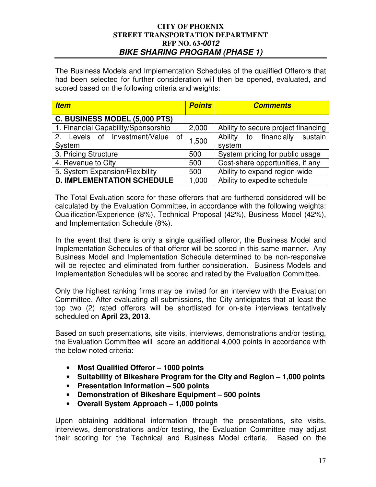The Business Models and Implementation Schedules of the qualified Offerors that had been selected for further consideration will then be opened, evaluated, and scored based on the following criteria and weights:

| <b>Item</b>                         | <b>Points</b> | <b>Comments</b>                     |
|-------------------------------------|---------------|-------------------------------------|
| C. BUSINESS MODEL (5,000 PTS)       |               |                                     |
| 1. Financial Capability/Sponsorship | 2,000         | Ability to secure project financing |
| 2. Levels of Investment/Value of    | 1,500         | Ability to financially sustain      |
| System                              |               | system                              |
| 3. Pricing Structure                | 500           | System pricing for public usage     |
| 4. Revenue to City                  | 500           | Cost-share opportunities, if any    |
| 5. System Expansion/Flexibility     | 500           | Ability to expand region-wide       |
| <b>D. IMPLEMENTATION SCHEDULE</b>   | 1,000         | Ability to expedite schedule        |

The Total Evaluation score for these offerors that are furthered considered will be calculated by the Evaluation Committee, in accordance with the following weights: Qualification/Experience (8%), Technical Proposal (42%), Business Model (42%), and Implementation Schedule (8%).

In the event that there is only a single qualified offeror, the Business Model and Implementation Schedules of that offeror will be scored in this same manner. Any Business Model and Implementation Schedule determined to be non-responsive will be rejected and eliminated from further consideration. Business Models and Implementation Schedules will be scored and rated by the Evaluation Committee.

Only the highest ranking firms may be invited for an interview with the Evaluation Committee. After evaluating all submissions, the City anticipates that at least the top two (2) rated offerors will be shortlisted for on-site interviews tentatively scheduled on **April 23, 2013**.

Based on such presentations, site visits, interviews, demonstrations and/or testing, the Evaluation Committee will score an additional 4,000 points in accordance with the below noted criteria:

- **Most Qualified Offeror 1000 points**
- **Suitability of Bikeshare Program for the City and Region 1,000 points**
- **Presentation Information 500 points**
- **Demonstration of Bikeshare Equipment 500 points**
- **Overall System Approach 1,000 points**

Upon obtaining additional information through the presentations, site visits, interviews, demonstrations and/or testing, the Evaluation Committee may adjust their scoring for the Technical and Business Model criteria. Based on the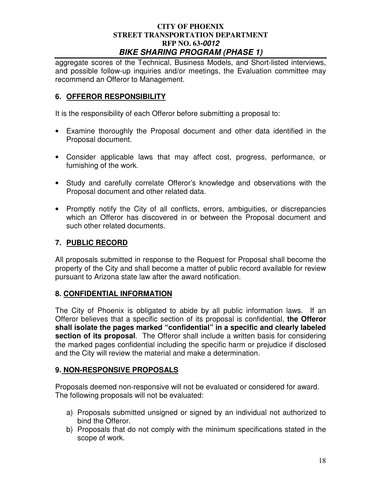aggregate scores of the Technical, Business Models, and Short-listed interviews, and possible follow-up inquiries and/or meetings, the Evaluation committee may recommend an Offeror to Management.

# **6. OFFEROR RESPONSIBILITY**

It is the responsibility of each Offeror before submitting a proposal to:

- Examine thoroughly the Proposal document and other data identified in the Proposal document.
- Consider applicable laws that may affect cost, progress, performance, or furnishing of the work.
- Study and carefully correlate Offeror's knowledge and observations with the Proposal document and other related data.
- Promptly notify the City of all conflicts, errors, ambiguities, or discrepancies which an Offeror has discovered in or between the Proposal document and such other related documents.

# **7. PUBLIC RECORD**

All proposals submitted in response to the Request for Proposal shall become the property of the City and shall become a matter of public record available for review pursuant to Arizona state law after the award notification.

## **8. CONFIDENTIAL INFORMATION**

The City of Phoenix is obligated to abide by all public information laws. If an Offeror believes that a specific section of its proposal is confidential, **the Offeror shall isolate the pages marked "confidential" in a specific and clearly labeled section of its proposal**. The Offeror shall include a written basis for considering the marked pages confidential including the specific harm or prejudice if disclosed and the City will review the material and make a determination.

## **9. NON-RESPONSIVE PROPOSALS**

Proposals deemed non-responsive will not be evaluated or considered for award. The following proposals will not be evaluated:

- a) Proposals submitted unsigned or signed by an individual not authorized to bind the Offeror.
- b) Proposals that do not comply with the minimum specifications stated in the scope of work.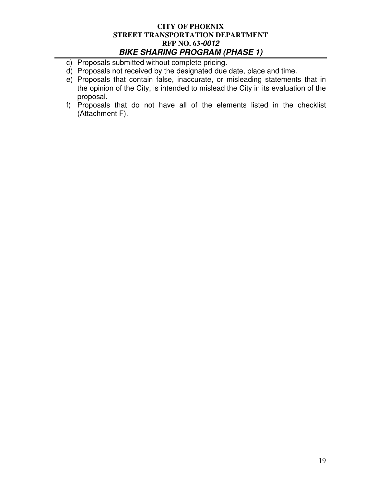- c) Proposals submitted without complete pricing.
- d) Proposals not received by the designated due date, place and time.
- e) Proposals that contain false, inaccurate, or misleading statements that in the opinion of the City, is intended to mislead the City in its evaluation of the proposal.
- f) Proposals that do not have all of the elements listed in the checklist (Attachment F).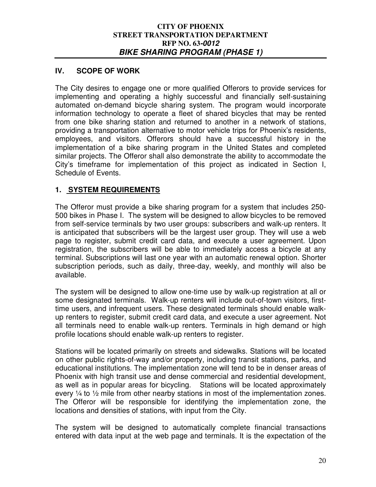## **IV. SCOPE OF WORK**

The City desires to engage one or more qualified Offerors to provide services for implementing and operating a highly successful and financially self-sustaining automated on-demand bicycle sharing system. The program would incorporate information technology to operate a fleet of shared bicycles that may be rented from one bike sharing station and returned to another in a network of stations, providing a transportation alternative to motor vehicle trips for Phoenix's residents, employees, and visitors. Offerors should have a successful history in the implementation of a bike sharing program in the United States and completed similar projects. The Offeror shall also demonstrate the ability to accommodate the City's timeframe for implementation of this project as indicated in Section I, Schedule of Events.

## **1. SYSTEM REQUIREMENTS**

The Offeror must provide a bike sharing program for a system that includes 250- 500 bikes in Phase I. The system will be designed to allow bicycles to be removed from self-service terminals by two user groups: subscribers and walk-up renters. It is anticipated that subscribers will be the largest user group. They will use a web page to register, submit credit card data, and execute a user agreement. Upon registration, the subscribers will be able to immediately access a bicycle at any terminal. Subscriptions will last one year with an automatic renewal option. Shorter subscription periods, such as daily, three-day, weekly, and monthly will also be available.

The system will be designed to allow one-time use by walk-up registration at all or some designated terminals. Walk-up renters will include out-of-town visitors, firsttime users, and infrequent users. These designated terminals should enable walkup renters to register, submit credit card data, and execute a user agreement. Not all terminals need to enable walk-up renters. Terminals in high demand or high profile locations should enable walk-up renters to register.

Stations will be located primarily on streets and sidewalks. Stations will be located on other public rights-of-way and/or property, including transit stations, parks, and educational institutions. The implementation zone will tend to be in denser areas of Phoenix with high transit use and dense commercial and residential development, as well as in popular areas for bicycling. Stations will be located approximately every  $\frac{1}{4}$  to  $\frac{1}{2}$  mile from other nearby stations in most of the implementation zones. The Offeror will be responsible for identifying the implementation zone, the locations and densities of stations, with input from the City.

The system will be designed to automatically complete financial transactions entered with data input at the web page and terminals. It is the expectation of the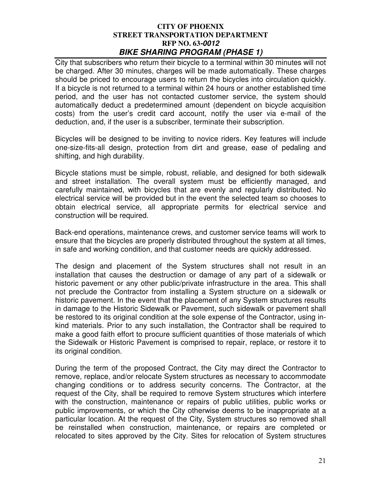City that subscribers who return their bicycle to a terminal within 30 minutes will not be charged. After 30 minutes, charges will be made automatically. These charges should be priced to encourage users to return the bicycles into circulation quickly. If a bicycle is not returned to a terminal within 24 hours or another established time period, and the user has not contacted customer service, the system should automatically deduct a predetermined amount (dependent on bicycle acquisition costs) from the user's credit card account, notify the user via e-mail of the deduction, and, if the user is a subscriber, terminate their subscription.

Bicycles will be designed to be inviting to novice riders. Key features will include one-size-fits-all design, protection from dirt and grease, ease of pedaling and shifting, and high durability.

Bicycle stations must be simple, robust, reliable, and designed for both sidewalk and street installation. The overall system must be efficiently managed, and carefully maintained, with bicycles that are evenly and regularly distributed. No electrical service will be provided but in the event the selected team so chooses to obtain electrical service, all appropriate permits for electrical service and construction will be required.

Back-end operations, maintenance crews, and customer service teams will work to ensure that the bicycles are properly distributed throughout the system at all times, in safe and working condition, and that customer needs are quickly addressed.

The design and placement of the System structures shall not result in an installation that causes the destruction or damage of any part of a sidewalk or historic pavement or any other public/private infrastructure in the area. This shall not preclude the Contractor from installing a System structure on a sidewalk or historic pavement. In the event that the placement of any System structures results in damage to the Historic Sidewalk or Pavement, such sidewalk or pavement shall be restored to its original condition at the sole expense of the Contractor, using inkind materials. Prior to any such installation, the Contractor shall be required to make a good faith effort to procure sufficient quantities of those materials of which the Sidewalk or Historic Pavement is comprised to repair, replace, or restore it to its original condition.

During the term of the proposed Contract, the City may direct the Contractor to remove, replace, and/or relocate System structures as necessary to accommodate changing conditions or to address security concerns. The Contractor, at the request of the City, shall be required to remove System structures which interfere with the construction, maintenance or repairs of public utilities, public works or public improvements, or which the City otherwise deems to be inappropriate at a particular location. At the request of the City, System structures so removed shall be reinstalled when construction, maintenance, or repairs are completed or relocated to sites approved by the City. Sites for relocation of System structures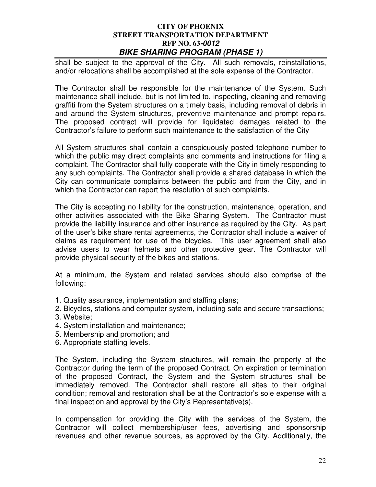shall be subject to the approval of the City. All such removals, reinstallations, and/or relocations shall be accomplished at the sole expense of the Contractor.

The Contractor shall be responsible for the maintenance of the System. Such maintenance shall include, but is not limited to, inspecting, cleaning and removing graffiti from the System structures on a timely basis, including removal of debris in and around the System structures, preventive maintenance and prompt repairs. The proposed contract will provide for liquidated damages related to the Contractor's failure to perform such maintenance to the satisfaction of the City

All System structures shall contain a conspicuously posted telephone number to which the public may direct complaints and comments and instructions for filing a complaint. The Contractor shall fully cooperate with the City in timely responding to any such complaints. The Contractor shall provide a shared database in which the City can communicate complaints between the public and from the City, and in which the Contractor can report the resolution of such complaints.

The City is accepting no liability for the construction, maintenance, operation, and other activities associated with the Bike Sharing System. The Contractor must provide the liability insurance and other insurance as required by the City. As part of the user's bike share rental agreements, the Contractor shall include a waiver of claims as requirement for use of the bicycles. This user agreement shall also advise users to wear helmets and other protective gear. The Contractor will provide physical security of the bikes and stations.

At a minimum, the System and related services should also comprise of the following:

- 1. Quality assurance, implementation and staffing plans;
- 2. Bicycles, stations and computer system, including safe and secure transactions;
- 3. Website;
- 4. System installation and maintenance;
- 5. Membership and promotion; and
- 6. Appropriate staffing levels.

The System, including the System structures, will remain the property of the Contractor during the term of the proposed Contract. On expiration or termination of the proposed Contract, the System and the System structures shall be immediately removed. The Contractor shall restore all sites to their original condition; removal and restoration shall be at the Contractor's sole expense with a final inspection and approval by the City's Representative(s).

In compensation for providing the City with the services of the System, the Contractor will collect membership/user fees, advertising and sponsorship revenues and other revenue sources, as approved by the City. Additionally, the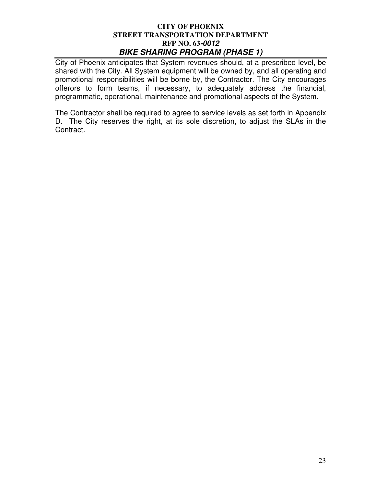City of Phoenix anticipates that System revenues should, at a prescribed level, be shared with the City. All System equipment will be owned by, and all operating and promotional responsibilities will be borne by, the Contractor. The City encourages offerors to form teams, if necessary, to adequately address the financial, programmatic, operational, maintenance and promotional aspects of the System.

The Contractor shall be required to agree to service levels as set forth in Appendix D. The City reserves the right, at its sole discretion, to adjust the SLAs in the Contract.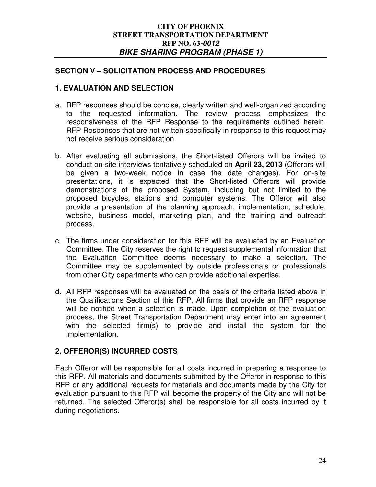## **SECTION V – SOLICITATION PROCESS AND PROCEDURES**

## **1. EVALUATION AND SELECTION**

- a. RFP responses should be concise, clearly written and well-organized according to the requested information. The review process emphasizes the responsiveness of the RFP Response to the requirements outlined herein. RFP Responses that are not written specifically in response to this request may not receive serious consideration.
- b. After evaluating all submissions, the Short-listed Offerors will be invited to conduct on-site interviews tentatively scheduled on **April 23, 2013** (Offerors will be given a two-week notice in case the date changes). For on-site presentations, it is expected that the Short-listed Offerors will provide demonstrations of the proposed System, including but not limited to the proposed bicycles, stations and computer systems. The Offeror will also provide a presentation of the planning approach, implementation, schedule, website, business model, marketing plan, and the training and outreach process.
- c. The firms under consideration for this RFP will be evaluated by an Evaluation Committee. The City reserves the right to request supplemental information that the Evaluation Committee deems necessary to make a selection. The Committee may be supplemented by outside professionals or professionals from other City departments who can provide additional expertise.
- d. All RFP responses will be evaluated on the basis of the criteria listed above in the Qualifications Section of this RFP. All firms that provide an RFP response will be notified when a selection is made. Upon completion of the evaluation process, the Street Transportation Department may enter into an agreement with the selected firm(s) to provide and install the system for the implementation.

## **2. OFFEROR(S) INCURRED COSTS**

Each Offeror will be responsible for all costs incurred in preparing a response to this RFP. All materials and documents submitted by the Offeror in response to this RFP or any additional requests for materials and documents made by the City for evaluation pursuant to this RFP will become the property of the City and will not be returned. The selected Offeror(s) shall be responsible for all costs incurred by it during negotiations.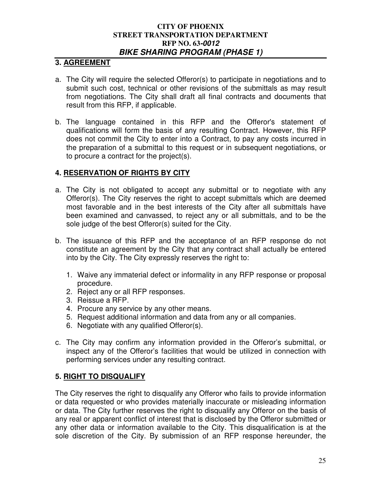## **3. AGREEMENT**

- a. The City will require the selected Offeror(s) to participate in negotiations and to submit such cost, technical or other revisions of the submittals as may result from negotiations. The City shall draft all final contracts and documents that result from this RFP, if applicable.
- b. The language contained in this RFP and the Offeror's statement of qualifications will form the basis of any resulting Contract. However, this RFP does not commit the City to enter into a Contract, to pay any costs incurred in the preparation of a submittal to this request or in subsequent negotiations, or to procure a contract for the project(s).

## **4. RESERVATION OF RIGHTS BY CITY**

- a. The City is not obligated to accept any submittal or to negotiate with any Offeror(s). The City reserves the right to accept submittals which are deemed most favorable and in the best interests of the City after all submittals have been examined and canvassed, to reject any or all submittals, and to be the sole judge of the best Offeror(s) suited for the City.
- b. The issuance of this RFP and the acceptance of an RFP response do not constitute an agreement by the City that any contract shall actually be entered into by the City. The City expressly reserves the right to:
	- 1. Waive any immaterial defect or informality in any RFP response or proposal procedure.
	- 2. Reject any or all RFP responses.
	- 3. Reissue a RFP.
	- 4. Procure any service by any other means.
	- 5. Request additional information and data from any or all companies.
	- 6. Negotiate with any qualified Offeror(s).
- c. The City may confirm any information provided in the Offeror's submittal, or inspect any of the Offeror's facilities that would be utilized in connection with performing services under any resulting contract.

## **5. RIGHT TO DISQUALIFY**

The City reserves the right to disqualify any Offeror who fails to provide information or data requested or who provides materially inaccurate or misleading information or data. The City further reserves the right to disqualify any Offeror on the basis of any real or apparent conflict of interest that is disclosed by the Offeror submitted or any other data or information available to the City. This disqualification is at the sole discretion of the City. By submission of an RFP response hereunder, the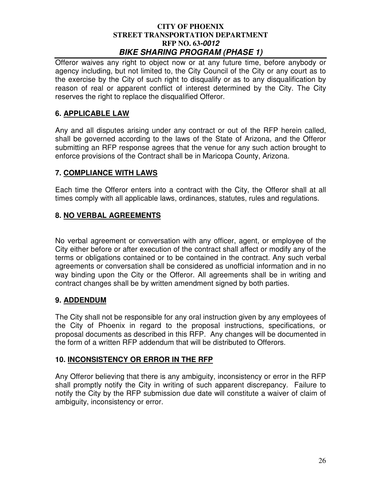Offeror waives any right to object now or at any future time, before anybody or agency including, but not limited to, the City Council of the City or any court as to the exercise by the City of such right to disqualify or as to any disqualification by reason of real or apparent conflict of interest determined by the City. The City reserves the right to replace the disqualified Offeror.

## **6. APPLICABLE LAW**

Any and all disputes arising under any contract or out of the RFP herein called, shall be governed according to the laws of the State of Arizona, and the Offeror submitting an RFP response agrees that the venue for any such action brought to enforce provisions of the Contract shall be in Maricopa County, Arizona.

## **7. COMPLIANCE WITH LAWS**

Each time the Offeror enters into a contract with the City, the Offeror shall at all times comply with all applicable laws, ordinances, statutes, rules and regulations.

## **8. NO VERBAL AGREEMENTS**

No verbal agreement or conversation with any officer, agent, or employee of the City either before or after execution of the contract shall affect or modify any of the terms or obligations contained or to be contained in the contract. Any such verbal agreements or conversation shall be considered as unofficial information and in no way binding upon the City or the Offeror. All agreements shall be in writing and contract changes shall be by written amendment signed by both parties.

## **9. ADDENDUM**

The City shall not be responsible for any oral instruction given by any employees of the City of Phoenix in regard to the proposal instructions, specifications, or proposal documents as described in this RFP. Any changes will be documented in the form of a written RFP addendum that will be distributed to Offerors.

## **10. INCONSISTENCY OR ERROR IN THE RFP**

Any Offeror believing that there is any ambiguity, inconsistency or error in the RFP shall promptly notify the City in writing of such apparent discrepancy. Failure to notify the City by the RFP submission due date will constitute a waiver of claim of ambiguity, inconsistency or error.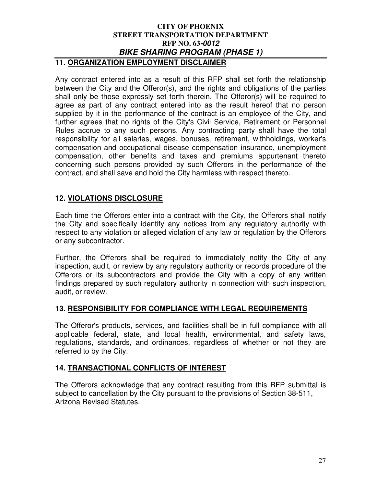## **CITY OF PHOENIX STREET TRANSPORTATION DEPARTMENT RFP NO. 63-0012 BIKE SHARING PROGRAM (PHASE 1) 11. ORGANIZATION EMPLOYMENT DISCLAIMER**

Any contract entered into as a result of this RFP shall set forth the relationship between the City and the Offeror(s), and the rights and obligations of the parties shall only be those expressly set forth therein. The Offeror(s) will be required to agree as part of any contract entered into as the result hereof that no person supplied by it in the performance of the contract is an employee of the City, and further agrees that no rights of the City's Civil Service, Retirement or Personnel Rules accrue to any such persons. Any contracting party shall have the total responsibility for all salaries, wages, bonuses, retirement, withholdings, worker's compensation and occupational disease compensation insurance, unemployment compensation, other benefits and taxes and premiums appurtenant thereto concerning such persons provided by such Offerors in the performance of the contract, and shall save and hold the City harmless with respect thereto.

# **12. VIOLATIONS DISCLOSURE**

Each time the Offerors enter into a contract with the City, the Offerors shall notify the City and specifically identify any notices from any regulatory authority with respect to any violation or alleged violation of any law or regulation by the Offerors or any subcontractor.

Further, the Offerors shall be required to immediately notify the City of any inspection, audit, or review by any regulatory authority or records procedure of the Offerors or its subcontractors and provide the City with a copy of any written findings prepared by such regulatory authority in connection with such inspection, audit, or review.

## **13. RESPONSIBILITY FOR COMPLIANCE WITH LEGAL REQUIREMENTS**

The Offeror's products, services, and facilities shall be in full compliance with all applicable federal, state, and local health, environmental, and safety laws, regulations, standards, and ordinances, regardless of whether or not they are referred to by the City.

## **14. TRANSACTIONAL CONFLICTS OF INTEREST**

The Offerors acknowledge that any contract resulting from this RFP submittal is subject to cancellation by the City pursuant to the provisions of Section 38-511, Arizona Revised Statutes.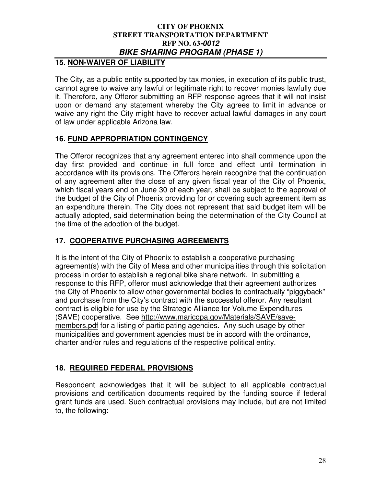# **15. NON-WAIVER OF LIABILITY**

The City, as a public entity supported by tax monies, in execution of its public trust, cannot agree to waive any lawful or legitimate right to recover monies lawfully due it. Therefore, any Offeror submitting an RFP response agrees that it will not insist upon or demand any statement whereby the City agrees to limit in advance or waive any right the City might have to recover actual lawful damages in any court of law under applicable Arizona law.

# **16. FUND APPROPRIATION CONTINGENCY**

The Offeror recognizes that any agreement entered into shall commence upon the day first provided and continue in full force and effect until termination in accordance with its provisions. The Offerors herein recognize that the continuation of any agreement after the close of any given fiscal year of the City of Phoenix, which fiscal years end on June 30 of each year, shall be subject to the approval of the budget of the City of Phoenix providing for or covering such agreement item as an expenditure therein. The City does not represent that said budget item will be actually adopted, said determination being the determination of the City Council at the time of the adoption of the budget.

# **17. COOPERATIVE PURCHASING AGREEMENTS**

It is the intent of the City of Phoenix to establish a cooperative purchasing agreement(s) with the City of Mesa and other municipalities through this solicitation process in order to establish a regional bike share network. In submitting a response to this RFP, offeror must acknowledge that their agreement authorizes the City of Phoenix to allow other governmental bodies to contractually "piggyback" and purchase from the City's contract with the successful offeror. Any resultant contract is eligible for use by the Strategic Alliance for Volume Expenditures (SAVE) cooperative. See http://www.maricopa.gov/Materials/SAVE/savemembers.pdf for a listing of participating agencies. Any such usage by other municipalities and government agencies must be in accord with the ordinance, charter and/or rules and regulations of the respective political entity.

## **18. REQUIRED FEDERAL PROVISIONS**

Respondent acknowledges that it will be subject to all applicable contractual provisions and certification documents required by the funding source if federal grant funds are used. Such contractual provisions may include, but are not limited to, the following: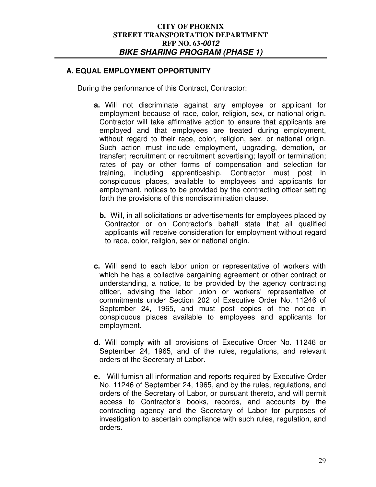## **A. EQUAL EMPLOYMENT OPPORTUNITY**

During the performance of this Contract, Contractor:

- **a.** Will not discriminate against any employee or applicant for employment because of race, color, religion, sex, or national origin. Contractor will take affirmative action to ensure that applicants are employed and that employees are treated during employment, without regard to their race, color, religion, sex, or national origin. Such action must include employment, upgrading, demotion, or transfer; recruitment or recruitment advertising; layoff or termination; rates of pay or other forms of compensation and selection for training, including apprenticeship. Contractor must post in conspicuous places, available to employees and applicants for employment, notices to be provided by the contracting officer setting forth the provisions of this nondiscrimination clause.
	- **b.** Will, in all solicitations or advertisements for employees placed by Contractor or on Contractor's behalf state that all qualified applicants will receive consideration for employment without regard to race, color, religion, sex or national origin.
- **c.** Will send to each labor union or representative of workers with which he has a collective bargaining agreement or other contract or understanding, a notice, to be provided by the agency contracting officer, advising the labor union or workers' representative of commitments under Section 202 of Executive Order No. 11246 of September 24, 1965, and must post copies of the notice in conspicuous places available to employees and applicants for employment.
- **d.** Will comply with all provisions of Executive Order No. 11246 or September 24, 1965, and of the rules, regulations, and relevant orders of the Secretary of Labor.
- **e.** Will furnish all information and reports required by Executive Order No. 11246 of September 24, 1965, and by the rules, regulations, and orders of the Secretary of Labor, or pursuant thereto, and will permit access to Contractor's books, records, and accounts by the contracting agency and the Secretary of Labor for purposes of investigation to ascertain compliance with such rules, regulation, and orders.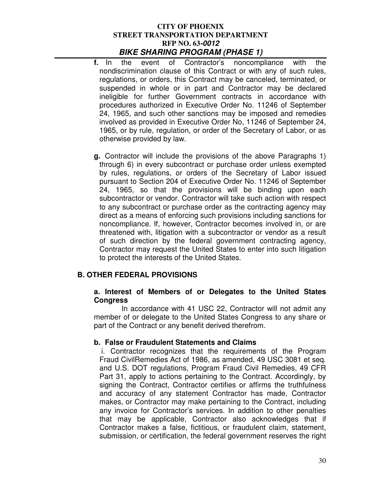- **f.** In the event of Contractor's noncompliance with the nondiscrimination clause of this Contract or with any of such rules, regulations, or orders, this Contract may be canceled, terminated, or suspended in whole or in part and Contractor may be declared ineligible for further Government contracts in accordance with procedures authorized in Executive Order No. 11246 of September 24, 1965, and such other sanctions may be imposed and remedies involved as provided in Executive Order No, 11246 of September 24, 1965, or by rule, regulation, or order of the Secretary of Labor, or as otherwise provided by law.
- **g.** Contractor will include the provisions of the above Paragraphs 1) through 6) in every subcontract or purchase order unless exempted by rules, regulations, or orders of the Secretary of Labor issued pursuant to Section 204 of Executive Order No. 11246 of September 24, 1965, so that the provisions will be binding upon each subcontractor or vendor. Contractor will take such action with respect to any subcontract or purchase order as the contracting agency may direct as a means of enforcing such provisions including sanctions for noncompliance. If, however, Contractor becomes involved in, or are threatened with, litigation with a subcontractor or vendor as a result of such direction by the federal government contracting agency, Contractor may request the United States to enter into such litigation to protect the interests of the United States.

## **B. OTHER FEDERAL PROVISIONS**

#### **a. Interest of Members of or Delegates to the United States Congress**

 In accordance with 41 USC 22, Contractor will not admit any member of or delegate to the United States Congress to any share or part of the Contract or any benefit derived therefrom.

## **b. False or Fraudulent Statements and Claims**

i. Contractor recognizes that the requirements of the Program Fraud CivilRemedies Act of 1986, as amended, 49 USC 3081 et seq. and U.S. DOT regulations, Program Fraud Civil Remedies, 49 CFR Part 31, apply to actions pertaining to the Contract. Accordingly, by signing the Contract, Contractor certifies or affirms the truthfulness and accuracy of any statement Contractor has made, Contractor makes, or Contractor may make pertaining to the Contract, including any invoice for Contractor's services. In addition to other penalties that may be applicable, Contractor also acknowledges that if Contractor makes a false, fictitious, or fraudulent claim, statement, submission, or certification, the federal government reserves the right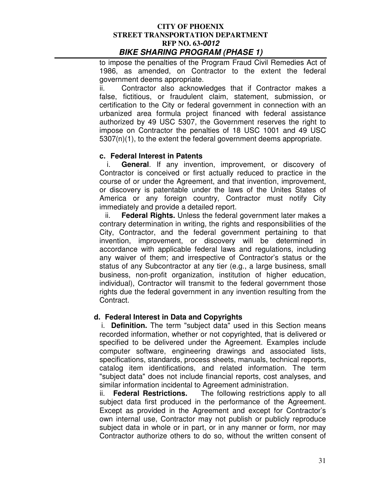to impose the penalties of the Program Fraud Civil Remedies Act of 1986, as amended, on Contractor to the extent the federal government deems appropriate.

ii. Contractor also acknowledges that if Contractor makes a false, fictitious, or fraudulent claim, statement, submission, or certification to the City or federal government in connection with an urbanized area formula project financed with federal assistance authorized by 49 USC 5307, the Government reserves the right to impose on Contractor the penalties of 18 USC 1001 and 49 USC 5307(n)(1), to the extent the federal government deems appropriate.

## **c. Federal Interest in Patents**

i. **General**. If any invention, improvement, or discovery of Contractor is conceived or first actually reduced to practice in the course of or under the Agreement, and that invention, improvement, or discovery is patentable under the laws of the Unites States of America or any foreign country, Contractor must notify City immediately and provide a detailed report.

ii. **Federal Rights.** Unless the federal government later makes a contrary determination in writing, the rights and responsibilities of the City, Contractor, and the federal government pertaining to that invention, improvement, or discovery will be determined in accordance with applicable federal laws and regulations, including any waiver of them; and irrespective of Contractor's status or the status of any Subcontractor at any tier (e.g., a large business, small business, non-profit organization, institution of higher education, individual), Contractor will transmit to the federal government those rights due the federal government in any invention resulting from the Contract.

## **d. Federal Interest in Data and Copyrights**

i. **Definition.** The term "subject data" used in this Section means recorded information, whether or not copyrighted, that is delivered or specified to be delivered under the Agreement. Examples include computer software, engineering drawings and associated lists, specifications, standards, process sheets, manuals, technical reports, catalog item identifications, and related information. The term "subject data" does not include financial reports, cost analyses, and similar information incidental to Agreement administration.

ii. **Federal Restrictions.** The following restrictions apply to all subject data first produced in the performance of the Agreement. Except as provided in the Agreement and except for Contractor's own internal use, Contractor may not publish or publicly reproduce subject data in whole or in part, or in any manner or form, nor may Contractor authorize others to do so, without the written consent of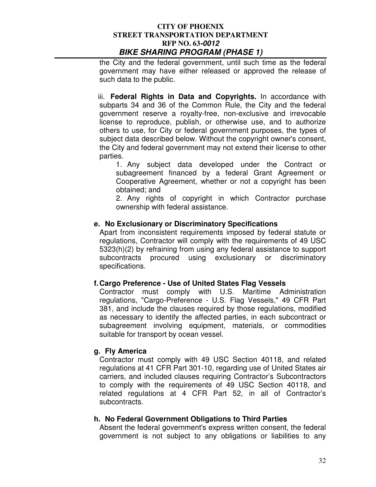the City and the federal government, until such time as the federal government may have either released or approved the release of such data to the public.

iii. **Federal Rights in Data and Copyrights.** In accordance with subparts 34 and 36 of the Common Rule, the City and the federal government reserve a royalty-free, non-exclusive and irrevocable license to reproduce, publish, or otherwise use, and to authorize others to use, for City or federal government purposes, the types of subject data described below. Without the copyright owner's consent, the City and federal government may not extend their license to other parties.

1. Any subject data developed under the Contract or subagreement financed by a federal Grant Agreement or Cooperative Agreement, whether or not a copyright has been obtained; and

2. Any rights of copyright in which Contractor purchase ownership with federal assistance.

## **e. No Exclusionary or Discriminatory Specifications**

Apart from inconsistent requirements imposed by federal statute or regulations, Contractor will comply with the requirements of 49 USC 5323(h)(2) by refraining from using any federal assistance to support subcontracts procured using exclusionary or discriminatory specifications.

## **f. Cargo Preference - Use of United States Flag Vessels**

Contractor must comply with U.S. Maritime Administration regulations, "Cargo-Preference - U.S. Flag Vessels," 49 CFR Part 381, and include the clauses required by those regulations, modified as necessary to identify the affected parties, in each subcontract or subagreement involving equipment, materials, or commodities suitable for transport by ocean vessel.

## **g. Fly America**

Contractor must comply with 49 USC Section 40118, and related regulations at 41 CFR Part 301-10, regarding use of United States air carriers, and included clauses requiring Contractor's Subcontractors to comply with the requirements of 49 USC Section 40118, and related regulations at 4 CFR Part 52, in all of Contractor's subcontracts.

## **h. No Federal Government Obligations to Third Parties**

Absent the federal government's express written consent, the federal government is not subject to any obligations or liabilities to any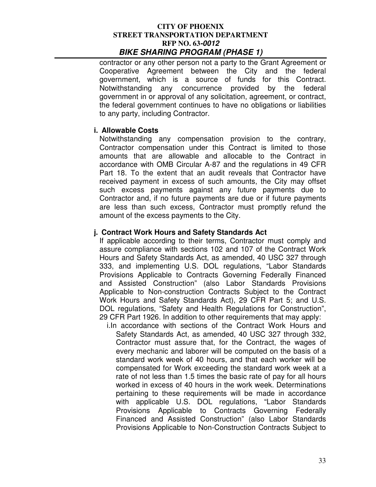contractor or any other person not a party to the Grant Agreement or Cooperative Agreement between the City and the federal government, which is a source of funds for this Contract. Notwithstanding any concurrence provided by the federal government in or approval of any solicitation, agreement, or contract, the federal government continues to have no obligations or liabilities to any party, including Contractor.

## **i. Allowable Costs**

Notwithstanding any compensation provision to the contrary, Contractor compensation under this Contract is limited to those amounts that are allowable and allocable to the Contract in accordance with OMB Circular A-87 and the regulations in 49 CFR Part 18. To the extent that an audit reveals that Contractor have received payment in excess of such amounts, the City may offset such excess payments against any future payments due to Contractor and, if no future payments are due or if future payments are less than such excess, Contractor must promptly refund the amount of the excess payments to the City.

## **j. Contract Work Hours and Safety Standards Act**

If applicable according to their terms, Contractor must comply and assure compliance with sections 102 and 107 of the Contract Work Hours and Safety Standards Act, as amended, 40 USC 327 through 333, and implementing U.S. DOL regulations, "Labor Standards Provisions Applicable to Contracts Governing Federally Financed and Assisted Construction" (also Labor Standards Provisions Applicable to Non-construction Contracts Subject to the Contract Work Hours and Safety Standards Act), 29 CFR Part 5; and U.S. DOL regulations, "Safety and Health Regulations for Construction", 29 CFR Part 1926. In addition to other requirements that may apply:

i.In accordance with sections of the Contract Work Hours and Safety Standards Act, as amended, 40 USC 327 through 332, Contractor must assure that, for the Contract, the wages of every mechanic and laborer will be computed on the basis of a standard work week of 40 hours, and that each worker will be compensated for Work exceeding the standard work week at a rate of not less than 1.5 times the basic rate of pay for all hours worked in excess of 40 hours in the work week. Determinations pertaining to these requirements will be made in accordance with applicable U.S. DOL regulations, "Labor Standards Provisions Applicable to Contracts Governing Federally Financed and Assisted Construction" (also Labor Standards Provisions Applicable to Non-Construction Contracts Subject to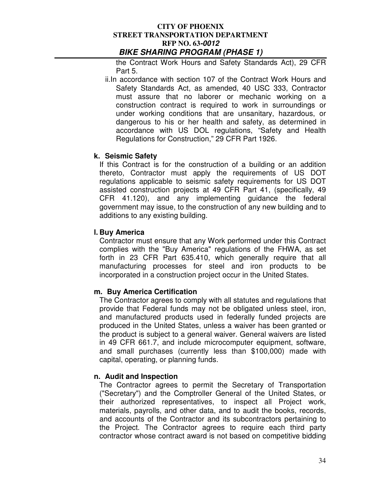the Contract Work Hours and Safety Standards Act), 29 CFR Part 5.

ii.In accordance with section 107 of the Contract Work Hours and Safety Standards Act, as amended, 40 USC 333, Contractor must assure that no laborer or mechanic working on a construction contract is required to work in surroundings or under working conditions that are unsanitary, hazardous, or dangerous to his or her health and safety, as determined in accordance with US DOL regulations, "Safety and Health Regulations for Construction," 29 CFR Part 1926.

## **k. Seismic Safety**

If this Contract is for the construction of a building or an addition thereto, Contractor must apply the requirements of US DOT regulations applicable to seismic safety requirements for US DOT assisted construction projects at 49 CFR Part 41, (specifically, 49 CFR 41.120), and any implementing guidance the federal government may issue, to the construction of any new building and to additions to any existing building.

## **l. Buy America**

Contractor must ensure that any Work performed under this Contract complies with the "Buy America" regulations of the FHWA, as set forth in 23 CFR Part 635.410, which generally require that all manufacturing processes for steel and iron products to be incorporated in a construction project occur in the United States.

## **m. Buy America Certification**

The Contractor agrees to comply with all statutes and regulations that provide that Federal funds may not be obligated unless steel, iron, and manufactured products used in federally funded projects are produced in the United States, unless a waiver has been granted or the product is subject to a general waiver. General waivers are listed in 49 CFR 661.7, and include microcomputer equipment, software, and small purchases (currently less than \$100,000) made with capital, operating, or planning funds.

## **n. Audit and Inspection**

The Contractor agrees to permit the Secretary of Transportation ("Secretary") and the Comptroller General of the United States, or their authorized representatives, to inspect all Project work, materials, payrolls, and other data, and to audit the books, records, and accounts of the Contractor and its subcontractors pertaining to the Project. The Contractor agrees to require each third party contractor whose contract award is not based on competitive bidding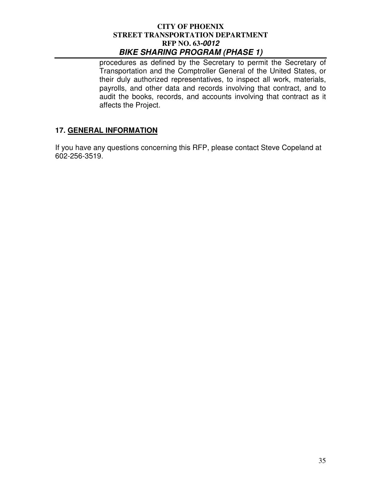procedures as defined by the Secretary to permit the Secretary of Transportation and the Comptroller General of the United States, or their duly authorized representatives, to inspect all work, materials, payrolls, and other data and records involving that contract, and to audit the books, records, and accounts involving that contract as it affects the Project.

## **17. GENERAL INFORMATION**

If you have any questions concerning this RFP, please contact Steve Copeland at 602-256-3519.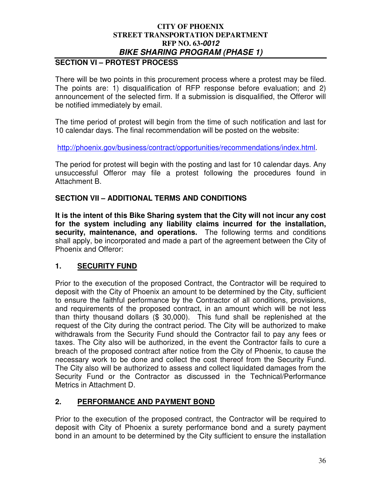# **SECTION VI – PROTEST PROCESS**

There will be two points in this procurement process where a protest may be filed. The points are: 1) disqualification of RFP response before evaluation; and 2) announcement of the selected firm. If a submission is disqualified, the Offeror will be notified immediately by email.

The time period of protest will begin from the time of such notification and last for 10 calendar days. The final recommendation will be posted on the website:

http://phoenix.gov/business/contract/opportunities/recommendations/index.html.

The period for protest will begin with the posting and last for 10 calendar days. Any unsuccessful Offeror may file a protest following the procedures found in Attachment B.

# **SECTION VII – ADDITIONAL TERMS AND CONDITIONS**

**It is the intent of this Bike Sharing system that the City will not incur any cost for the system including any liability claims incurred for the installation, security, maintenance, and operations.** The following terms and conditions shall apply, be incorporated and made a part of the agreement between the City of Phoenix and Offeror:

# **1. SECURITY FUND**

Prior to the execution of the proposed Contract, the Contractor will be required to deposit with the City of Phoenix an amount to be determined by the City, sufficient to ensure the faithful performance by the Contractor of all conditions, provisions, and requirements of the proposed contract, in an amount which will be not less than thirty thousand dollars (\$ 30,000). This fund shall be replenished at the request of the City during the contract period. The City will be authorized to make withdrawals from the Security Fund should the Contractor fail to pay any fees or taxes. The City also will be authorized, in the event the Contractor fails to cure a breach of the proposed contract after notice from the City of Phoenix, to cause the necessary work to be done and collect the cost thereof from the Security Fund. The City also will be authorized to assess and collect liquidated damages from the Security Fund or the Contractor as discussed in the Technical/Performance Metrics in Attachment D.

# **2. PERFORMANCE AND PAYMENT BOND**

Prior to the execution of the proposed contract, the Contractor will be required to deposit with City of Phoenix a surety performance bond and a surety payment bond in an amount to be determined by the City sufficient to ensure the installation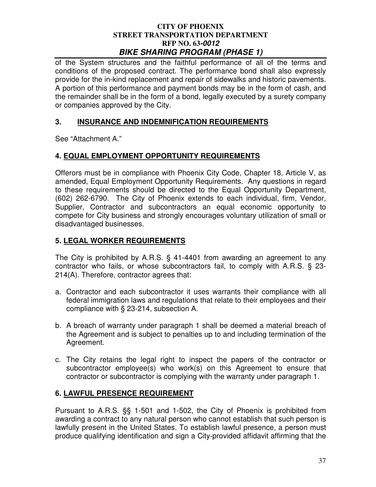of the System structures and the faithful performance of all of the terms and conditions of the proposed contract. The performance bond shall also expressly provide for the in-kind replacement and repair of sidewalks and historic pavements. A portion of this performance and payment bonds may be in the form of cash, and the remainder shall be in the form of a bond, legally executed by a surety company or companies approved by the City.

## **3. INSURANCE AND INDEMNIFICATION REQUIREMENTS**

See "Attachment A."

## **4. EQUAL EMPLOYMENT OPPORTUNITY REQUIREMENTS**

Offerors must be in compliance with Phoenix City Code, Chapter 18, Article V, as amended, Equal Employment Opportunity Requirements. Any questions in regard to these requirements should be directed to the Equal Opportunity Department, (602) 262-6790. The City of Phoenix extends to each individual, firm, Vendor, Supplier, Contractor and subcontractors an equal economic opportunity to compete for City business and strongly encourages voluntary utilization of small or disadvantaged businesses.

# **5. LEGAL WORKER REQUIREMENTS**

The City is prohibited by A.R.S. § 41-4401 from awarding an agreement to any contractor who fails, or whose subcontractors fail, to comply with A.R.S. § 23- 214(A). Therefore, contractor agrees that:

- a. Contractor and each subcontractor it uses warrants their compliance with all federal immigration laws and regulations that relate to their employees and their compliance with § 23-214, subsection A.
- b. A breach of warranty under paragraph 1 shall be deemed a material breach of the Agreement and is subject to penalties up to and including termination of the Agreement.
- c. The City retains the legal right to inspect the papers of the contractor or subcontractor employee(s) who work(s) on this Agreement to ensure that contractor or subcontractor is complying with the warranty under paragraph 1.

## **6. LAWFUL PRESENCE REQUIREMENT**

Pursuant to A.R.S. §§ 1-501 and 1-502, the City of Phoenix is prohibited from awarding a contract to any natural person who cannot establish that such person is lawfully present in the United States. To establish lawful presence, a person must produce qualifying identification and sign a City-provided affidavit affirming that the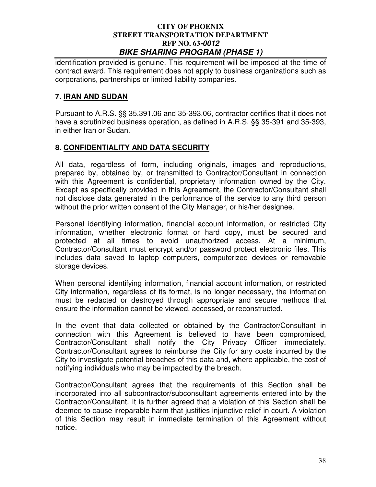identification provided is genuine. This requirement will be imposed at the time of contract award. This requirement does not apply to business organizations such as corporations, partnerships or limited liability companies.

## **7. IRAN AND SUDAN**

Pursuant to A.R.S. §§ 35.391.06 and 35-393.06, contractor certifies that it does not have a scrutinized business operation, as defined in A.R.S. §§ 35-391 and 35-393, in either Iran or Sudan.

## **8. CONFIDENTIALITY AND DATA SECURITY**

All data, regardless of form, including originals, images and reproductions, prepared by, obtained by, or transmitted to Contractor/Consultant in connection with this Agreement is confidential, proprietary information owned by the City. Except as specifically provided in this Agreement, the Contractor/Consultant shall not disclose data generated in the performance of the service to any third person without the prior written consent of the City Manager, or his/her designee.

Personal identifying information, financial account information, or restricted City information, whether electronic format or hard copy, must be secured and protected at all times to avoid unauthorized access. At a minimum, Contractor/Consultant must encrypt and/or password protect electronic files. This includes data saved to laptop computers, computerized devices or removable storage devices.

When personal identifying information, financial account information, or restricted City information, regardless of its format, is no longer necessary, the information must be redacted or destroyed through appropriate and secure methods that ensure the information cannot be viewed, accessed, or reconstructed.

In the event that data collected or obtained by the Contractor/Consultant in connection with this Agreement is believed to have been compromised, Contractor/Consultant shall notify the City Privacy Officer immediately. Contractor/Consultant agrees to reimburse the City for any costs incurred by the City to investigate potential breaches of this data and, where applicable, the cost of notifying individuals who may be impacted by the breach.

Contractor/Consultant agrees that the requirements of this Section shall be incorporated into all subcontractor/subconsultant agreements entered into by the Contractor/Consultant. It is further agreed that a violation of this Section shall be deemed to cause irreparable harm that justifies injunctive relief in court. A violation of this Section may result in immediate termination of this Agreement without notice.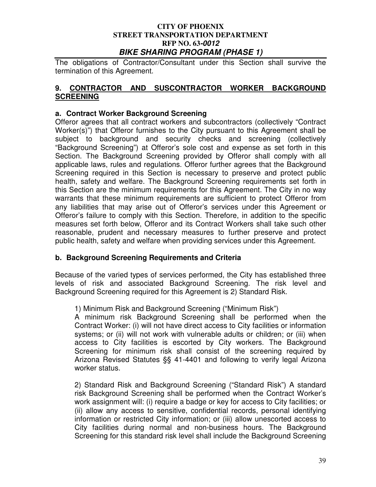The obligations of Contractor/Consultant under this Section shall survive the termination of this Agreement.

## **9. CONTRACTOR AND SUSCONTRACTOR WORKER BACKGROUND SCREENING**

## **a. Contract Worker Background Screening**

Offeror agrees that all contract workers and subcontractors (collectively "Contract Worker(s)") that Offeror furnishes to the City pursuant to this Agreement shall be subject to background and security checks and screening (collectively "Background Screening") at Offeror's sole cost and expense as set forth in this Section. The Background Screening provided by Offeror shall comply with all applicable laws, rules and regulations. Offeror further agrees that the Background Screening required in this Section is necessary to preserve and protect public health, safety and welfare. The Background Screening requirements set forth in this Section are the minimum requirements for this Agreement. The City in no way warrants that these minimum requirements are sufficient to protect Offeror from any liabilities that may arise out of Offeror's services under this Agreement or Offeror's failure to comply with this Section. Therefore, in addition to the specific measures set forth below, Offeror and its Contract Workers shall take such other reasonable, prudent and necessary measures to further preserve and protect public health, safety and welfare when providing services under this Agreement.

#### **b. Background Screening Requirements and Criteria**

Because of the varied types of services performed, the City has established three levels of risk and associated Background Screening. The risk level and Background Screening required for this Agreement is 2) Standard Risk.

1) Minimum Risk and Background Screening ("Minimum Risk")

A minimum risk Background Screening shall be performed when the Contract Worker: (i) will not have direct access to City facilities or information systems; or (ii) will not work with vulnerable adults or children; or (iii) when access to City facilities is escorted by City workers. The Background Screening for minimum risk shall consist of the screening required by Arizona Revised Statutes §§ 41-4401 and following to verify legal Arizona worker status.

2) Standard Risk and Background Screening ("Standard Risk") A standard risk Background Screening shall be performed when the Contract Worker's work assignment will: (i) require a badge or key for access to City facilities; or (ii) allow any access to sensitive, confidential records, personal identifying information or restricted City information; or (iii) allow unescorted access to City facilities during normal and non-business hours. The Background Screening for this standard risk level shall include the Background Screening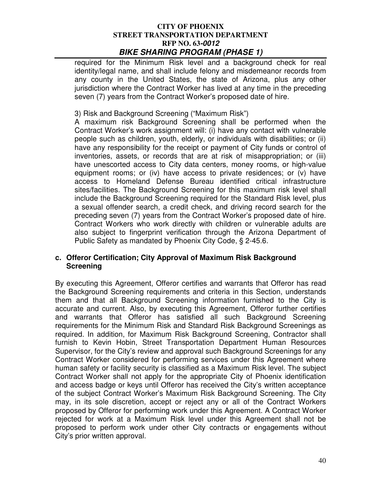required for the Minimum Risk level and a background check for real identity/legal name, and shall include felony and misdemeanor records from any county in the United States, the state of Arizona, plus any other jurisdiction where the Contract Worker has lived at any time in the preceding seven (7) years from the Contract Worker's proposed date of hire.

#### 3) Risk and Background Screening ("Maximum Risk")

A maximum risk Background Screening shall be performed when the Contract Worker's work assignment will: (i) have any contact with vulnerable people such as children, youth, elderly, or individuals with disabilities; or (ii) have any responsibility for the receipt or payment of City funds or control of inventories, assets, or records that are at risk of misappropriation; or (iii) have unescorted access to City data centers, money rooms, or high-value equipment rooms; or (iv) have access to private residences; or (v) have access to Homeland Defense Bureau identified critical infrastructure sites/facilities. The Background Screening for this maximum risk level shall include the Background Screening required for the Standard Risk level, plus a sexual offender search, a credit check, and driving record search for the preceding seven (7) years from the Contract Worker's proposed date of hire. Contract Workers who work directly with children or vulnerable adults are also subject to fingerprint verification through the Arizona Department of Public Safety as mandated by Phoenix City Code, § 2-45.6.

#### **c. Offeror Certification; City Approval of Maximum Risk Background Screening**

By executing this Agreement, Offeror certifies and warrants that Offeror has read the Background Screening requirements and criteria in this Section, understands them and that all Background Screening information furnished to the City is accurate and current. Also, by executing this Agreement, Offeror further certifies and warrants that Offeror has satisfied all such Background Screening requirements for the Minimum Risk and Standard Risk Background Screenings as required. In addition, for Maximum Risk Background Screening, Contractor shall furnish to Kevin Hobin, Street Transportation Department Human Resources Supervisor, for the City's review and approval such Background Screenings for any Contract Worker considered for performing services under this Agreement where human safety or facility security is classified as a Maximum Risk level. The subject Contract Worker shall not apply for the appropriate City of Phoenix identification and access badge or keys until Offeror has received the City's written acceptance of the subject Contract Worker's Maximum Risk Background Screening. The City may, in its sole discretion, accept or reject any or all of the Contract Workers proposed by Offeror for performing work under this Agreement. A Contract Worker rejected for work at a Maximum Risk level under this Agreement shall not be proposed to perform work under other City contracts or engagements without City's prior written approval.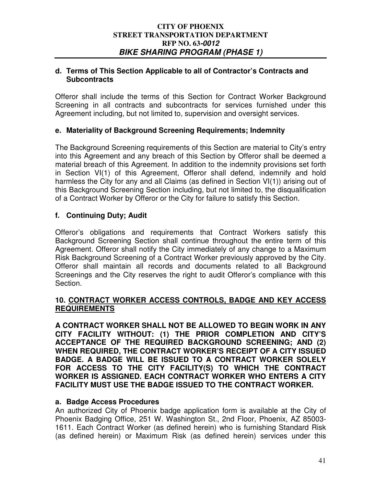#### **d. Terms of This Section Applicable to all of Contractor's Contracts and Subcontracts**

Offeror shall include the terms of this Section for Contract Worker Background Screening in all contracts and subcontracts for services furnished under this Agreement including, but not limited to, supervision and oversight services.

## **e. Materiality of Background Screening Requirements; Indemnity**

The Background Screening requirements of this Section are material to City's entry into this Agreement and any breach of this Section by Offeror shall be deemed a material breach of this Agreement. In addition to the indemnity provisions set forth in Section VI(1) of this Agreement, Offeror shall defend, indemnify and hold harmless the City for any and all Claims (as defined in Section VI(1)) arising out of this Background Screening Section including, but not limited to, the disqualification of a Contract Worker by Offeror or the City for failure to satisfy this Section.

## **f. Continuing Duty; Audit**

Offeror's obligations and requirements that Contract Workers satisfy this Background Screening Section shall continue throughout the entire term of this Agreement. Offeror shall notify the City immediately of any change to a Maximum Risk Background Screening of a Contract Worker previously approved by the City. Offeror shall maintain all records and documents related to all Background Screenings and the City reserves the right to audit Offeror's compliance with this Section.

## **10. CONTRACT WORKER ACCESS CONTROLS, BADGE AND KEY ACCESS REQUIREMENTS**

**A CONTRACT WORKER SHALL NOT BE ALLOWED TO BEGIN WORK IN ANY CITY FACILITY WITHOUT: (1) THE PRIOR COMPLETION AND CITY'S ACCEPTANCE OF THE REQUIRED BACKGROUND SCREENING; AND (2) WHEN REQUIRED, THE CONTRACT WORKER'S RECEIPT OF A CITY ISSUED BADGE. A BADGE WILL BE ISSUED TO A CONTRACT WORKER SOLELY FOR ACCESS TO THE CITY FACILITY(S) TO WHICH THE CONTRACT WORKER IS ASSIGNED. EACH CONTRACT WORKER WHO ENTERS A CITY FACILITY MUST USE THE BADGE ISSUED TO THE CONTRACT WORKER.** 

#### **a. Badge Access Procedures**

An authorized City of Phoenix badge application form is available at the City of Phoenix Badging Office, 251 W. Washington St., 2nd Floor, Phoenix, AZ 85003- 1611. Each Contract Worker (as defined herein) who is furnishing Standard Risk (as defined herein) or Maximum Risk (as defined herein) services under this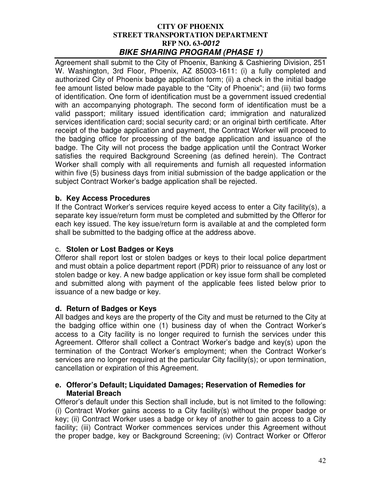Agreement shall submit to the City of Phoenix, Banking & Cashiering Division, 251 W. Washington, 3rd Floor, Phoenix, AZ 85003-1611: (i) a fully completed and authorized City of Phoenix badge application form; (ii) a check in the initial badge fee amount listed below made payable to the "City of Phoenix"; and (iii) two forms of identification. One form of identification must be a government issued credential with an accompanying photograph. The second form of identification must be a valid passport; military issued identification card; immigration and naturalized services identification card; social security card; or an original birth certificate. After receipt of the badge application and payment, the Contract Worker will proceed to the badging office for processing of the badge application and issuance of the badge. The City will not process the badge application until the Contract Worker satisfies the required Background Screening (as defined herein). The Contract Worker shall comply with all requirements and furnish all requested information within five (5) business days from initial submission of the badge application or the subject Contract Worker's badge application shall be rejected.

## **b. Key Access Procedures**

If the Contract Worker's services require keyed access to enter a City facility(s), a separate key issue/return form must be completed and submitted by the Offeror for each key issued. The key issue/return form is available at and the completed form shall be submitted to the badging office at the address above.

## c. **Stolen or Lost Badges or Keys**

Offeror shall report lost or stolen badges or keys to their local police department and must obtain a police department report (PDR) prior to reissuance of any lost or stolen badge or key. A new badge application or key issue form shall be completed and submitted along with payment of the applicable fees listed below prior to issuance of a new badge or key.

## **d. Return of Badges or Keys**

All badges and keys are the property of the City and must be returned to the City at the badging office within one (1) business day of when the Contract Worker's access to a City facility is no longer required to furnish the services under this Agreement. Offeror shall collect a Contract Worker's badge and key(s) upon the termination of the Contract Worker's employment; when the Contract Worker's services are no longer required at the particular City facility(s); or upon termination, cancellation or expiration of this Agreement.

## **e. Offeror's Default; Liquidated Damages; Reservation of Remedies for Material Breach**

Offeror's default under this Section shall include, but is not limited to the following: (i) Contract Worker gains access to a City facility(s) without the proper badge or key; (ii) Contract Worker uses a badge or key of another to gain access to a City facility; (iii) Contract Worker commences services under this Agreement without the proper badge, key or Background Screening; (iv) Contract Worker or Offeror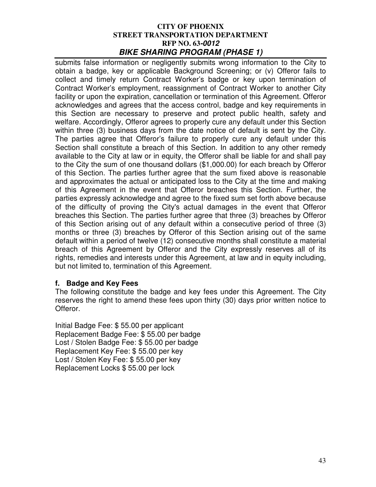submits false information or negligently submits wrong information to the City to obtain a badge, key or applicable Background Screening; or (v) Offeror fails to collect and timely return Contract Worker's badge or key upon termination of Contract Worker's employment, reassignment of Contract Worker to another City facility or upon the expiration, cancellation or termination of this Agreement. Offeror acknowledges and agrees that the access control, badge and key requirements in this Section are necessary to preserve and protect public health, safety and welfare. Accordingly, Offeror agrees to properly cure any default under this Section within three (3) business days from the date notice of default is sent by the City. The parties agree that Offeror's failure to properly cure any default under this Section shall constitute a breach of this Section. In addition to any other remedy available to the City at law or in equity, the Offeror shall be liable for and shall pay to the City the sum of one thousand dollars (\$1,000.00) for each breach by Offeror of this Section. The parties further agree that the sum fixed above is reasonable and approximates the actual or anticipated loss to the City at the time and making of this Agreement in the event that Offeror breaches this Section. Further, the parties expressly acknowledge and agree to the fixed sum set forth above because of the difficulty of proving the City's actual damages in the event that Offeror breaches this Section. The parties further agree that three (3) breaches by Offeror of this Section arising out of any default within a consecutive period of three (3) months or three (3) breaches by Offeror of this Section arising out of the same default within a period of twelve (12) consecutive months shall constitute a material breach of this Agreement by Offeror and the City expressly reserves all of its rights, remedies and interests under this Agreement, at law and in equity including, but not limited to, termination of this Agreement.

#### **f. Badge and Key Fees**

The following constitute the badge and key fees under this Agreement. The City reserves the right to amend these fees upon thirty (30) days prior written notice to Offeror.

Initial Badge Fee: \$ 55.00 per applicant Replacement Badge Fee: \$ 55.00 per badge Lost / Stolen Badge Fee: \$ 55.00 per badge Replacement Key Fee: \$ 55.00 per key Lost / Stolen Key Fee: \$ 55.00 per key Replacement Locks \$ 55.00 per lock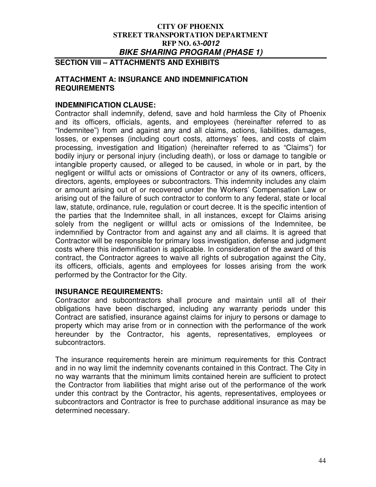**SECTION VIII – ATTACHMENTS AND EXHIBITS** 

#### **ATTACHMENT A: INSURANCE AND INDEMNIFICATION REQUIREMENTS**

## **INDEMNIFICATION CLAUSE:**

Contractor shall indemnify, defend, save and hold harmless the City of Phoenix and its officers, officials, agents, and employees (hereinafter referred to as "Indemnitee") from and against any and all claims, actions, liabilities, damages, losses, or expenses (including court costs, attorneys' fees, and costs of claim processing, investigation and litigation) (hereinafter referred to as "Claims") for bodily injury or personal injury (including death), or loss or damage to tangible or intangible property caused, or alleged to be caused, in whole or in part, by the negligent or willful acts or omissions of Contractor or any of its owners, officers, directors, agents, employees or subcontractors. This indemnity includes any claim or amount arising out of or recovered under the Workers' Compensation Law or arising out of the failure of such contractor to conform to any federal, state or local law, statute, ordinance, rule, regulation or court decree. It is the specific intention of the parties that the Indemnitee shall, in all instances, except for Claims arising solely from the negligent or willful acts or omissions of the Indemnitee, be indemnified by Contractor from and against any and all claims. It is agreed that Contractor will be responsible for primary loss investigation, defense and judgment costs where this indemnification is applicable. In consideration of the award of this contract, the Contractor agrees to waive all rights of subrogation against the City, its officers, officials, agents and employees for losses arising from the work performed by the Contractor for the City.

#### **INSURANCE REQUIREMENTS:**

Contractor and subcontractors shall procure and maintain until all of their obligations have been discharged, including any warranty periods under this Contract are satisfied, insurance against claims for injury to persons or damage to property which may arise from or in connection with the performance of the work hereunder by the Contractor, his agents, representatives, employees or subcontractors.

The insurance requirements herein are minimum requirements for this Contract and in no way limit the indemnity covenants contained in this Contract. The City in no way warrants that the minimum limits contained herein are sufficient to protect the Contractor from liabilities that might arise out of the performance of the work under this contract by the Contractor, his agents, representatives, employees or subcontractors and Contractor is free to purchase additional insurance as may be determined necessary.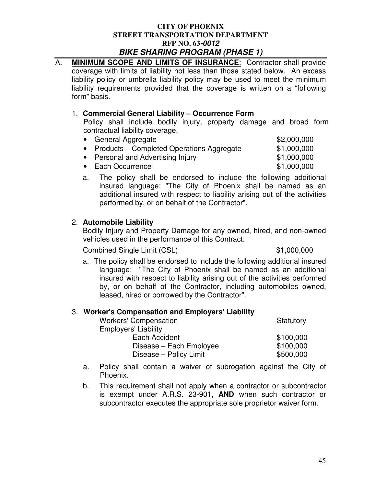A. **MINIMUM SCOPE AND LIMITS OF INSURANCE**:Contractor shall provide

coverage with limits of liability not less than those stated below. An excess

| liability policy or umbrella liability policy may be used to meet the minimum<br>liability requirements provided that the coverage is written on a "following"<br>form" basis. |             |
|--------------------------------------------------------------------------------------------------------------------------------------------------------------------------------|-------------|
| 1. Commercial General Liability – Occurrence Form<br>Policy shall include bodily injury, property damage and broad form<br>contractual liability coverage.                     |             |
| • General Aggregate                                                                                                                                                            | \$2,000,000 |
| • Products – Completed Operations Aggregate                                                                                                                                    | \$1,000,000 |
| • Personal and Advertising Injury                                                                                                                                              | \$1,000,000 |
| • Each Occurrence                                                                                                                                                              | \$1,000,000 |

a. The policy shall be endorsed to include the following additional insured language: "The City of Phoenix shall be named as an additional insured with respect to liability arising out of the activities performed by, or on behalf of the Contractor".

## 2. **Automobile Liability**

Bodily Injury and Property Damage for any owned, hired, and non-owned vehicles used in the performance of this Contract.

Combined Single Limit (CSL) \$1,000,000

a. The policy shall be endorsed to include the following additional insured language: "The City of Phoenix shall be named as an additional insured with respect to liability arising out of the activities performed by, or on behalf of the Contractor, including automobiles owned, leased, hired or borrowed by the Contractor".

#### 3. **Worker's Compensation and Employers' Liability**

| .<br><b>Workers' Compensation</b> | Statutory |
|-----------------------------------|-----------|
| <b>Employers' Liability</b>       |           |
| Each Accident                     | \$100,000 |
| Disease - Each Employee           | \$100,000 |
| Disease - Policy Limit            | \$500,000 |

- a. Policy shall contain a waiver of subrogation against the City of Phoenix.
- b. This requirement shall not apply when a contractor or subcontractor is exempt under A.R.S. 23-901, **AND** when such contractor or subcontractor executes the appropriate sole proprietor waiver form.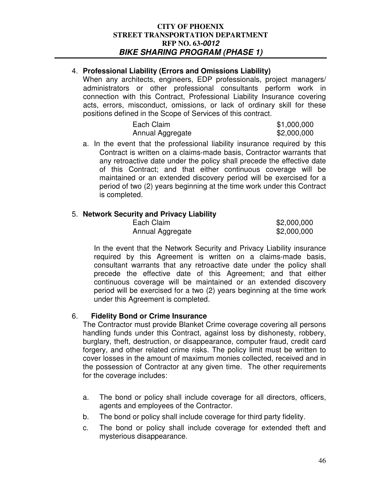## 4. **Professional Liability (Errors and Omissions Liability)**

When any architects, engineers, EDP professionals, project managers/ administrators or other professional consultants perform work in connection with this Contract, Professional Liability Insurance covering acts, errors, misconduct, omissions, or lack of ordinary skill for these positions defined in the Scope of Services of this contract.

| Each Claim       | \$1,000,000 |
|------------------|-------------|
| Annual Aggregate | \$2,000,000 |

a. In the event that the professional liability insurance required by this Contract is written on a claims-made basis, Contractor warrants that any retroactive date under the policy shall precede the effective date of this Contract; and that either continuous coverage will be maintained or an extended discovery period will be exercised for a period of two (2) years beginning at the time work under this Contract is completed.

## 5. **Network Security and Privacy Liability**

| Each Claim       | \$2,000,000 |
|------------------|-------------|
| Annual Aggregate | \$2,000,000 |

In the event that the Network Security and Privacy Liability insurance required by this Agreement is written on a claims-made basis, consultant warrants that any retroactive date under the policy shall precede the effective date of this Agreement; and that either continuous coverage will be maintained or an extended discovery period will be exercised for a two (2) years beginning at the time work under this Agreement is completed.

## 6. **Fidelity Bond or Crime Insurance**

The Contractor must provide Blanket Crime coverage covering all persons handling funds under this Contract, against loss by dishonesty, robbery, burglary, theft, destruction, or disappearance, computer fraud, credit card forgery, and other related crime risks. The policy limit must be written to cover losses in the amount of maximum monies collected, received and in the possession of Contractor at any given time. The other requirements for the coverage includes:

- a. The bond or policy shall include coverage for all directors, officers, agents and employees of the Contractor.
- b. The bond or policy shall include coverage for third party fidelity.
- c. The bond or policy shall include coverage for extended theft and mysterious disappearance.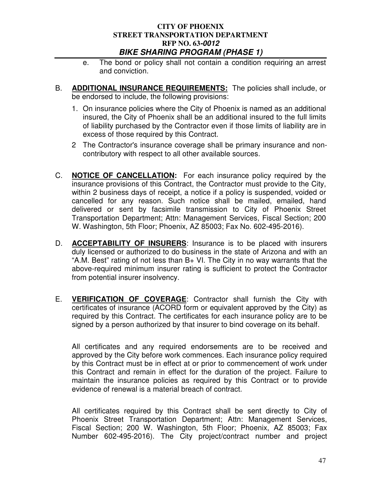- e. The bond or policy shall not contain a condition requiring an arrest and conviction.
- B. **ADDITIONAL INSURANCE REQUIREMENTS:** The policies shall include, or be endorsed to include, the following provisions:
	- 1. On insurance policies where the City of Phoenix is named as an additional insured, the City of Phoenix shall be an additional insured to the full limits of liability purchased by the Contractor even if those limits of liability are in excess of those required by this Contract.
	- 2 The Contractor's insurance coverage shall be primary insurance and noncontributory with respect to all other available sources.
- C. **NOTICE OF CANCELLATION:** For each insurance policy required by the insurance provisions of this Contract, the Contractor must provide to the City, within 2 business days of receipt, a notice if a policy is suspended, voided or cancelled for any reason. Such notice shall be mailed, emailed, hand delivered or sent by facsimile transmission to City of Phoenix Street Transportation Department; Attn: Management Services, Fiscal Section; 200 W. Washington, 5th Floor; Phoenix, AZ 85003; Fax No. 602-495-2016).
- D. **ACCEPTABILITY OF INSURERS**: Insurance is to be placed with insurers duly licensed or authorized to do business in the state of Arizona and with an "A.M. Best" rating of not less than  $B<sub>+</sub>$  VI. The City in no way warrants that the above-required minimum insurer rating is sufficient to protect the Contractor from potential insurer insolvency.
- E. **VERIFICATION OF COVERAGE**: Contractor shall furnish the City with certificates of insurance (ACORD form or equivalent approved by the City) as required by this Contract. The certificates for each insurance policy are to be signed by a person authorized by that insurer to bind coverage on its behalf.

All certificates and any required endorsements are to be received and approved by the City before work commences. Each insurance policy required by this Contract must be in effect at or prior to commencement of work under this Contract and remain in effect for the duration of the project. Failure to maintain the insurance policies as required by this Contract or to provide evidence of renewal is a material breach of contract.

All certificates required by this Contract shall be sent directly to City of Phoenix Street Transportation Department; Attn: Management Services, Fiscal Section; 200 W. Washington, 5th Floor; Phoenix, AZ 85003; Fax Number 602-495-2016). The City project/contract number and project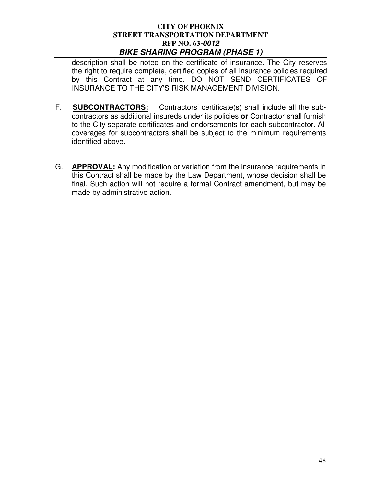description shall be noted on the certificate of insurance. The City reserves the right to require complete, certified copies of all insurance policies required by this Contract at any time. DO NOT SEND CERTIFICATES OF INSURANCE TO THE CITY'S RISK MANAGEMENT DIVISION.

- F. **SUBCONTRACTORS:** Contractors' certificate(s) shall include all the subcontractors as additional insureds under its policies **or** Contractor shall furnish to the City separate certificates and endorsements for each subcontractor. All coverages for subcontractors shall be subject to the minimum requirements identified above.
- G. **APPROVAL:** Any modification or variation from the insurance requirements in this Contract shall be made by the Law Department, whose decision shall be final. Such action will not require a formal Contract amendment, but may be made by administrative action.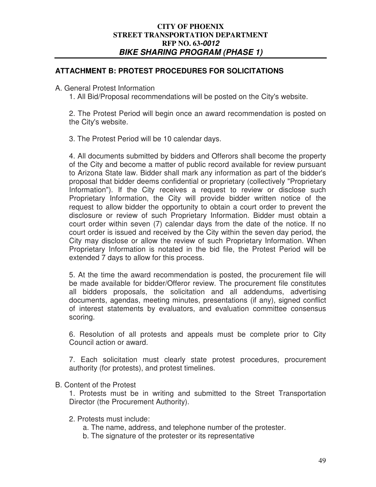## **ATTACHMENT B: PROTEST PROCEDURES FOR SOLICITATIONS**

A. General Protest Information

1. All Bid/Proposal recommendations will be posted on the City's website.

2. The Protest Period will begin once an award recommendation is posted on the City's website.

3. The Protest Period will be 10 calendar days.

4. All documents submitted by bidders and Offerors shall become the property of the City and become a matter of public record available for review pursuant to Arizona State law. Bidder shall mark any information as part of the bidder's proposal that bidder deems confidential or proprietary (collectively "Proprietary Information"). If the City receives a request to review or disclose such Proprietary Information, the City will provide bidder written notice of the request to allow bidder the opportunity to obtain a court order to prevent the disclosure or review of such Proprietary Information. Bidder must obtain a court order within seven (7) calendar days from the date of the notice. If no court order is issued and received by the City within the seven day period, the City may disclose or allow the review of such Proprietary Information. When Proprietary Information is notated in the bid file, the Protest Period will be extended 7 days to allow for this process.

5. At the time the award recommendation is posted, the procurement file will be made available for bidder/Offeror review. The procurement file constitutes all bidders proposals, the solicitation and all addendums, advertising documents, agendas, meeting minutes, presentations (if any), signed conflict of interest statements by evaluators, and evaluation committee consensus scoring.

6. Resolution of all protests and appeals must be complete prior to City Council action or award.

7. Each solicitation must clearly state protest procedures, procurement authority (for protests), and protest timelines.

#### B. Content of the Protest

1. Protests must be in writing and submitted to the Street Transportation Director (the Procurement Authority).

#### 2. Protests must include:

- a. The name, address, and telephone number of the protester.
- b. The signature of the protester or its representative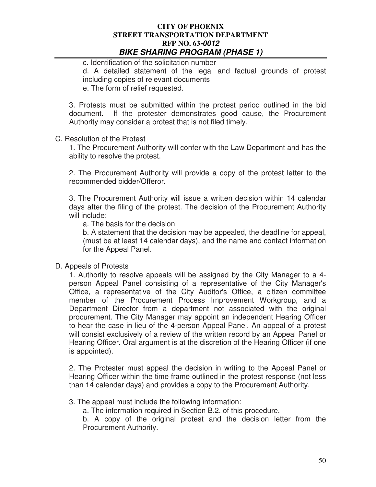c. Identification of the solicitation number d. A detailed statement of the legal and factual grounds of protest including copies of relevant documents e. The form of relief requested.

3. Protests must be submitted within the protest period outlined in the bid document. If the protester demonstrates good cause, the Procurement Authority may consider a protest that is not filed timely.

#### C. Resolution of the Protest

1. The Procurement Authority will confer with the Law Department and has the ability to resolve the protest.

2. The Procurement Authority will provide a copy of the protest letter to the recommended bidder/Offeror.

3. The Procurement Authority will issue a written decision within 14 calendar days after the filing of the protest. The decision of the Procurement Authority will include:

a. The basis for the decision

b. A statement that the decision may be appealed, the deadline for appeal, (must be at least 14 calendar days), and the name and contact information for the Appeal Panel.

#### D. Appeals of Protests

1. Authority to resolve appeals will be assigned by the City Manager to a 4 person Appeal Panel consisting of a representative of the City Manager's Office, a representative of the City Auditor's Office, a citizen committee member of the Procurement Process Improvement Workgroup, and a Department Director from a department not associated with the original procurement. The City Manager may appoint an independent Hearing Officer to hear the case in lieu of the 4-person Appeal Panel. An appeal of a protest will consist exclusively of a review of the written record by an Appeal Panel or Hearing Officer. Oral argument is at the discretion of the Hearing Officer (if one is appointed).

2. The Protester must appeal the decision in writing to the Appeal Panel or Hearing Officer within the time frame outlined in the protest response (not less than 14 calendar days) and provides a copy to the Procurement Authority.

3. The appeal must include the following information:

a. The information required in Section B.2. of this procedure.

b. A copy of the original protest and the decision letter from the Procurement Authority.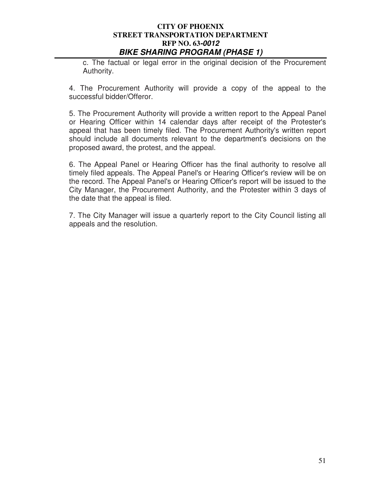c. The factual or legal error in the original decision of the Procurement Authority.

4. The Procurement Authority will provide a copy of the appeal to the successful bidder/Offeror.

5. The Procurement Authority will provide a written report to the Appeal Panel or Hearing Officer within 14 calendar days after receipt of the Protester's appeal that has been timely filed. The Procurement Authority's written report should include all documents relevant to the department's decisions on the proposed award, the protest, and the appeal.

6. The Appeal Panel or Hearing Officer has the final authority to resolve all timely filed appeals. The Appeal Panel's or Hearing Officer's review will be on the record. The Appeal Panel's or Hearing Officer's report will be issued to the City Manager, the Procurement Authority, and the Protester within 3 days of the date that the appeal is filed.

7. The City Manager will issue a quarterly report to the City Council listing all appeals and the resolution.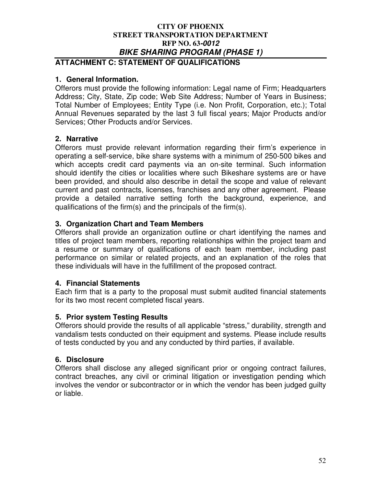# **ATTACHMENT C: STATEMENT OF QUALIFICATIONS**

## **1. General Information.**

Offerors must provide the following information: Legal name of Firm; Headquarters Address; City, State, Zip code; Web Site Address; Number of Years in Business; Total Number of Employees; Entity Type (i.e. Non Profit, Corporation, etc.); Total Annual Revenues separated by the last 3 full fiscal years; Major Products and/or Services; Other Products and/or Services.

## **2. Narrative**

Offerors must provide relevant information regarding their firm's experience in operating a self-service, bike share systems with a minimum of 250-500 bikes and which accepts credit card payments via an on-site terminal. Such information should identify the cities or localities where such Bikeshare systems are or have been provided, and should also describe in detail the scope and value of relevant current and past contracts, licenses, franchises and any other agreement. Please provide a detailed narrative setting forth the background, experience, and qualifications of the firm(s) and the principals of the firm(s).

#### **3. Organization Chart and Team Members**

Offerors shall provide an organization outline or chart identifying the names and titles of project team members, reporting relationships within the project team and a resume or summary of qualifications of each team member, including past performance on similar or related projects, and an explanation of the roles that these individuals will have in the fulfillment of the proposed contract.

#### **4. Financial Statements**

Each firm that is a party to the proposal must submit audited financial statements for its two most recent completed fiscal years.

#### **5. Prior system Testing Results**

Offerors should provide the results of all applicable "stress," durability, strength and vandalism tests conducted on their equipment and systems. Please include results of tests conducted by you and any conducted by third parties, if available.

#### **6. Disclosure**

Offerors shall disclose any alleged significant prior or ongoing contract failures, contract breaches, any civil or criminal litigation or investigation pending which involves the vendor or subcontractor or in which the vendor has been judged guilty or liable.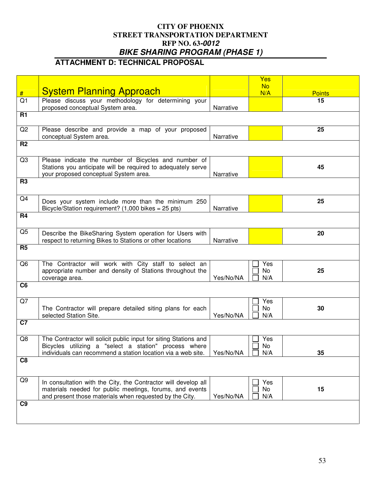# **ATTACHMENT D: TECHNICAL PROPOSAL**

|                 |                                                                                                                                                                                           |           | Yes              |               |
|-----------------|-------------------------------------------------------------------------------------------------------------------------------------------------------------------------------------------|-----------|------------------|---------------|
| #               | <b>System Planning Approach</b>                                                                                                                                                           |           | <b>No</b><br>N/A | <b>Points</b> |
| $\overline{Q1}$ | Please discuss your methodology for determining your<br>proposed conceptual System area.                                                                                                  | Narrative |                  | 15            |
| <b>R1</b>       |                                                                                                                                                                                           |           |                  |               |
| Q2              | Please describe and provide a map of your proposed<br>conceptual System area.                                                                                                             | Narrative |                  | 25            |
| R <sub>2</sub>  |                                                                                                                                                                                           |           |                  |               |
| Q3              | Please indicate the number of Bicycles and number of<br>Stations you anticipate will be required to adequately serve<br>your proposed conceptual System area.                             | Narrative |                  | 45            |
| R <sub>3</sub>  |                                                                                                                                                                                           |           |                  |               |
| Q4              | Does your system include more than the minimum 250<br>Bicycle/Station requirement? (1,000 bikes = 25 pts)                                                                                 | Narrative |                  | 25            |
| R <sub>4</sub>  |                                                                                                                                                                                           |           |                  |               |
| Q <sub>5</sub>  | Describe the BikeSharing System operation for Users with<br>respect to returning Bikes to Stations or other locations                                                                     | Narrative |                  | 20            |
| R <sub>5</sub>  |                                                                                                                                                                                           |           |                  |               |
| Q6              | The Contractor will work with City staff to select an<br>appropriate number and density of Stations throughout the<br>coverage area.                                                      | Yes/No/NA | Yes<br>No<br>N/A | 25            |
| C <sub>6</sub>  |                                                                                                                                                                                           |           |                  |               |
| Q7              | The Contractor will prepare detailed siting plans for each<br>selected Station Site.                                                                                                      | Yes/No/NA | Yes<br>No<br>N/A | 30            |
| $\overline{C7}$ |                                                                                                                                                                                           |           |                  |               |
| Q8              | The Contractor will solicit public input for siting Stations and<br>Bicycles utilizing a "select a station" process where<br>individuals can recommend a station location via a web site. | Yes/No/NA | Yes<br>No<br>N/A | 35            |
| C <sub>8</sub>  |                                                                                                                                                                                           |           |                  |               |
| Q9              | In consultation with the City, the Contractor will develop all<br>materials needed for public meetings, forums, and events<br>and present those materials when requested by the City.     | Yes/No/NA | Yes<br>No<br>N/A | 15            |
| C <sub>9</sub>  |                                                                                                                                                                                           |           |                  |               |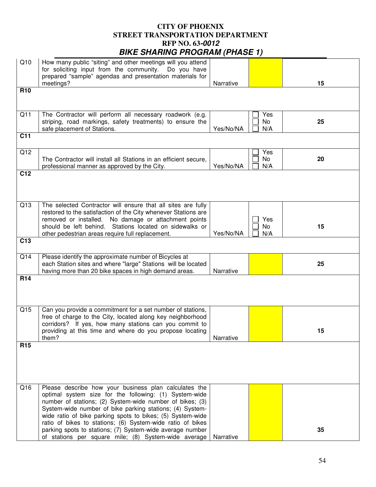| Q10             | How many public "siting" and other meetings will you attend<br>for soliciting input from the community. Do you have<br>prepared "sample" agendas and presentation materials for<br>meetings?                                                                                                          | Narrative |                  | 15 |  |
|-----------------|-------------------------------------------------------------------------------------------------------------------------------------------------------------------------------------------------------------------------------------------------------------------------------------------------------|-----------|------------------|----|--|
| <b>R10</b>      |                                                                                                                                                                                                                                                                                                       |           |                  |    |  |
| Q11             | The Contractor will perform all necessary roadwork (e.g.<br>striping, road markings, safety treatments) to ensure the<br>safe placement of Stations.                                                                                                                                                  | Yes/No/NA | Yes<br>No<br>N/A | 25 |  |
| C <sub>11</sub> |                                                                                                                                                                                                                                                                                                       |           |                  |    |  |
| Q12             | The Contractor will install all Stations in an efficient secure,<br>professional manner as approved by the City.                                                                                                                                                                                      | Yes/No/NA | Yes<br>No<br>N/A | 20 |  |
| C <sub>12</sub> |                                                                                                                                                                                                                                                                                                       |           |                  |    |  |
| Q13             | The selected Contractor will ensure that all sites are fully<br>restored to the satisfaction of the City whenever Stations are<br>removed or installed. No damage or attachment points<br>should be left behind. Stations located on sidewalks or<br>other pedestrian areas require full replacement. | Yes/No/NA | Yes<br>No<br>N/A | 15 |  |
| C <sub>13</sub> |                                                                                                                                                                                                                                                                                                       |           |                  |    |  |
| Q14             | Please identify the approximate number of Bicycles at<br>each Station sites and where "large" Stations will be located<br>having more than 20 bike spaces in high demand areas.                                                                                                                       | Narrative |                  | 25 |  |
| R <sub>14</sub> |                                                                                                                                                                                                                                                                                                       |           |                  |    |  |
| Q15             | Can you provide a commitment for a set number of stations,<br>free of charge to the City, located along key neighborhood<br>corridors? If yes, how many stations can you commit to<br>providing at this time and where do you propose locating<br>them?                                               | Narrative |                  | 15 |  |
| R <sub>15</sub> |                                                                                                                                                                                                                                                                                                       |           |                  |    |  |
| Q16             | Please describe how your business plan calculates the<br>optimal system size for the following: (1) System-wide<br>number of stations; (2) System-wide number of bikes; (3)                                                                                                                           |           |                  |    |  |
|                 | System-wide number of bike parking stations; (4) System-<br>wide ratio of bike parking spots to bikes; (5) System-wide<br>ratio of bikes to stations; (6) System-wide ratio of bikes                                                                                                                  |           |                  |    |  |
|                 | parking spots to stations; (7) System-wide average number<br>of stations per square mile; (8) System-wide average                                                                                                                                                                                     | Narrative |                  | 35 |  |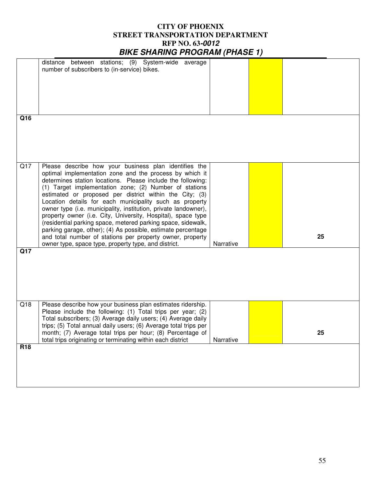|                 | distance between stations; (9) System-wide average                                                                           |           |    |
|-----------------|------------------------------------------------------------------------------------------------------------------------------|-----------|----|
|                 | number of subscribers to (in-service) bikes.                                                                                 |           |    |
|                 |                                                                                                                              |           |    |
|                 |                                                                                                                              |           |    |
|                 |                                                                                                                              |           |    |
|                 |                                                                                                                              |           |    |
|                 |                                                                                                                              |           |    |
| Q16             |                                                                                                                              |           |    |
|                 |                                                                                                                              |           |    |
|                 |                                                                                                                              |           |    |
|                 |                                                                                                                              |           |    |
|                 |                                                                                                                              |           |    |
|                 |                                                                                                                              |           |    |
| Q17             | Please describe how your business plan identifies the                                                                        |           |    |
|                 | optimal implementation zone and the process by which it                                                                      |           |    |
|                 | determines station locations. Please include the following:                                                                  |           |    |
|                 | (1) Target implementation zone; (2) Number of stations                                                                       |           |    |
|                 | estimated or proposed per district within the City; (3)                                                                      |           |    |
|                 | Location details for each municipality such as property                                                                      |           |    |
|                 | owner type (i.e. municipality, institution, private landowner),                                                              |           |    |
|                 | property owner (i.e. City, University, Hospital), space type<br>(residential parking space, metered parking space, sidewalk, |           |    |
|                 | parking garage, other); (4) As possible, estimate percentage                                                                 |           |    |
|                 | and total number of stations per property owner, property                                                                    |           | 25 |
|                 | owner type, space type, property type, and district.                                                                         | Narrative |    |
| Q17             |                                                                                                                              |           |    |
|                 |                                                                                                                              |           |    |
|                 |                                                                                                                              |           |    |
|                 |                                                                                                                              |           |    |
|                 |                                                                                                                              |           |    |
|                 |                                                                                                                              |           |    |
|                 |                                                                                                                              |           |    |
| Q18             | Please describe how your business plan estimates ridership.                                                                  |           |    |
|                 | Please include the following: (1) Total trips per year; (2)                                                                  |           |    |
|                 | Total subscribers; (3) Average daily users; (4) Average daily                                                                |           |    |
|                 | trips; (5) Total annual daily users; (6) Average total trips per                                                             |           |    |
|                 | month; (7) Average total trips per hour; (8) Percentage of                                                                   |           | 25 |
|                 | total trips originating or terminating within each district                                                                  | Narrative |    |
| R <sub>18</sub> |                                                                                                                              |           |    |
|                 |                                                                                                                              |           |    |
|                 |                                                                                                                              |           |    |
|                 |                                                                                                                              |           |    |
|                 |                                                                                                                              |           |    |
|                 |                                                                                                                              |           |    |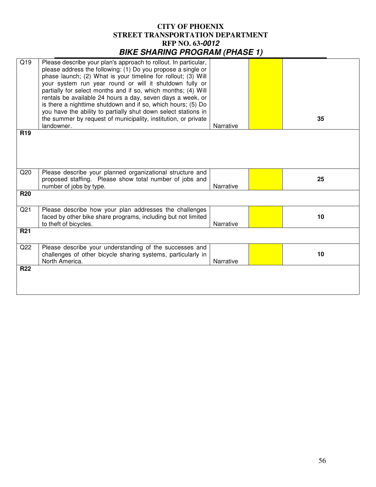| Q19             | Please describe your plan's approach to rollout. In particular, |           |    |
|-----------------|-----------------------------------------------------------------|-----------|----|
|                 | please address the following: (1) Do you propose a single or    |           |    |
|                 |                                                                 |           |    |
|                 | phase launch; (2) What is your timeline for rollout; (3) Will   |           |    |
|                 | your system run year round or will it shutdown fully or         |           |    |
|                 | partially for select months and if so, which months; (4) Will   |           |    |
|                 |                                                                 |           |    |
|                 | rentals be available 24 hours a day, seven days a week, or      |           |    |
|                 | is there a nighttime shutdown and if so, which hours; (5) Do    |           |    |
|                 | you have the ability to partially shut down select stations in  |           |    |
|                 | the summer by request of municipality, institution, or private  |           | 35 |
|                 | landowner.                                                      | Narrative |    |
|                 |                                                                 |           |    |
| R <sub>19</sub> |                                                                 |           |    |
|                 |                                                                 |           |    |
|                 |                                                                 |           |    |
|                 |                                                                 |           |    |
|                 |                                                                 |           |    |
|                 |                                                                 |           |    |
| Q20             | Please describe your planned organizational structure and       |           |    |
|                 |                                                                 |           |    |
|                 | proposed staffing. Please show total number of jobs and         |           | 25 |
|                 | number of jobs by type.                                         | Narrative |    |
| <b>R20</b>      |                                                                 |           |    |
|                 |                                                                 |           |    |
|                 |                                                                 |           |    |
| Q <sub>21</sub> | Please describe how your plan addresses the challenges          |           |    |
|                 | faced by other bike share programs, including but not limited   |           | 10 |
|                 | to theft of bicycles.                                           | Narrative |    |
|                 |                                                                 |           |    |
| <b>R21</b>      |                                                                 |           |    |
|                 |                                                                 |           |    |
| Q22             | Please describe your understanding of the successes and         |           |    |
|                 |                                                                 |           | 10 |
|                 | challenges of other bicycle sharing systems, particularly in    |           |    |
|                 | North America.                                                  | Narrative |    |
| <b>R22</b>      |                                                                 |           |    |
|                 |                                                                 |           |    |
|                 |                                                                 |           |    |
|                 |                                                                 |           |    |
|                 |                                                                 |           |    |
|                 |                                                                 |           |    |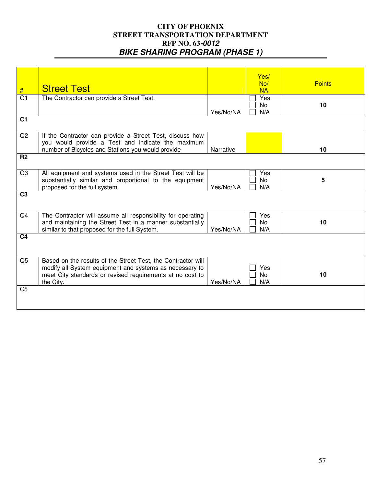| #<br>Q <sub>1</sub><br>C <sub>1</sub> | <b>Street Test</b><br>The Contractor can provide a Street Test.                                                                                                                                   | Yes/No/NA | Yes/<br>No/<br><b>NA</b><br>Yes<br><b>No</b><br>N/A | <b>Points</b><br>10 |
|---------------------------------------|---------------------------------------------------------------------------------------------------------------------------------------------------------------------------------------------------|-----------|-----------------------------------------------------|---------------------|
| Q2                                    | If the Contractor can provide a Street Test, discuss how<br>you would provide a Test and indicate the maximum<br>number of Bicycles and Stations you would provide                                | Narrative |                                                     | 10                  |
| R <sub>2</sub>                        |                                                                                                                                                                                                   |           |                                                     |                     |
| Q <sub>3</sub>                        | All equipment and systems used in the Street Test will be<br>substantially similar and proportional to the equipment<br>proposed for the full system.                                             | Yes/No/NA | Yes<br>No<br>N/A                                    | 5                   |
| C <sub>3</sub>                        |                                                                                                                                                                                                   |           |                                                     |                     |
| Q4                                    | The Contractor will assume all responsibility for operating<br>and maintaining the Street Test in a manner substantially<br>similar to that proposed for the full System.                         | Yes/No/NA | Yes<br><b>No</b><br>N/A                             | 10                  |
| C <sub>4</sub>                        |                                                                                                                                                                                                   |           |                                                     |                     |
| Q <sub>5</sub>                        | Based on the results of the Street Test, the Contractor will<br>modify all System equipment and systems as necessary to<br>meet City standards or revised requirements at no cost to<br>the City. | Yes/No/NA | Yes<br><b>No</b><br>N/A                             | 10                  |
| C <sub>5</sub>                        |                                                                                                                                                                                                   |           |                                                     |                     |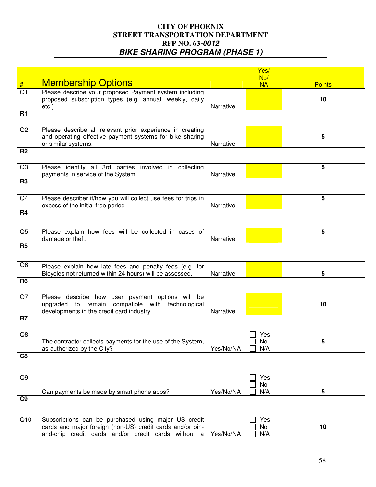|                 |                                                                |           | Yes/      |               |
|-----------------|----------------------------------------------------------------|-----------|-----------|---------------|
|                 |                                                                |           | No/       |               |
| #               | <b>Membership Options</b>                                      |           | <b>NA</b> | <b>Points</b> |
| Q1              | Please describe your proposed Payment system including         |           |           |               |
|                 | proposed subscription types (e.g. annual, weekly, daily        |           |           | 10            |
|                 | $etc.$ )                                                       | Narrative |           |               |
| <b>R1</b>       |                                                                |           |           |               |
|                 |                                                                |           |           |               |
|                 |                                                                |           |           |               |
| Q <sub>2</sub>  | Please describe all relevant prior experience in creating      |           |           |               |
|                 | and operating effective payment systems for bike sharing       |           |           | 5             |
|                 | or similar systems.                                            | Narrative |           |               |
| R <sub>2</sub>  |                                                                |           |           |               |
|                 |                                                                |           |           |               |
|                 |                                                                |           |           |               |
| Q <sub>3</sub>  | Please identify all 3rd parties involved in collecting         |           |           | 5             |
|                 | payments in service of the System.                             | Narrative |           |               |
| $\overline{R3}$ |                                                                |           |           |               |
|                 |                                                                |           |           |               |
|                 |                                                                |           |           |               |
| Q4              | Please describer if/how you will collect use fees for trips in |           |           | 5             |
|                 | excess of the initial free period.                             | Narrative |           |               |
| <b>R4</b>       |                                                                |           |           |               |
|                 |                                                                |           |           |               |
|                 |                                                                |           |           |               |
| Q <sub>5</sub>  | Please explain how fees will be collected in cases of          |           |           | 5             |
|                 | damage or theft.                                               | Narrative |           |               |
| R <sub>5</sub>  |                                                                |           |           |               |
|                 |                                                                |           |           |               |
|                 |                                                                |           |           |               |
| Q <sub>6</sub>  | Please explain how late fees and penalty fees (e.g. for        |           |           |               |
|                 | Bicycles not returned within 24 hours) will be assessed.       | Narrative |           | 5             |
| R <sub>6</sub>  |                                                                |           |           |               |
|                 |                                                                |           |           |               |
|                 |                                                                |           |           |               |
| Q7              | Please describe how user payment options will be               |           |           |               |
|                 | upgraded to remain compatible with technological               |           |           | 10            |
|                 | developments in the credit card industry.                      | Narrative |           |               |
| R <sub>7</sub>  |                                                                |           |           |               |
|                 |                                                                |           |           |               |
|                 |                                                                |           |           |               |
| Q8              |                                                                |           | Yes       |               |
|                 | The contractor collects payments for the use of the System,    |           | No.       | 5             |
|                 | as authorized by the City?                                     | Yes/No/NA | N/A       |               |
| C <sub>8</sub>  |                                                                |           |           |               |
|                 |                                                                |           |           |               |
|                 |                                                                |           |           |               |
| Q9              |                                                                |           | Yes       |               |
|                 |                                                                |           | No        |               |
|                 |                                                                | Yes/No/NA |           |               |
|                 | Can payments be made by smart phone apps?                      |           | N/A       | 5             |
| C <sub>9</sub>  |                                                                |           |           |               |
|                 |                                                                |           |           |               |
|                 |                                                                |           |           |               |
| Q10             | Subscriptions can be purchased using major US credit           |           | Yes       |               |
|                 | cards and major foreign (non-US) credit cards and/or pin-      |           | No        | 10            |
|                 | and-chip credit cards and/or credit cards without a            | Yes/No/NA | N/A       |               |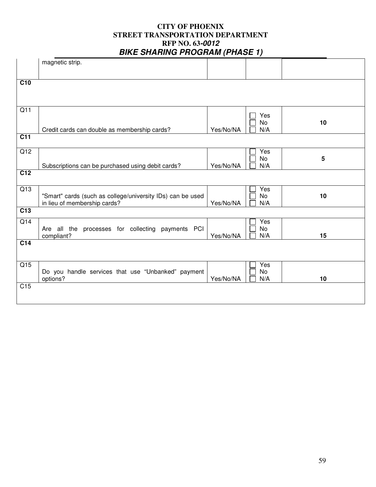|                  | magnetic strip.                                            |           |           |                 |
|------------------|------------------------------------------------------------|-----------|-----------|-----------------|
|                  |                                                            |           |           |                 |
| $\overline{C10}$ |                                                            |           |           |                 |
|                  |                                                            |           |           |                 |
|                  |                                                            |           |           |                 |
|                  |                                                            |           |           |                 |
| Q11              |                                                            |           | Yes       |                 |
|                  |                                                            |           | <b>No</b> | 10              |
|                  | Credit cards can double as membership cards?               | Yes/No/NA | N/A       |                 |
| $\overline{C11}$ |                                                            |           |           |                 |
|                  |                                                            |           |           |                 |
| $\overline{Q12}$ |                                                            |           | Yes       |                 |
|                  |                                                            |           | No        | $5\phantom{.0}$ |
|                  | Subscriptions can be purchased using debit cards?          | Yes/No/NA | N/A       |                 |
| $\overline{C12}$ |                                                            |           |           |                 |
|                  |                                                            |           |           |                 |
| $\overline{Q13}$ |                                                            |           | Yes       |                 |
|                  | "Smart" cards (such as college/university IDs) can be used |           | No        | 10              |
|                  | in lieu of membership cards?                               | Yes/No/NA | N/A       |                 |
| $\overline{C13}$ |                                                            |           |           |                 |
| $\overline{Q14}$ |                                                            |           | Yes       |                 |
|                  | Are all the processes for collecting payments PCI          |           | No        |                 |
|                  | compliant?                                                 | Yes/No/NA | N/A       | 15              |
| $\overline{C14}$ |                                                            |           |           |                 |
|                  |                                                            |           |           |                 |
|                  |                                                            |           |           |                 |
| $\overline{Q15}$ |                                                            |           | Yes       |                 |
|                  | Do you handle services that use "Unbanked" payment         | Yes/No/NA | No<br>N/A | 10              |
| C <sub>15</sub>  | options?                                                   |           |           |                 |
|                  |                                                            |           |           |                 |
|                  |                                                            |           |           |                 |
|                  |                                                            |           |           |                 |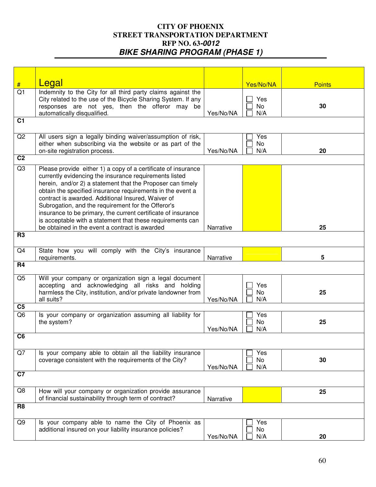|                      | Legal                                                                                                                       |           |           |               |
|----------------------|-----------------------------------------------------------------------------------------------------------------------------|-----------|-----------|---------------|
| #<br>$\overline{Q1}$ | Indemnity to the City for all third party claims against the                                                                |           | Yes/No/NA | <b>Points</b> |
|                      | City related to the use of the Bicycle Sharing System. If any                                                               |           | Yes       |               |
|                      | responses are not yes, then the offeror may be                                                                              |           | No        | 30            |
|                      | automatically disqualified.                                                                                                 | Yes/No/NA | N/A       |               |
| C <sub>1</sub>       |                                                                                                                             |           |           |               |
| Q2                   | All users sign a legally binding waiver/assumption of risk,                                                                 |           | Yes       |               |
|                      | either when subscribing via the website or as part of the                                                                   |           | No        |               |
|                      | on-site registration process.                                                                                               | Yes/No/NA | N/A       | 20            |
| C <sub>2</sub>       |                                                                                                                             |           |           |               |
| Q3                   | Please provide either 1) a copy of a certificate of insurance                                                               |           |           |               |
|                      | currently evidencing the insurance requirements listed                                                                      |           |           |               |
|                      | herein, and/or 2) a statement that the Proposer can timely                                                                  |           |           |               |
|                      | obtain the specified insurance requirements in the event a                                                                  |           |           |               |
|                      | contract is awarded. Additional Insured, Waiver of                                                                          |           |           |               |
|                      | Subrogation, and the requirement for the Offeror's                                                                          |           |           |               |
|                      | insurance to be primary, the current certificate of insurance<br>is acceptable with a statement that these requirements can |           |           |               |
|                      | be obtained in the event a contract is awarded                                                                              | Narrative |           | 25            |
| <b>R3</b>            |                                                                                                                             |           |           |               |
|                      |                                                                                                                             |           |           |               |
| Q4                   | State how you will comply with the City's insurance                                                                         |           |           |               |
|                      | requirements.                                                                                                               | Narrative |           | 5             |
| <b>R4</b>            |                                                                                                                             |           |           |               |
| Q5                   | Will your company or organization sign a legal document                                                                     |           |           |               |
|                      | accepting and acknowledging all risks and holding                                                                           |           | Yes       |               |
|                      | harmless the City, institution, and/or private landowner from<br>all suits?                                                 | Yes/No/NA | No<br>N/A | 25            |
| C <sub>5</sub>       |                                                                                                                             |           |           |               |
| Q <sub>6</sub>       | Is your company or organization assuming all liability for                                                                  |           | Yes       |               |
|                      | the system?                                                                                                                 |           | No        | 25            |
|                      |                                                                                                                             | Yes/No/NA | N/A       |               |
| C <sub>6</sub>       |                                                                                                                             |           |           |               |
| Q7                   | Is your company able to obtain all the liability insurance                                                                  |           | Yes       |               |
|                      | coverage consistent with the requirements of the City?                                                                      |           | No        | 30            |
|                      |                                                                                                                             | Yes/No/NA | N/A       |               |
| C7                   |                                                                                                                             |           |           |               |
| Q8                   | How will your company or organization provide assurance                                                                     |           |           | 25            |
|                      | of financial sustainability through term of contract?                                                                       | Narrative |           |               |
| R <sub>8</sub>       |                                                                                                                             |           |           |               |
| Q9                   | Is your company able to name the City of Phoenix as                                                                         |           | Yes       |               |
|                      | additional insured on your liability insurance policies?                                                                    |           | No        |               |
|                      |                                                                                                                             | Yes/No/NA | N/A       | 20            |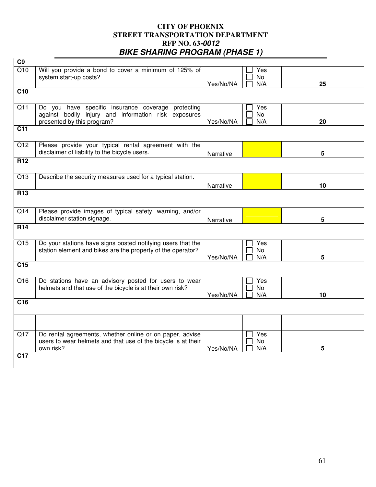| C9               |                                                                                                                                          |           |                         |    |
|------------------|------------------------------------------------------------------------------------------------------------------------------------------|-----------|-------------------------|----|
| Q10              | Will you provide a bond to cover a minimum of 125% of<br>system start-up costs?                                                          | Yes/No/NA | Yes<br>No<br>N/A        | 25 |
| C10              |                                                                                                                                          |           |                         |    |
| Q11              | Do you have specific insurance coverage protecting<br>against bodily injury and information risk exposures<br>presented by this program? | Yes/No/NA | Yes<br>No<br>N/A        | 20 |
| $\overline{C11}$ |                                                                                                                                          |           |                         |    |
| $\overline{Q12}$ | Please provide your typical rental agreement with the<br>disclaimer of liability to the bicycle users.                                   | Narrative |                         | 5  |
| R12              |                                                                                                                                          |           |                         |    |
| $\overline{Q13}$ | Describe the security measures used for a typical station.                                                                               | Narrative |                         | 10 |
| R <sub>13</sub>  |                                                                                                                                          |           |                         |    |
| Q14              | Please provide images of typical safety, warning, and/or<br>disclaimer station signage.                                                  | Narrative |                         | 5  |
| <b>R14</b>       |                                                                                                                                          |           |                         |    |
| $\overline{Q15}$ | Do your stations have signs posted notifying users that the<br>station element and bikes are the property of the operator?               | Yes/No/NA | Yes<br><b>No</b><br>N/A | 5  |
| $\overline{C15}$ |                                                                                                                                          |           |                         |    |
| Q16              | Do stations have an advisory posted for users to wear<br>helmets and that use of the bicycle is at their own risk?                       | Yes/No/NA | Yes<br><b>No</b><br>N/A | 10 |
| $\overline{C16}$ |                                                                                                                                          |           |                         |    |
|                  |                                                                                                                                          |           |                         |    |
| Q17              | Do rental agreements, whether online or on paper, advise<br>users to wear helmets and that use of the bicycle is at their<br>own risk?   | Yes/No/NA | Yes<br><b>No</b><br>N/A | 5  |
| C <sub>17</sub>  |                                                                                                                                          |           |                         |    |
|                  |                                                                                                                                          |           |                         |    |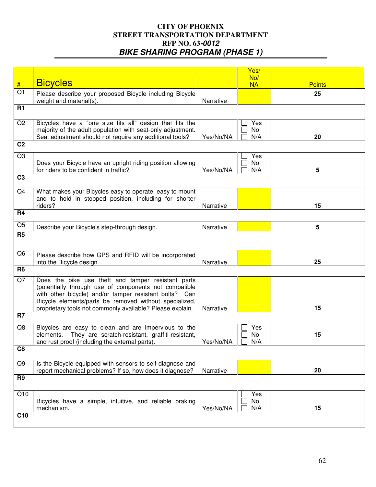|                 |                                                                                                                                                                                                                                 |           | Yes/             |               |
|-----------------|---------------------------------------------------------------------------------------------------------------------------------------------------------------------------------------------------------------------------------|-----------|------------------|---------------|
|                 |                                                                                                                                                                                                                                 |           | No/              |               |
| #               | <b>Bicycles</b>                                                                                                                                                                                                                 |           | <b>NA</b>        | <b>Points</b> |
| Q <sub>1</sub>  | Please describe your proposed Bicycle including Bicycle<br>weight and material(s).                                                                                                                                              | Narrative |                  | 25            |
| <b>R1</b>       |                                                                                                                                                                                                                                 |           |                  |               |
| Q2              | Bicycles have a "one size fits all" design that fits the<br>majority of the adult population with seat-only adjustment.                                                                                                         |           | Yes<br>No        |               |
|                 | Seat adjustment should not require any additional tools?                                                                                                                                                                        | Yes/No/NA | N/A              | 20            |
| C <sub>2</sub>  |                                                                                                                                                                                                                                 |           |                  |               |
| Q <sub>3</sub>  |                                                                                                                                                                                                                                 |           | Yes              |               |
|                 | Does your Bicycle have an upright riding position allowing<br>for riders to be confident in traffic?                                                                                                                            | Yes/No/NA | No<br>N/A        | 5             |
| C <sub>3</sub>  |                                                                                                                                                                                                                                 |           |                  |               |
| Q4              | What makes your Bicycles easy to operate, easy to mount                                                                                                                                                                         |           |                  |               |
|                 | and to hold in stopped position, including for shorter<br>riders?                                                                                                                                                               | Narrative |                  | 15            |
| <b>R4</b>       |                                                                                                                                                                                                                                 |           |                  |               |
| Q <sub>5</sub>  | Describe your Bicycle's step-through design.                                                                                                                                                                                    | Narrative |                  | 5             |
| R <sub>5</sub>  |                                                                                                                                                                                                                                 |           |                  |               |
| Q <sub>6</sub>  | Please describe how GPS and RFID will be incorporated<br>into the Bicycle design.                                                                                                                                               | Narrative |                  | 25            |
| R <sub>6</sub>  |                                                                                                                                                                                                                                 |           |                  |               |
| Q7              | Does the bike use theft and tamper resistant parts<br>(potentially through use of components not compatible<br>with other bicycle) and/or tamper resistant bolts? Can<br>Bicycle elements/parts be removed without specialized, |           |                  |               |
|                 | proprietary tools not commonly available? Please explain.                                                                                                                                                                       | Narrative |                  | 15            |
| R <sub>7</sub>  |                                                                                                                                                                                                                                 |           |                  |               |
| Q8              | Bicycles are easy to clean and are impervious to the<br>elements. They are scratch-resistant, graffiti-resistant,<br>and rust proof (including the external parts).                                                             | Yes/No/NA | Yes<br>No<br>N/A | 15            |
| C <sub>8</sub>  |                                                                                                                                                                                                                                 |           |                  |               |
| Q <sub>9</sub>  | Is the Bicycle equipped with sensors to self-diagnose and<br>report mechanical problems? If so, how does it diagnose?                                                                                                           | Narrative |                  | 20            |
| R <sub>9</sub>  |                                                                                                                                                                                                                                 |           |                  |               |
|                 |                                                                                                                                                                                                                                 |           |                  |               |
| Q10             | Bicycles have a simple, intuitive, and reliable braking                                                                                                                                                                         |           | Yes<br>No        |               |
|                 | mechanism.                                                                                                                                                                                                                      | Yes/No/NA | N/A              | 15            |
| C <sub>10</sub> |                                                                                                                                                                                                                                 |           |                  |               |
|                 |                                                                                                                                                                                                                                 |           |                  |               |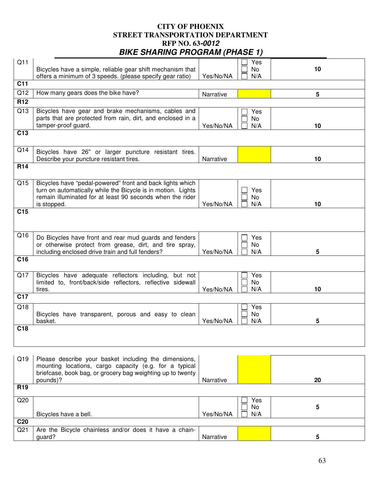|                  |                                                                                                                                                                                                       |           | - 1              |    |
|------------------|-------------------------------------------------------------------------------------------------------------------------------------------------------------------------------------------------------|-----------|------------------|----|
| Q11              | Bicycles have a simple, reliable gear shift mechanism that<br>offers a minimum of 3 speeds. (please specify gear ratio)                                                                               | Yes/No/NA | Yes<br>No<br>N/A | 10 |
| C <sub>11</sub>  |                                                                                                                                                                                                       |           |                  |    |
| Q12              | How many gears does the bike have?                                                                                                                                                                    | Narrative |                  | 5  |
| R <sub>12</sub>  |                                                                                                                                                                                                       |           |                  |    |
| Q13              | Bicycles have gear and brake mechanisms, cables and<br>parts that are protected from rain, dirt, and enclosed in a<br>tamper-proof guard.                                                             | Yes/No/NA | Yes<br>No<br>N/A | 10 |
| C13              |                                                                                                                                                                                                       |           |                  |    |
| Q14              | Bicycles have 26" or larger puncture resistant tires.<br>Describe your puncture resistant tires.                                                                                                      | Narrative |                  | 10 |
| R <sub>14</sub>  |                                                                                                                                                                                                       |           |                  |    |
| Q15              | Bicycles have "pedal-powered" front and back lights which<br>turn on automatically while the Bicycle is in motion. Lights<br>remain illuminated for at least 90 seconds when the rider<br>is stopped. | Yes/No/NA | Yes<br>No<br>N/A | 10 |
| C <sub>15</sub>  |                                                                                                                                                                                                       |           |                  |    |
| Q16              | Do Bicycles have front and rear mud guards and fenders<br>or otherwise protect from grease, dirt, and tire spray,<br>including enclosed drive train and full fenders?                                 | Yes/No/NA | Yes<br>No<br>N/A | 5  |
| C <sub>16</sub>  |                                                                                                                                                                                                       |           |                  |    |
| Q17              | Bicycles have adequate reflectors including, but not<br>limited to, front/back/side reflectors, reflective sidewall<br>tires.                                                                         | Yes/No/NA | Yes<br>No<br>N/A | 10 |
| $\overline{C17}$ |                                                                                                                                                                                                       |           |                  |    |
| Q18              | Bicycles have transparent, porous and easy to clean<br>basket.                                                                                                                                        | Yes/No/NA | Yes<br>No<br>N/A | 5  |
| C <sub>18</sub>  |                                                                                                                                                                                                       |           |                  |    |
|                  |                                                                                                                                                                                                       |           |                  |    |
| Q19              | Please describe your basket including the dimensions,<br>mounting locations, cargo capacity (e.g. for a typical                                                                                       |           |                  |    |

|                 | briefcase, book bag, or grocery bag weighting up to twenty<br>pounds)? | Narrative |                   | 20 |
|-----------------|------------------------------------------------------------------------|-----------|-------------------|----|
| R <sub>19</sub> |                                                                        |           |                   |    |
| Q20             | Bicycles have a bell.                                                  | Yes/No/NA | Yes<br>No.<br>N/A |    |
| C <sub>20</sub> |                                                                        |           |                   |    |
| Q <sub>21</sub> | Are the Bicycle chainless and/or does it have a chain-<br>guard?       | Narrative |                   | 5  |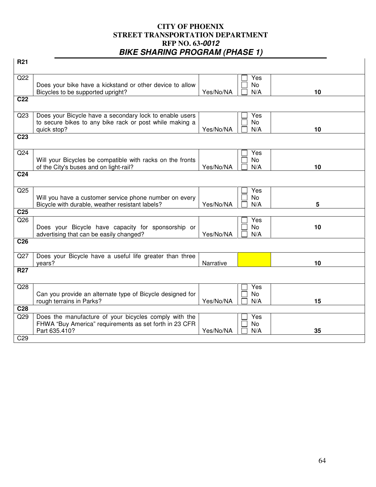| R <sub>21</sub> |                                                                                                           |           |           |    |
|-----------------|-----------------------------------------------------------------------------------------------------------|-----------|-----------|----|
|                 |                                                                                                           |           |           |    |
| Q22             |                                                                                                           |           | Yes       |    |
|                 | Does your bike have a kickstand or other device to allow                                                  |           | No        | 10 |
| C <sub>22</sub> | Bicycles to be supported upright?                                                                         | Yes/No/NA | N/A       |    |
|                 |                                                                                                           |           |           |    |
| Q <sub>23</sub> | Does your Bicycle have a secondary lock to enable users                                                   |           | Yes       |    |
|                 | to secure bikes to any bike rack or post while making a                                                   |           | No        |    |
|                 | quick stop?                                                                                               | Yes/No/NA | N/A       | 10 |
| C <sub>23</sub> |                                                                                                           |           |           |    |
| Q24             |                                                                                                           |           | Yes       |    |
|                 | Will your Bicycles be compatible with racks on the fronts                                                 |           | No        |    |
|                 | of the City's buses and on light-rail?                                                                    | Yes/No/NA | N/A       | 10 |
| C <sub>24</sub> |                                                                                                           |           |           |    |
|                 |                                                                                                           |           |           |    |
| Q <sub>25</sub> |                                                                                                           |           | Yes       |    |
|                 | Will you have a customer service phone number on every<br>Bicycle with durable, weather resistant labels? | Yes/No/NA | No<br>N/A | 5  |
| C <sub>25</sub> |                                                                                                           |           |           |    |
| Q26             |                                                                                                           |           | Yes       |    |
|                 | Does your Bicycle have capacity for sponsorship or                                                        |           | No        | 10 |
|                 | advertising that can be easily changed?                                                                   | Yes/No/NA | N/A       |    |
| C <sub>26</sub> |                                                                                                           |           |           |    |
| Q27             | Does your Bicycle have a useful life greater than three                                                   |           |           |    |
|                 | years?                                                                                                    | Narrative |           | 10 |
| <b>R27</b>      |                                                                                                           |           |           |    |
|                 |                                                                                                           |           |           |    |
| Q28             |                                                                                                           |           | Yes       |    |
|                 | Can you provide an alternate type of Bicycle designed for<br>rough terrains in Parks?                     | Yes/No/NA | No<br>N/A | 15 |
| C <sub>28</sub> |                                                                                                           |           |           |    |
| Q29             | Does the manufacture of your bicycles comply with the                                                     |           | Yes       |    |
|                 | FHWA "Buy America" requirements as set forth in 23 CFR                                                    |           | No        |    |
|                 | Part 635.410?                                                                                             | Yes/No/NA | N/A       | 35 |
| C <sub>29</sub> |                                                                                                           |           |           |    |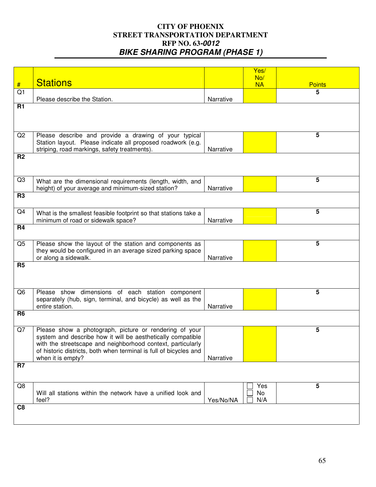|                |                                                                   |           | Yes/      |               |
|----------------|-------------------------------------------------------------------|-----------|-----------|---------------|
|                |                                                                   |           | No/       |               |
| #              | <b>Stations</b>                                                   |           | <b>NA</b> | <b>Points</b> |
| Q <sub>1</sub> |                                                                   |           |           | 5             |
|                | Please describe the Station.                                      | Narrative |           |               |
| <b>R1</b>      |                                                                   |           |           |               |
|                |                                                                   |           |           |               |
|                |                                                                   |           |           |               |
|                |                                                                   |           |           |               |
|                |                                                                   |           |           |               |
| Q2             | Please describe and provide a drawing of your typical             |           |           | 5             |
|                | Station layout. Please indicate all proposed roadwork (e.g.       |           |           |               |
|                |                                                                   |           |           |               |
|                | striping, road markings, safety treatments).                      | Narrative |           |               |
| R <sub>2</sub> |                                                                   |           |           |               |
|                |                                                                   |           |           |               |
|                |                                                                   |           |           |               |
| Q3             |                                                                   |           |           | 5             |
|                | What are the dimensional requirements (length, width, and         |           |           |               |
|                | height) of your average and minimum-sized station?                | Narrative |           |               |
| R <sub>3</sub> |                                                                   |           |           |               |
|                |                                                                   |           |           |               |
|                |                                                                   |           |           |               |
| Q4             | What is the smallest feasible footprint so that stations take a   |           |           | 5             |
|                | minimum of road or sidewalk space?                                | Narrative |           |               |
| <b>R4</b>      |                                                                   |           |           |               |
|                |                                                                   |           |           |               |
|                |                                                                   |           |           |               |
| Q <sub>5</sub> | Please show the layout of the station and components as           |           |           | 5             |
|                | they would be configured in an average sized parking space        |           |           |               |
|                | or along a sidewalk.                                              | Narrative |           |               |
| R <sub>5</sub> |                                                                   |           |           |               |
|                |                                                                   |           |           |               |
|                |                                                                   |           |           |               |
|                |                                                                   |           |           |               |
|                |                                                                   |           |           |               |
| Q <sub>6</sub> | Please show dimensions of each station component                  |           |           | 5             |
|                | separately (hub, sign, terminal, and bicycle) as well as the      |           |           |               |
|                | entire station.                                                   | Narrative |           |               |
| R <sub>6</sub> |                                                                   |           |           |               |
|                |                                                                   |           |           |               |
|                |                                                                   |           |           |               |
| Q7             | Please show a photograph, picture or rendering of your            |           |           | 5             |
|                | system and describe how it will be aesthetically compatible       |           |           |               |
|                | with the streetscape and neighborhood context, particularly       |           |           |               |
|                | of historic districts, both when terminal is full of bicycles and |           |           |               |
|                | when it is empty?                                                 | Narrative |           |               |
|                |                                                                   |           |           |               |
| R <sub>7</sub> |                                                                   |           |           |               |
|                |                                                                   |           |           |               |
|                |                                                                   |           |           |               |
| Q8             |                                                                   |           | Yes       | 5             |
|                | Will all stations within the network have a unified look and      |           | No        |               |
|                | feel?                                                             | Yes/No/NA | N/A       |               |
| C <sub>8</sub> |                                                                   |           |           |               |
|                |                                                                   |           |           |               |
|                |                                                                   |           |           |               |
|                |                                                                   |           |           |               |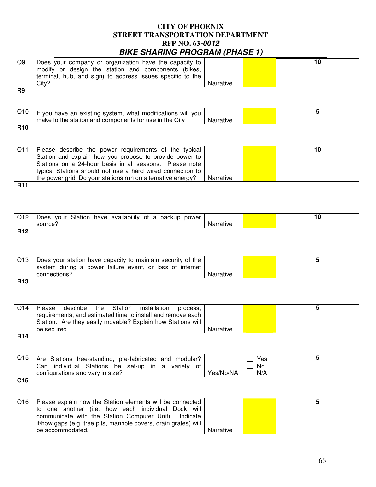| Q <sub>9</sub>  | Does your company or organization have the capacity to<br>modify or design the station and components (bikes,<br>terminal, hub, and sign) to address issues specific to the<br>City?                                                                                                                     | Narrative |                  | 10 |
|-----------------|----------------------------------------------------------------------------------------------------------------------------------------------------------------------------------------------------------------------------------------------------------------------------------------------------------|-----------|------------------|----|
| R <sub>9</sub>  |                                                                                                                                                                                                                                                                                                          |           |                  |    |
| Q10             | If you have an existing system, what modifications will you<br>make to the station and components for use in the City                                                                                                                                                                                    | Narrative |                  | 5  |
| <b>R10</b>      |                                                                                                                                                                                                                                                                                                          |           |                  |    |
| Q11             | Please describe the power requirements of the typical<br>Station and explain how you propose to provide power to<br>Stations on a 24-hour basis in all seasons. Please note<br>typical Stations should not use a hard wired connection to<br>the power grid. Do your stations run on alternative energy? | Narrative |                  | 10 |
| <b>R11</b>      |                                                                                                                                                                                                                                                                                                          |           |                  |    |
| Q12             | Does your Station have availability of a backup power<br>source?                                                                                                                                                                                                                                         | Narrative |                  | 10 |
| R <sub>12</sub> |                                                                                                                                                                                                                                                                                                          |           |                  |    |
| Q13             | Does your station have capacity to maintain security of the<br>system during a power failure event, or loss of internet<br>connections?                                                                                                                                                                  | Narrative |                  | 5  |
| R <sub>13</sub> |                                                                                                                                                                                                                                                                                                          |           |                  |    |
| Q14             | Please<br>describe<br>the<br>Station<br>installation<br>process,<br>requirements, and estimated time to install and remove each<br>Station. Are they easily movable? Explain how Stations will<br>be secured.                                                                                            | Narrative |                  | 5  |
| <b>R14</b>      |                                                                                                                                                                                                                                                                                                          |           |                  |    |
| Q15             | Are Stations free-standing, pre-fabricated and modular?<br>Can individual Stations be set-up in a variety of<br>configurations and vary in size?                                                                                                                                                         | Yes/No/NA | Yes<br>No<br>N/A | 5  |
| C <sub>15</sub> |                                                                                                                                                                                                                                                                                                          |           |                  |    |
| Q16             | Please explain how the Station elements will be connected<br>to one another (i.e. how each individual Dock will<br>communicate with the Station Computer Unit). Indicate<br>if/how gaps (e.g. tree pits, manhole covers, drain grates) will<br>be accommodated.                                          | Narrative |                  | 5  |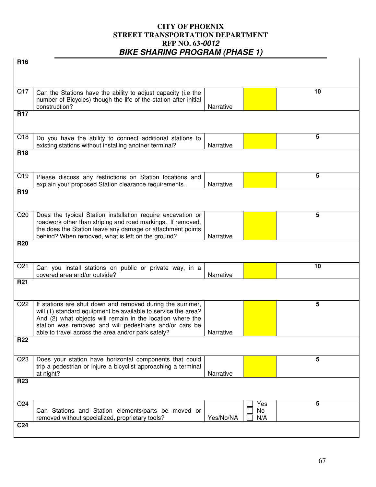| <b>R16</b>      |                                                                                                                                   |           |     |    |
|-----------------|-----------------------------------------------------------------------------------------------------------------------------------|-----------|-----|----|
|                 |                                                                                                                                   |           |     |    |
|                 |                                                                                                                                   |           |     |    |
| Q17             |                                                                                                                                   |           |     | 10 |
|                 | Can the Stations have the ability to adjust capacity (i.e the<br>number of Bicycles) though the life of the station after initial |           |     |    |
|                 | construction?                                                                                                                     | Narrative |     |    |
| <b>R17</b>      |                                                                                                                                   |           |     |    |
|                 |                                                                                                                                   |           |     |    |
| Q18             | Do you have the ability to connect additional stations to                                                                         |           |     | 5  |
|                 | existing stations without installing another terminal?                                                                            | Narrative |     |    |
| <b>R18</b>      |                                                                                                                                   |           |     |    |
|                 |                                                                                                                                   |           |     |    |
| Q19             |                                                                                                                                   |           |     | 5  |
|                 | Please discuss any restrictions on Station locations and<br>explain your proposed Station clearance requirements.                 | Narrative |     |    |
| R <sub>19</sub> |                                                                                                                                   |           |     |    |
|                 |                                                                                                                                   |           |     |    |
|                 |                                                                                                                                   |           |     |    |
| Q20             | Does the typical Station installation require excavation or<br>roadwork other than striping and road markings. If removed,        |           |     | 5  |
|                 | the does the Station leave any damage or attachment points                                                                        |           |     |    |
|                 | behind? When removed, what is left on the ground?                                                                                 | Narrative |     |    |
| <b>R20</b>      |                                                                                                                                   |           |     |    |
|                 |                                                                                                                                   |           |     |    |
| Q <sub>21</sub> | Can you install stations on public or private way, in a                                                                           |           |     | 10 |
|                 | covered area and/or outside?                                                                                                      | Narrative |     |    |
| <b>R21</b>      |                                                                                                                                   |           |     |    |
|                 |                                                                                                                                   |           |     |    |
| Q22             | If stations are shut down and removed during the summer,                                                                          |           |     | 5  |
|                 | will (1) standard equipment be available to service the area?                                                                     |           |     |    |
|                 | And (2) what objects will remain in the location where the                                                                        |           |     |    |
|                 | station was removed and will pedestrians and/or cars be<br>able to travel across the area and/or park safely?                     | Narrative |     |    |
| <b>R22</b>      |                                                                                                                                   |           |     |    |
|                 |                                                                                                                                   |           |     |    |
| Q <sub>23</sub> | Does your station have horizontal components that could                                                                           |           |     | 5  |
|                 | trip a pedestrian or injure a bicyclist approaching a terminal                                                                    |           |     |    |
|                 | at night?                                                                                                                         | Narrative |     |    |
| <b>R23</b>      |                                                                                                                                   |           |     |    |
|                 |                                                                                                                                   |           |     |    |
| Q24             |                                                                                                                                   |           | Yes | 5  |
|                 | Can Stations and Station elements/parts be moved or                                                                               |           | No  |    |
| C <sub>24</sub> | removed without specialized, proprietary tools?                                                                                   | Yes/No/NA | N/A |    |
|                 |                                                                                                                                   |           |     |    |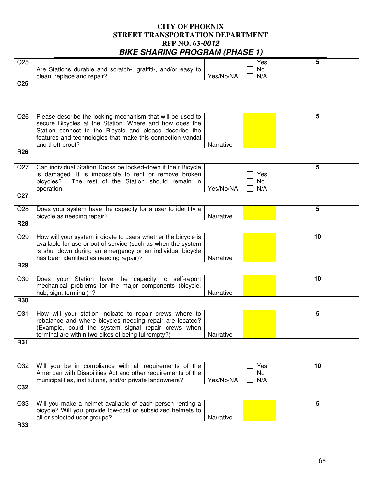| Q25             |                                                                                                            |           | Yes | 5  |
|-----------------|------------------------------------------------------------------------------------------------------------|-----------|-----|----|
|                 | Are Stations durable and scratch-, graffiti-, and/or easy to                                               |           | No  |    |
|                 | clean, replace and repair?                                                                                 | Yes/No/NA | N/A |    |
| C <sub>25</sub> |                                                                                                            |           |     |    |
|                 |                                                                                                            |           |     |    |
|                 |                                                                                                            |           |     |    |
|                 |                                                                                                            |           |     |    |
| Q26             | Please describe the locking mechanism that will be used to                                                 |           |     | 5  |
|                 | secure Bicycles at the Station. Where and how does the                                                     |           |     |    |
|                 | Station connect to the Bicycle and please describe the                                                     |           |     |    |
|                 | features and technologies that make this connection vandal<br>and theft-proof?                             | Narrative |     |    |
| <b>R26</b>      |                                                                                                            |           |     |    |
|                 |                                                                                                            |           |     |    |
| Q27             | Can individual Station Docks be locked-down if their Bicycle                                               |           |     | 5  |
|                 | is damaged. It is impossible to rent or remove broken                                                      |           | Yes |    |
|                 | The rest of the Station should remain in<br>bicycles?                                                      |           | No  |    |
|                 | operation.                                                                                                 | Yes/No/NA | N/A |    |
| C <sub>27</sub> |                                                                                                            |           |     |    |
|                 |                                                                                                            |           |     |    |
| Q28             | Does your system have the capacity for a user to identify a                                                | Narrative |     | 5  |
| <b>R28</b>      | bicycle as needing repair?                                                                                 |           |     |    |
|                 |                                                                                                            |           |     |    |
| Q29             | How will your system indicate to users whether the bicycle is                                              |           |     | 10 |
|                 | available for use or out of service (such as when the system                                               |           |     |    |
|                 | is shut down during an emergency or an individual bicycle                                                  |           |     |    |
|                 | has been identified as needing repair)?                                                                    | Narrative |     |    |
| <b>R29</b>      |                                                                                                            |           |     |    |
| Q30             | Does your Station have the capacity to self-report                                                         |           |     | 10 |
|                 | mechanical problems for the major components (bicycle,                                                     |           |     |    |
|                 | hub, sign, terminal) ?                                                                                     | Narrative |     |    |
| <b>R30</b>      |                                                                                                            |           |     |    |
|                 |                                                                                                            |           |     |    |
| Q <sub>31</sub> | How will your station indicate to repair crews where to                                                    |           |     | 5  |
|                 | rebalance and where bicycles needing repair are located?                                                   |           |     |    |
|                 | (Example, could the system signal repair crews when<br>terminal are within two bikes of being full/empty?) | Narrative |     |    |
| <b>R31</b>      |                                                                                                            |           |     |    |
|                 |                                                                                                            |           |     |    |
|                 |                                                                                                            |           |     |    |
| Q32             | Will you be in compliance with all requirements of the                                                     |           | Yes | 10 |
|                 | American with Disabilities Act and other requirements of the                                               |           | No  |    |
|                 | municipalities, institutions, and/or private landowners?                                                   | Yes/No/NA | N/A |    |
| C32             |                                                                                                            |           |     |    |
|                 |                                                                                                            |           |     |    |
| Q <sub>33</sub> | Will you make a helmet available of each person renting a                                                  |           |     | 5  |
|                 | bicycle? Will you provide low-cost or subsidized helmets to                                                |           |     |    |
|                 | all or selected user groups?                                                                               | Narrative |     |    |
| <b>R33</b>      |                                                                                                            |           |     |    |
|                 |                                                                                                            |           |     |    |
|                 |                                                                                                            |           |     |    |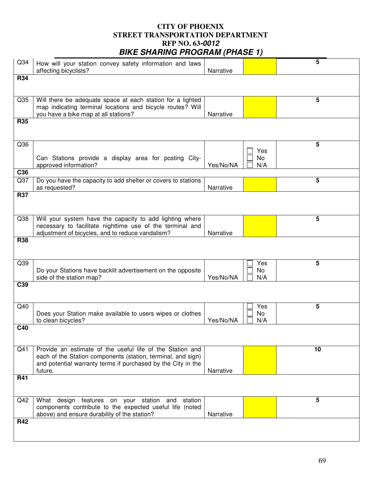| Q <sub>34</sub> | How will your station convey safety information and laws<br>affecting bicyclists?                                            | Narrative |           | 5               |
|-----------------|------------------------------------------------------------------------------------------------------------------------------|-----------|-----------|-----------------|
| <b>R34</b>      |                                                                                                                              |           |           |                 |
|                 |                                                                                                                              |           |           |                 |
| Q <sub>35</sub> | Will there be adequate space at each station for a lighted                                                                   |           |           | 5               |
|                 | map indicating terminal locations and bicycle routes? Will<br>you have a bike map at all stations?                           | Narrative |           |                 |
| <b>R35</b>      |                                                                                                                              |           |           |                 |
|                 |                                                                                                                              |           |           |                 |
| Q36             |                                                                                                                              |           |           | $5\phantom{.0}$ |
|                 | Can Stations provide a display area for posting City-                                                                        |           | Yes<br>No |                 |
|                 | approved information?                                                                                                        | Yes/No/NA | N/A       |                 |
| C36             |                                                                                                                              |           |           |                 |
| Q <sub>37</sub> | Do you have the capacity to add shelter or covers to stations<br>as requested?                                               | Narrative |           | 5               |
| <b>R37</b>      |                                                                                                                              |           |           |                 |
|                 |                                                                                                                              |           |           |                 |
| Q <sub>38</sub> | Will your system have the capacity to add lighting where                                                                     |           |           | 5               |
|                 | necessary to facilitate nighttime use of the terminal and<br>adjustment of bicycles, and to reduce vandalism?                | Narrative |           |                 |
| <b>R38</b>      |                                                                                                                              |           |           |                 |
|                 |                                                                                                                              |           |           |                 |
| Q39             |                                                                                                                              |           | Yes       | 5               |
|                 | Do your Stations have backlit advertisement on the opposite<br>side of the station map?                                      | Yes/No/NA | No<br>N/A |                 |
| C <sub>39</sub> |                                                                                                                              |           |           |                 |
|                 |                                                                                                                              |           |           |                 |
| Q40             |                                                                                                                              |           | Yes       | 5               |
|                 | Does your Station make available to users wipes or clothes                                                                   |           | No        |                 |
| C40             | to clean bicycles?                                                                                                           | Yes/No/NA | N/A       |                 |
|                 |                                                                                                                              |           |           |                 |
| Q <sub>41</sub> | Provide an estimate of the useful life of the Station and                                                                    |           |           | 10              |
|                 | each of the Station components (station, terminal, and sign)<br>and potential warranty terms if purchased by the City in the |           |           |                 |
|                 | future.                                                                                                                      | Narrative |           |                 |
| <b>R41</b>      |                                                                                                                              |           |           |                 |
|                 |                                                                                                                              |           |           |                 |
| Q42             | on your station<br>What design features<br>station<br>and                                                                    |           |           | 5               |
|                 | components contribute to the expected useful life (noted<br>above) and ensure durability of the station?                     | Narrative |           |                 |
| <b>R42</b>      |                                                                                                                              |           |           |                 |
|                 |                                                                                                                              |           |           |                 |
|                 |                                                                                                                              |           |           |                 |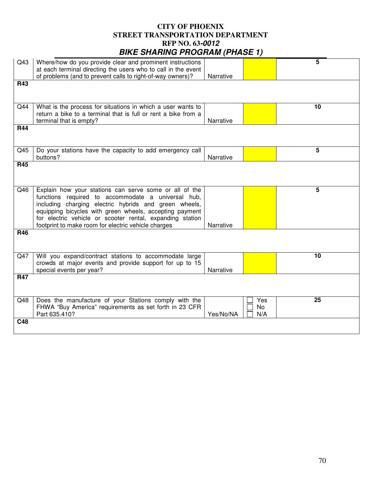| Q43             | Where/how do you provide clear and prominent instructions      |           |     | 5  |
|-----------------|----------------------------------------------------------------|-----------|-----|----|
|                 | at each terminal directing the users who to call in the event  |           |     |    |
|                 | of problems (and to prevent calls to right-of-way owners)?     | Narrative |     |    |
| <b>R43</b>      |                                                                |           |     |    |
|                 |                                                                |           |     |    |
|                 |                                                                |           |     |    |
| Q44             | What is the process for situations in which a user wants to    |           |     | 10 |
|                 | return a bike to a terminal that is full or rent a bike from a |           |     |    |
|                 | terminal that is empty?                                        | Narrative |     |    |
| <b>R44</b>      |                                                                |           |     |    |
|                 |                                                                |           |     |    |
|                 |                                                                |           |     |    |
|                 |                                                                |           |     |    |
| Q <sub>45</sub> | Do your stations have the capacity to add emergency call       |           |     | 5  |
|                 | buttons?                                                       | Narrative |     |    |
| <b>R45</b>      |                                                                |           |     |    |
|                 |                                                                |           |     |    |
|                 |                                                                |           |     |    |
| Q46             | Explain how your stations can serve some or all of the         |           |     | 5  |
|                 | functions required to accommodate a universal hub,             |           |     |    |
|                 | including charging electric hybrids and green wheels,          |           |     |    |
|                 | equipping bicycles with green wheels, accepting payment        |           |     |    |
|                 | for electric vehicle or scooter rental, expanding station      |           |     |    |
|                 | footprint to make room for electric vehicle charges            | Narrative |     |    |
| <b>R46</b>      |                                                                |           |     |    |
|                 |                                                                |           |     |    |
|                 |                                                                |           |     |    |
| Q47             | Will you expand/contract stations to accommodate large         |           |     | 10 |
|                 | crowds at major events and provide support for up to 15        |           |     |    |
|                 | special events per year?                                       | Narrative |     |    |
| <b>R47</b>      |                                                                |           |     |    |
|                 |                                                                |           |     |    |
|                 |                                                                |           |     |    |
|                 |                                                                |           |     |    |
| Q48             | Does the manufacture of your Stations comply with the          |           | Yes | 25 |
|                 | FHWA "Buy America" requirements as set forth in 23 CFR         |           | No  |    |
|                 | Part 635.410?                                                  | Yes/No/NA | N/A |    |
| C48             |                                                                |           |     |    |
|                 |                                                                |           |     |    |
|                 |                                                                |           |     |    |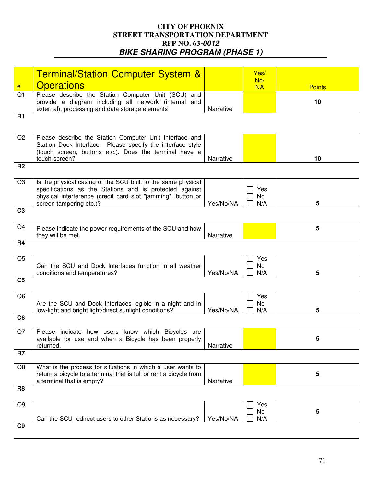|                | <b>Terminal/Station Computer System &amp;</b>                           |           | Yes/      |               |
|----------------|-------------------------------------------------------------------------|-----------|-----------|---------------|
|                |                                                                         |           | No/       |               |
| #              | <b>Operations</b>                                                       |           | <b>NA</b> | <b>Points</b> |
| Q <sub>1</sub> | Please describe the Station Computer Unit (SCU) and                     |           |           |               |
|                | provide a diagram including all network (internal and                   |           |           | 10            |
|                | external), processing and data storage elements                         | Narrative |           |               |
| <b>R1</b>      |                                                                         |           |           |               |
|                |                                                                         |           |           |               |
|                |                                                                         |           |           |               |
| Q <sub>2</sub> | Please describe the Station Computer Unit Interface and                 |           |           |               |
|                | Station Dock Interface. Please specify the interface style              |           |           |               |
|                | (touch screen, buttons etc.). Does the terminal have a<br>touch-screen? | Narrative |           |               |
| R <sub>2</sub> |                                                                         |           |           | 10            |
|                |                                                                         |           |           |               |
| Q <sub>3</sub> | Is the physical casing of the SCU built to the same physical            |           |           |               |
|                | specifications as the Stations and is protected against                 |           | Yes       |               |
|                | physical interference (credit card slot "jamming", button or            |           | No        |               |
|                | screen tampering etc.)?                                                 | Yes/No/NA | N/A       | 5             |
| C <sub>3</sub> |                                                                         |           |           |               |
|                |                                                                         |           |           |               |
| Q4             | Please indicate the power requirements of the SCU and how               |           |           | 5             |
|                | they will be met.                                                       | Narrative |           |               |
| <b>R4</b>      |                                                                         |           |           |               |
|                |                                                                         |           |           |               |
| Q <sub>5</sub> |                                                                         |           | Yes       |               |
|                | Can the SCU and Dock Interfaces function in all weather                 |           | No        |               |
|                | conditions and temperatures?                                            | Yes/No/NA | N/A       | 5             |
| C <sub>5</sub> |                                                                         |           |           |               |
|                |                                                                         |           |           |               |
| Q <sub>6</sub> |                                                                         |           | Yes       |               |
|                | Are the SCU and Dock Interfaces legible in a night and in               |           | No        |               |
|                | low-light and bright light/direct sunlight conditions?                  | Yes/No/NA | N/A       | 5             |
| C <sub>6</sub> |                                                                         |           |           |               |
|                |                                                                         |           |           |               |
| Q7             | Please indicate how users know which Bicycles are                       |           |           |               |
|                | available for use and when a Bicycle has been properly                  |           |           | 5             |
|                | returned.                                                               | Narrative |           |               |
| R <sub>7</sub> |                                                                         |           |           |               |
| Q8             | What is the process for situations in which a user wants to             |           |           |               |
|                | return a bicycle to a terminal that is full or rent a bicycle from      |           |           | 5             |
|                | a terminal that is empty?                                               | Narrative |           |               |
| R <sub>8</sub> |                                                                         |           |           |               |
|                |                                                                         |           |           |               |
| Q <sub>9</sub> |                                                                         |           | Yes       |               |
|                |                                                                         |           | No        | 5             |
|                | Can the SCU redirect users to other Stations as necessary?              | Yes/No/NA | N/A       |               |
| C9             |                                                                         |           |           |               |
|                |                                                                         |           |           |               |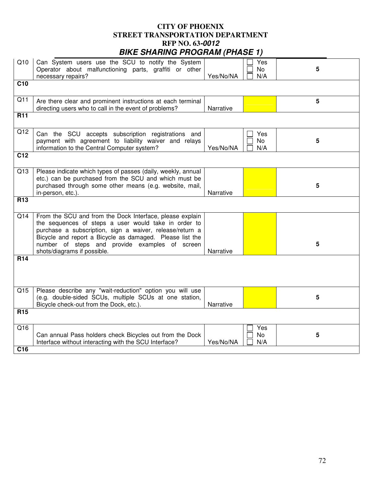| Q10             | Can System users use the SCU to notify the System<br>Operator about malfunctioning parts, graffiti or other<br>necessary repairs?                                                                                                                                                                                         | Yes/No/NA | Yes<br>No<br>N/A | 5 |
|-----------------|---------------------------------------------------------------------------------------------------------------------------------------------------------------------------------------------------------------------------------------------------------------------------------------------------------------------------|-----------|------------------|---|
| C <sub>10</sub> |                                                                                                                                                                                                                                                                                                                           |           |                  |   |
| Q11             | Are there clear and prominent instructions at each terminal<br>directing users who to call in the event of problems?                                                                                                                                                                                                      | Narrative |                  | 5 |
| <b>R11</b>      |                                                                                                                                                                                                                                                                                                                           |           |                  |   |
| Q12             | Can the SCU accepts subscription registrations and<br>payment with agreement to liability waiver and relays<br>information to the Central Computer system?                                                                                                                                                                | Yes/No/NA | Yes<br>No<br>N/A | 5 |
| C <sub>12</sub> |                                                                                                                                                                                                                                                                                                                           |           |                  |   |
| Q13             | Please indicate which types of passes (daily, weekly, annual<br>etc.) can be purchased from the SCU and which must be<br>purchased through some other means (e.g. website, mail,<br>in-person, etc.).                                                                                                                     | Narrative |                  | 5 |
| R <sub>13</sub> |                                                                                                                                                                                                                                                                                                                           |           |                  |   |
| Q14             | From the SCU and from the Dock Interface, please explain<br>the sequences of steps a user would take in order to<br>purchase a subscription, sign a waiver, release/return a<br>Bicycle and report a Bicycle as damaged. Please list the<br>number of steps and provide examples of screen<br>shots/diagrams if possible. | Narrative |                  | 5 |
| <b>R14</b>      |                                                                                                                                                                                                                                                                                                                           |           |                  |   |
| Q <sub>15</sub> | Please describe any "wait-reduction" option you will use<br>(e.g. double-sided SCUs, multiple SCUs at one station,<br>Bicycle check-out from the Dock, etc.).                                                                                                                                                             | Narrative |                  | 5 |
| <b>R15</b>      |                                                                                                                                                                                                                                                                                                                           |           |                  |   |
| Q16             | Can annual Pass holders check Bicycles out from the Dock<br>Interface without interacting with the SCU Interface?                                                                                                                                                                                                         | Yes/No/NA | Yes<br>No<br>N/A | 5 |
| C <sub>16</sub> |                                                                                                                                                                                                                                                                                                                           |           |                  |   |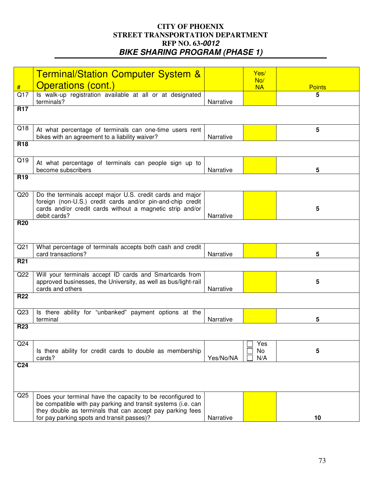|                 | <b>Terminal/Station Computer System &amp;</b>                                                             |           | Yes/<br>No/ |               |
|-----------------|-----------------------------------------------------------------------------------------------------------|-----------|-------------|---------------|
| #               | <b>Operations (cont.)</b>                                                                                 |           | <b>NA</b>   | <b>Points</b> |
| Q17             | Is walk-up registration available at all or at designated<br>terminals?                                   | Narrative |             | 5             |
| <b>R17</b>      |                                                                                                           |           |             |               |
|                 |                                                                                                           |           |             |               |
| Q18             | At what percentage of terminals can one-time users rent<br>bikes with an agreement to a liability waiver? | Narrative |             | 5             |
| R <sub>18</sub> |                                                                                                           |           |             |               |
| Q19             | At what percentage of terminals can people sign up to                                                     |           |             |               |
| R <sub>19</sub> | become subscribers                                                                                        | Narrative |             | 5             |
|                 |                                                                                                           |           |             |               |
| Q20             | Do the terminals accept major U.S. credit cards and major                                                 |           |             |               |
|                 | foreign (non-U.S.) credit cards and/or pin-and-chip credit                                                |           |             |               |
|                 | cards and/or credit cards without a magnetic strip and/or<br>debit cards?                                 | Narrative |             | 5             |
| <b>R20</b>      |                                                                                                           |           |             |               |
|                 |                                                                                                           |           |             |               |
|                 |                                                                                                           |           |             |               |
| Q <sub>21</sub> | What percentage of terminals accepts both cash and credit                                                 |           |             |               |
|                 | card transactions?                                                                                        | Narrative |             | 5             |
| <b>R21</b>      |                                                                                                           |           |             |               |
| Q22             | Will your terminals accept ID cards and Smartcards from                                                   |           |             |               |
|                 | approved businesses, the University, as well as bus/light-rail                                            |           |             | 5             |
|                 | cards and others                                                                                          | Narrative |             |               |
| <b>R22</b>      |                                                                                                           |           |             |               |
| Q <sub>23</sub> | Is there ability for "unbanked" payment options at the<br>terminal                                        | Narrative |             | 5             |
| <b>R23</b>      |                                                                                                           |           |             |               |
|                 |                                                                                                           |           |             |               |
| Q24             |                                                                                                           |           | Yes         |               |
|                 | Is there ability for credit cards to double as membership                                                 |           | No          | 5             |
|                 | cards?                                                                                                    | Yes/No/NA | N/A         |               |
| C <sub>24</sub> |                                                                                                           |           |             |               |
|                 |                                                                                                           |           |             |               |
| Q <sub>25</sub> | Does your terminal have the capacity to be reconfigured to                                                |           |             |               |
|                 | be compatible with pay parking and transit systems (i.e. can                                              |           |             |               |
|                 | they double as terminals that can accept pay parking fees                                                 |           |             |               |
|                 | for pay parking spots and transit passes)?                                                                | Narrative |             | 10            |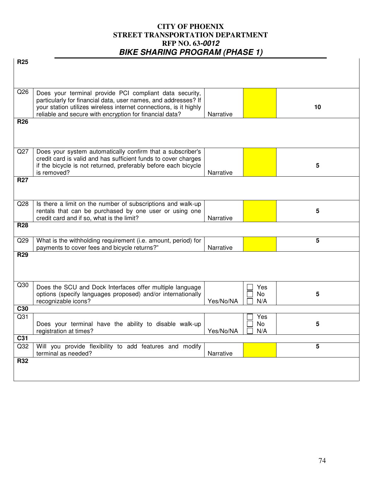| R <sub>25</sub> |                                                                                                                         |           |                |    |
|-----------------|-------------------------------------------------------------------------------------------------------------------------|-----------|----------------|----|
|                 |                                                                                                                         |           |                |    |
|                 |                                                                                                                         |           |                |    |
| Q26             | Does your terminal provide PCI compliant data security,                                                                 |           |                |    |
|                 | particularly for financial data, user names, and addresses? If                                                          |           |                |    |
|                 | your station utilizes wireless internet connections, is it highly                                                       |           |                | 10 |
| <b>R26</b>      | reliable and secure with encryption for financial data?                                                                 | Narrative |                |    |
|                 |                                                                                                                         |           |                |    |
|                 |                                                                                                                         |           |                |    |
| Q27             | Does your system automatically confirm that a subscriber's                                                              |           |                |    |
|                 | credit card is valid and has sufficient funds to cover charges                                                          |           |                |    |
|                 | if the bicycle is not returned, preferably before each bicycle                                                          |           |                | 5  |
| <b>R27</b>      | is removed?                                                                                                             | Narrative |                |    |
|                 |                                                                                                                         |           |                |    |
|                 |                                                                                                                         |           |                |    |
| Q28             | Is there a limit on the number of subscriptions and walk-up                                                             |           |                |    |
|                 | rentals that can be purchased by one user or using one<br>credit card and if so, what is the limit?                     | Narrative |                | 5  |
| <b>R28</b>      |                                                                                                                         |           |                |    |
|                 |                                                                                                                         |           |                |    |
| Q29             | What is the withholding requirement (i.e. amount, period) for                                                           |           |                | 5  |
| <b>R29</b>      | payments to cover fees and bicycle returns?"                                                                            | Narrative |                |    |
|                 |                                                                                                                         |           |                |    |
|                 |                                                                                                                         |           |                |    |
| Q30             |                                                                                                                         |           |                |    |
|                 | Does the SCU and Dock Interfaces offer multiple language<br>options (specify languages proposed) and/or internationally |           | Yes<br>No      | 5  |
|                 | recognizable icons?                                                                                                     | Yes/No/NA | N/A            |    |
| C30             |                                                                                                                         |           |                |    |
| Q <sub>31</sub> |                                                                                                                         |           | Yes            |    |
|                 | Does your terminal have the ability to disable walk-up<br>registration at times?                                        | Yes/No/NA | No<br>N/A<br>ப | 5  |
| C31             |                                                                                                                         |           |                |    |
| Q32             | Will you provide flexibility to add features and modify                                                                 |           |                | 5  |
|                 | terminal as needed?                                                                                                     | Narrative |                |    |
| R32             |                                                                                                                         |           |                |    |
|                 |                                                                                                                         |           |                |    |
|                 |                                                                                                                         |           |                |    |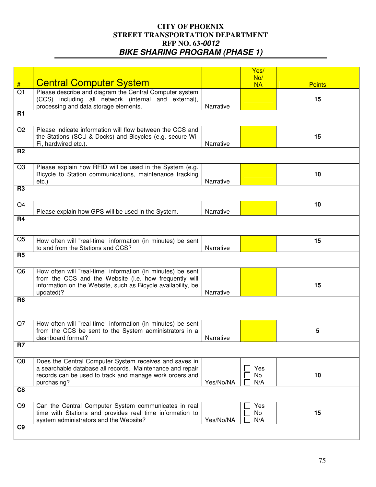|                |                                                              |           | Yes/      |               |
|----------------|--------------------------------------------------------------|-----------|-----------|---------------|
|                |                                                              |           | No/       |               |
| #              | <b>Central Computer System</b>                               |           | <b>NA</b> | <b>Points</b> |
| Q <sub>1</sub> | Please describe and diagram the Central Computer system      |           |           |               |
|                | (CCS) including all network (internal and external),         |           |           | 15            |
|                | processing and data storage elements.                        | Narrative |           |               |
|                |                                                              |           |           |               |
| <b>R1</b>      |                                                              |           |           |               |
|                |                                                              |           |           |               |
| Q2             | Please indicate information will flow between the CCS and    |           |           |               |
|                | the Stations (SCU & Docks) and Bicycles (e.g. secure Wi-     |           |           | 15            |
|                | Fi, hardwired etc.).                                         | Narrative |           |               |
| R <sub>2</sub> |                                                              |           |           |               |
|                |                                                              |           |           |               |
|                |                                                              |           |           |               |
| Q <sub>3</sub> | Please explain how RFID will be used in the System (e.g.     |           |           |               |
|                | Bicycle to Station communications, maintenance tracking      |           |           | 10            |
|                | etc.)                                                        | Narrative |           |               |
| R <sub>3</sub> |                                                              |           |           |               |
|                |                                                              |           |           |               |
|                |                                                              |           |           |               |
| Q4             |                                                              |           |           | 10            |
|                | Please explain how GPS will be used in the System.           | Narrative |           |               |
| <b>R4</b>      |                                                              |           |           |               |
|                |                                                              |           |           |               |
|                |                                                              |           |           |               |
| Q <sub>5</sub> | How often will "real-time" information (in minutes) be sent  |           |           | 15            |
|                |                                                              |           |           |               |
|                | to and from the Stations and CCS?                            | Narrative |           |               |
| <b>R5</b>      |                                                              |           |           |               |
|                |                                                              |           |           |               |
| Q <sub>6</sub> | How often will "real-time" information (in minutes) be sent  |           |           |               |
|                | from the CCS and the Website (i.e. how frequently will       |           |           |               |
|                |                                                              |           |           | 15            |
|                | information on the Website, such as Bicycle availability, be |           |           |               |
|                | updated)?                                                    | Narrative |           |               |
| R <sub>6</sub> |                                                              |           |           |               |
|                |                                                              |           |           |               |
|                |                                                              |           |           |               |
|                |                                                              |           |           |               |
| Q7             | How often will "real-time" information (in minutes) be sent  |           |           |               |
|                | from the CCS be sent to the System administrators in a       |           |           | 5             |
|                | dashboard format?                                            | Narrative |           |               |
| R7             |                                                              |           |           |               |
|                |                                                              |           |           |               |
| Q8             | Does the Central Computer System receives and saves in       |           |           |               |
|                |                                                              |           |           |               |
|                | a searchable database all records. Maintenance and repair    |           | Yes       |               |
|                | records can be used to track and manage work orders and      |           | No        | 10            |
|                | purchasing?                                                  | Yes/No/NA | N/A       |               |
| C <sub>8</sub> |                                                              |           |           |               |
|                |                                                              |           |           |               |
| Q9             | Can the Central Computer System communicates in real         |           | Yes       |               |
|                |                                                              |           |           |               |
|                | time with Stations and provides real time information to     |           | No        | 15            |
|                | system administrators and the Website?                       | Yes/No/NA | N/A       |               |
| C9             |                                                              |           |           |               |
|                |                                                              |           |           |               |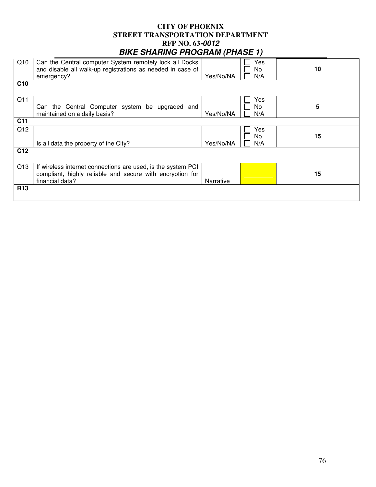|                 |                                                                                                                                              |           | $\epsilon$        |    |
|-----------------|----------------------------------------------------------------------------------------------------------------------------------------------|-----------|-------------------|----|
| Q10             | Can the Central computer System remotely lock all Docks<br>and disable all walk-up registrations as needed in case of<br>emergency?          | Yes/No/NA | Yes<br>No<br>N/A  | 10 |
| C <sub>10</sub> |                                                                                                                                              |           |                   |    |
| Q11             | Can the Central Computer system be upgraded and<br>maintained on a daily basis?                                                              | Yes/No/NA | Yes<br>No.<br>N/A | 5  |
| C <sub>11</sub> |                                                                                                                                              |           |                   |    |
| Q12             | Is all data the property of the City?                                                                                                        | Yes/No/NA | Yes<br>No.<br>N/A | 15 |
| C <sub>12</sub> |                                                                                                                                              |           |                   |    |
| Q13             | If wireless internet connections are used, is the system PCI<br>compliant, highly reliable and secure with encryption for<br>financial data? | Narrative |                   | 15 |
| R <sub>13</sub> |                                                                                                                                              |           |                   |    |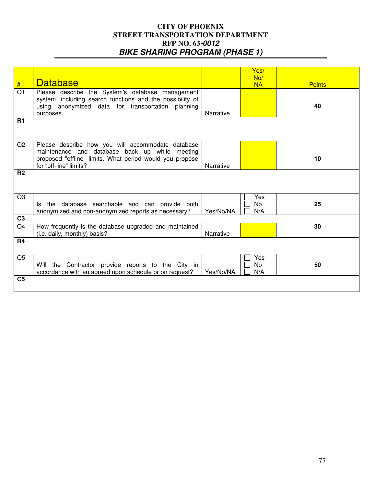|                 |                                                           |           | Yes/      |               |
|-----------------|-----------------------------------------------------------|-----------|-----------|---------------|
|                 | <b>Database</b>                                           |           | No/       |               |
| #               |                                                           |           | <b>NA</b> | <b>Points</b> |
| $\overline{Q1}$ | Please describe the System's database management          |           |           |               |
|                 | system, including search functions and the possibility of |           |           |               |
|                 | using anonymized data for transportation planning         |           |           | 40            |
|                 | purposes.                                                 | Narrative |           |               |
| <b>R1</b>       |                                                           |           |           |               |
|                 |                                                           |           |           |               |
|                 |                                                           |           |           |               |
|                 |                                                           |           |           |               |
| Q2              | Please describe how you will accommodate database         |           |           |               |
|                 | maintenance and database back up while meeting            |           |           |               |
|                 | proposed "offline" limits. What period would you propose  |           |           | 10            |
|                 | for "off-line" limits?                                    | Narrative |           |               |
| R <sub>2</sub>  |                                                           |           |           |               |
|                 |                                                           |           |           |               |
|                 |                                                           |           |           |               |
|                 |                                                           |           |           |               |
| Q3              |                                                           |           | Yes       |               |
|                 | Is the database searchable and can provide both           |           | <b>No</b> | 25            |
|                 | anonymized and non-anonymized reports as necessary?       | Yes/No/NA | N/A       |               |
| C <sub>3</sub>  |                                                           |           |           |               |
| Q <sub>4</sub>  | How frequently is the database upgraded and maintained    |           |           | 30            |
|                 | (i.e. daily, monthly) basis?                              | Narrative |           |               |
| R <sub>4</sub>  |                                                           |           |           |               |
|                 |                                                           |           |           |               |
|                 |                                                           |           |           |               |
| Q <sub>5</sub>  |                                                           |           | Yes       |               |
|                 | Will the Contractor provide reports to the City in        |           | No        | 50            |
|                 | accordance with an agreed upon schedule or on request?    | Yes/No/NA | N/A       |               |
| C <sub>5</sub>  |                                                           |           |           |               |
|                 |                                                           |           |           |               |
|                 |                                                           |           |           |               |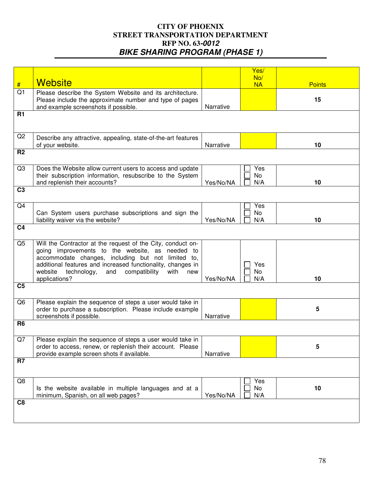|                |                                                               |           | Yes/      |               |
|----------------|---------------------------------------------------------------|-----------|-----------|---------------|
|                | <b>Website</b>                                                |           | No/       |               |
| #              |                                                               |           | <b>NA</b> | <b>Points</b> |
| Q1             | Please describe the System Website and its architecture.      |           |           |               |
|                | Please include the approximate number and type of pages       |           |           | 15            |
|                | and example screenshots if possible.                          | Narrative |           |               |
| <b>R1</b>      |                                                               |           |           |               |
|                |                                                               |           |           |               |
|                |                                                               |           |           |               |
| Q2             | Describe any attractive, appealing, state-of-the-art features |           |           |               |
|                | of your website.                                              | Narrative |           | 10            |
| R <sub>2</sub> |                                                               |           |           |               |
|                |                                                               |           |           |               |
| Q <sub>3</sub> | Does the Website allow current users to access and update     |           | Yes       |               |
|                | their subscription information, resubscribe to the System     |           | <b>No</b> |               |
|                | and replenish their accounts?                                 | Yes/No/NA | N/A       | 10            |
| C <sub>3</sub> |                                                               |           |           |               |
|                |                                                               |           |           |               |
| Q4             |                                                               |           | Yes       |               |
|                | Can System users purchase subscriptions and sign the          |           | <b>No</b> |               |
|                | liability waiver via the website?                             | Yes/No/NA | N/A       | 10            |
| C <sub>4</sub> |                                                               |           |           |               |
|                |                                                               |           |           |               |
| Q <sub>5</sub> | Will the Contractor at the request of the City, conduct on-   |           |           |               |
|                | going improvements to the website, as needed to               |           |           |               |
|                | accommodate changes, including but not limited to,            |           |           |               |
|                | additional features and increased functionality, changes in   |           | Yes       |               |
|                | website<br>technology,<br>compatibility<br>and<br>with<br>new |           | No        |               |
|                | applications?                                                 | Yes/No/NA | N/A       | 10            |
| C <sub>5</sub> |                                                               |           |           |               |
|                |                                                               |           |           |               |
| Q <sub>6</sub> | Please explain the sequence of steps a user would take in     |           |           |               |
|                | order to purchase a subscription. Please include example      |           |           | 5             |
|                | screenshots if possible.                                      | Narrative |           |               |
| R <sub>6</sub> |                                                               |           |           |               |
|                |                                                               |           |           |               |
| Q7             | Please explain the sequence of steps a user would take in     |           |           |               |
|                | order to access, renew, or replenish their account. Please    |           |           | 5             |
|                | provide example screen shots if available.                    | Narrative |           |               |
| R7             |                                                               |           |           |               |
|                |                                                               |           |           |               |
| Q8             |                                                               |           | Yes       |               |
|                | Is the website available in multiple languages and at a       |           | No        | 10            |
|                | minimum, Spanish, on all web pages?                           | Yes/No/NA | N/A       |               |
| C <sub>8</sub> |                                                               |           |           |               |
|                |                                                               |           |           |               |
|                |                                                               |           |           |               |
|                |                                                               |           |           |               |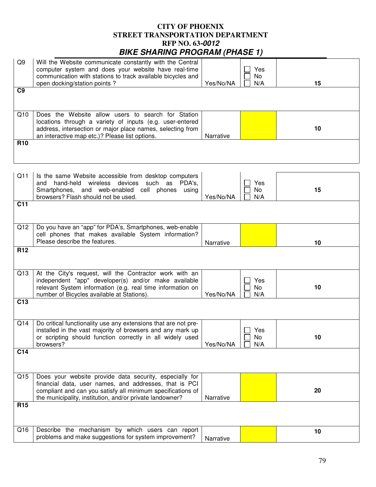| Q <sub>9</sub>  | Will the Website communicate constantly with the Central<br>computer system and does your website have real-time<br>communication with stations to track available bicycles and<br>open docking/station points?                              | Yes/No/NA | Yes<br>No<br>N/A        | 15 |
|-----------------|----------------------------------------------------------------------------------------------------------------------------------------------------------------------------------------------------------------------------------------------|-----------|-------------------------|----|
| C <sub>9</sub>  |                                                                                                                                                                                                                                              |           |                         |    |
|                 |                                                                                                                                                                                                                                              |           |                         |    |
| Q10             | Does the Website allow users to search for Station<br>locations through a variety of inputs (e.g. user-entered<br>address, intersection or major place names, selecting from<br>an interactive map etc.)? Please list options.               | Narrative |                         | 10 |
| <b>R10</b>      |                                                                                                                                                                                                                                              |           |                         |    |
|                 |                                                                                                                                                                                                                                              |           |                         |    |
| Q11             | Is the same Website accessible from desktop computers<br>and hand-held wireless devices such as<br>PDA's,<br>Smartphones, and web-enabled cell phones<br>using<br>browsers? Flash should not be used.                                        | Yes/No/NA | Yes<br>No<br>N/A        | 15 |
| C <sub>11</sub> |                                                                                                                                                                                                                                              |           |                         |    |
|                 |                                                                                                                                                                                                                                              |           |                         |    |
| Q12             | Do you have an "app" for PDA's, Smartphones, web-enable<br>cell phones that makes available System information?                                                                                                                              |           |                         |    |
|                 | Please describe the features.                                                                                                                                                                                                                | Narrative |                         | 10 |
| R <sub>12</sub> |                                                                                                                                                                                                                                              |           |                         |    |
|                 |                                                                                                                                                                                                                                              |           |                         |    |
|                 |                                                                                                                                                                                                                                              |           |                         |    |
| Q13             | At the City's request, will the Contractor work with an<br>independent "app" developer(s) and/or make available<br>relevant System information (e.g. real time information on<br>number of Bicycles available at Stations).                  | Yes/No/NA | Yes<br>No<br>N/A        | 10 |
| C <sub>13</sub> |                                                                                                                                                                                                                                              |           |                         |    |
| Q14             | Do critical functionality use any extensions that are not pre-<br>installed in the vast majority of browsers and any mark up<br>or scripting should function correctly in all widely used<br>browsers?                                       | Yes/No/NA | $\Box$ Yes<br>No<br>N/A | 10 |
| C <sub>14</sub> |                                                                                                                                                                                                                                              |           |                         |    |
| Q15             | Does your website provide data security, especially for<br>financial data, user names, and addresses, that is PCI<br>compliant and can you satisfy all minimum specifications of<br>the municipality, institution, and/or private landowner? | Narrative |                         | 20 |
| R <sub>15</sub> |                                                                                                                                                                                                                                              |           |                         |    |
| Q16             | Describe the mechanism by which users can report                                                                                                                                                                                             |           |                         | 10 |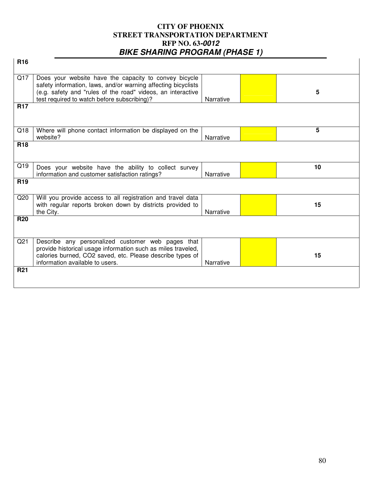| R <sub>16</sub> |                                                                                                                                                                                                                                      |           |    |  |
|-----------------|--------------------------------------------------------------------------------------------------------------------------------------------------------------------------------------------------------------------------------------|-----------|----|--|
| Q17             | Does your website have the capacity to convey bicycle<br>safety information, laws, and/or warning affecting bicyclists<br>(e.g. safety and "rules of the road" videos, an interactive<br>test required to watch before subscribing)? | Narrative | 5  |  |
| <b>R17</b>      |                                                                                                                                                                                                                                      |           |    |  |
| Q18             | Where will phone contact information be displayed on the<br>website?                                                                                                                                                                 | Narrative | 5  |  |
| <b>R18</b>      |                                                                                                                                                                                                                                      |           |    |  |
| Q19             | Does your website have the ability to collect survey<br>information and customer satisfaction ratings?                                                                                                                               | Narrative | 10 |  |
| R <sub>19</sub> |                                                                                                                                                                                                                                      |           |    |  |
| Q20             | Will you provide access to all registration and travel data<br>with regular reports broken down by districts provided to<br>the City.                                                                                                | Narrative | 15 |  |
| <b>R20</b>      |                                                                                                                                                                                                                                      |           |    |  |
| Q <sub>21</sub> | Describe any personalized customer web pages that<br>provide historical usage information such as miles traveled,<br>calories burned, CO2 saved, etc. Please describe types of<br>information available to users.                    | Narrative | 15 |  |
| <b>R21</b>      |                                                                                                                                                                                                                                      |           |    |  |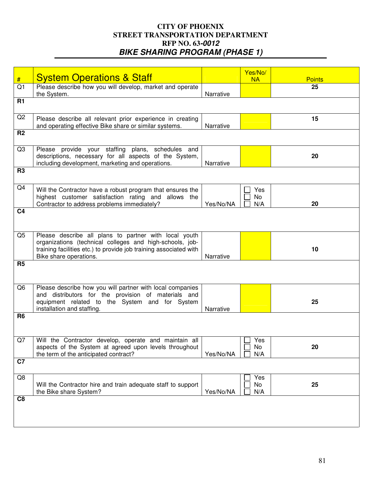|                     |                                                                                                                                                                                                                  |           | Yes/No/          |                     |
|---------------------|------------------------------------------------------------------------------------------------------------------------------------------------------------------------------------------------------------------|-----------|------------------|---------------------|
| #<br>Q <sub>1</sub> | <b>System Operations &amp; Staff</b><br>Please describe how you will develop, market and operate                                                                                                                 |           | <b>NA</b>        | <b>Points</b><br>25 |
|                     | the System.                                                                                                                                                                                                      | Narrative |                  |                     |
| <b>R1</b>           |                                                                                                                                                                                                                  |           |                  |                     |
| Q2                  | Please describe all relevant prior experience in creating<br>and operating effective Bike share or similar systems.                                                                                              | Narrative |                  | 15                  |
| R <sub>2</sub>      |                                                                                                                                                                                                                  |           |                  |                     |
| Q <sub>3</sub>      | Please provide your staffing plans, schedules and<br>descriptions, necessary for all aspects of the System,<br>including development, marketing and operations.                                                  | Narrative |                  | 20                  |
| R <sub>3</sub>      |                                                                                                                                                                                                                  |           |                  |                     |
| Q4                  | Will the Contractor have a robust program that ensures the<br>highest customer satisfaction rating and allows the<br>Contractor to address problems immediately?                                                 | Yes/No/NA | Yes<br>No<br>N/A | 20                  |
| C <sub>4</sub>      |                                                                                                                                                                                                                  |           |                  |                     |
| Q <sub>5</sub>      | Please describe all plans to partner with local youth<br>organizations (technical colleges and high-schools, job-<br>training facilities etc.) to provide job training associated with<br>Bike share operations. | Narrative |                  | 10                  |
| R <sub>5</sub>      |                                                                                                                                                                                                                  |           |                  |                     |
| Q <sub>6</sub>      | Please describe how you will partner with local companies<br>and distributors for the provision of materials and<br>equipment related to the System and for System<br>installation and staffing.                 | Narrative |                  | 25                  |
| R <sub>6</sub>      |                                                                                                                                                                                                                  |           |                  |                     |
| Q7                  | Will the Contractor develop, operate and maintain all<br>aspects of the System at agreed upon levels throughout<br>the term of the anticipated contract?                                                         | Yes/No/NA | Yes<br>No<br>N/A | 20                  |
| C7                  |                                                                                                                                                                                                                  |           |                  |                     |
| Q8                  | Will the Contractor hire and train adequate staff to support<br>the Bike share System?                                                                                                                           | Yes/No/NA | Yes<br>No<br>N/A | 25                  |
| C <sub>8</sub>      |                                                                                                                                                                                                                  |           |                  |                     |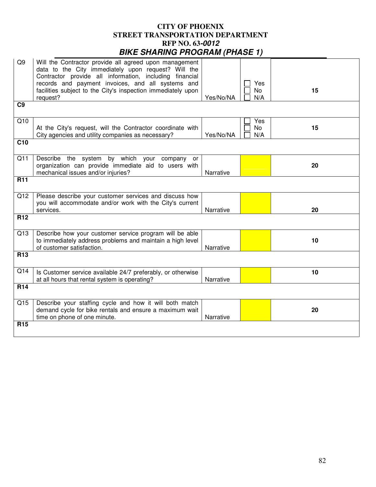| Q9              | Will the Contractor provide all agreed upon management<br>data to the City immediately upon request? Will the<br>Contractor provide all information, including financial |           |                         |    |
|-----------------|--------------------------------------------------------------------------------------------------------------------------------------------------------------------------|-----------|-------------------------|----|
|                 | records and payment invoices, and all systems and<br>facilities subject to the City's inspection immediately upon<br>request?                                            | Yes/No/NA | Yes<br>No<br>N/A        | 15 |
| C <sub>9</sub>  |                                                                                                                                                                          |           |                         |    |
| Q10             | At the City's request, will the Contractor coordinate with<br>City agencies and utility companies as necessary?                                                          | Yes/No/NA | Yes<br><b>No</b><br>N/A | 15 |
| C <sub>10</sub> |                                                                                                                                                                          |           |                         |    |
| Q11             | Describe the system by which your company or<br>organization can provide immediate aid to users with<br>mechanical issues and/or injuries?                               | Narrative |                         | 20 |
| <b>R11</b>      |                                                                                                                                                                          |           |                         |    |
| Q12             | Please describe your customer services and discuss how<br>you will accommodate and/or work with the City's current<br>services.                                          | Narrative |                         | 20 |
| R <sub>12</sub> |                                                                                                                                                                          |           |                         |    |
| Q13             | Describe how your customer service program will be able<br>to immediately address problems and maintain a high level<br>of customer satisfaction.                        | Narrative |                         | 10 |
| R <sub>13</sub> |                                                                                                                                                                          |           |                         |    |
| Q14             | Is Customer service available 24/7 preferably, or otherwise<br>at all hours that rental system is operating?                                                             | Narrative |                         | 10 |
| R <sub>14</sub> |                                                                                                                                                                          |           |                         |    |
| Q15             | Describe your staffing cycle and how it will both match<br>demand cycle for bike rentals and ensure a maximum wait<br>time on phone of one minute.                       | Narrative |                         | 20 |
| <b>R15</b>      |                                                                                                                                                                          |           |                         |    |
|                 |                                                                                                                                                                          |           |                         |    |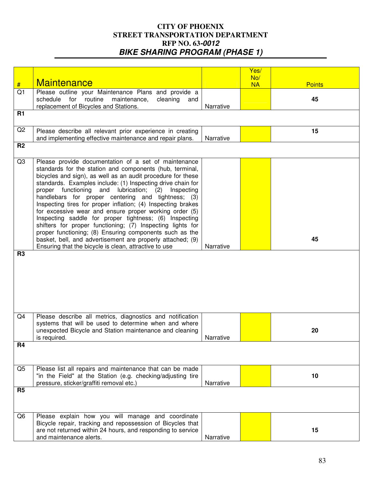|                |                                                                |           | Yes/      |               |  |
|----------------|----------------------------------------------------------------|-----------|-----------|---------------|--|
|                | <b>Maintenance</b>                                             |           | No/       |               |  |
| #              |                                                                |           | <b>NA</b> | <b>Points</b> |  |
| Q1             | Please outline your Maintenance Plans and provide a            |           |           |               |  |
|                | schedule for routine<br>maintenance,<br>cleaning<br>and        |           |           | 45            |  |
|                | replacement of Bicycles and Stations.                          | Narrative |           |               |  |
| <b>R1</b>      |                                                                |           |           |               |  |
|                |                                                                |           |           |               |  |
| Q2             | Please describe all relevant prior experience in creating      |           |           | 15            |  |
|                | and implementing effective maintenance and repair plans.       | Narrative |           |               |  |
| R <sub>2</sub> |                                                                |           |           |               |  |
|                |                                                                |           |           |               |  |
| Q3             | Please provide documentation of a set of maintenance           |           |           |               |  |
|                | standards for the station and components (hub, terminal,       |           |           |               |  |
|                | bicycles and sign), as well as an audit procedure for these    |           |           |               |  |
|                | standards. Examples include: (1) Inspecting drive chain for    |           |           |               |  |
|                | proper functioning<br>and<br>lubrication;<br>(2)<br>Inspecting |           |           |               |  |
|                | handlebars for proper centering and tightness; (3)             |           |           |               |  |
|                | Inspecting tires for proper inflation; (4) Inspecting brakes   |           |           |               |  |
|                | for excessive wear and ensure proper working order (5)         |           |           |               |  |
|                | Inspecting saddle for proper tightness; (6) Inspecting         |           |           |               |  |
|                | shifters for proper functioning; (7) Inspecting lights for     |           |           |               |  |
|                | proper functioning; (8) Ensuring components such as the        |           |           |               |  |
|                | basket, bell, and advertisement are properly attached; (9)     |           |           | 45            |  |
| R <sub>3</sub> | Ensuring that the bicycle is clean, attractive to use          | Narrative |           |               |  |
|                |                                                                |           |           |               |  |
|                |                                                                |           |           |               |  |
|                |                                                                |           |           |               |  |
|                |                                                                |           |           |               |  |
|                |                                                                |           |           |               |  |
|                |                                                                |           |           |               |  |
|                |                                                                |           |           |               |  |
| Q <sub>4</sub> | Please describe all metrics, diagnostics and notification      |           |           |               |  |
|                | systems that will be used to determine when and where          |           |           |               |  |
|                | unexpected Bicycle and Station maintenance and cleaning        |           |           | 20            |  |
| <b>R4</b>      | is required.                                                   | Narrative |           |               |  |
|                |                                                                |           |           |               |  |
|                |                                                                |           |           |               |  |
|                |                                                                |           |           |               |  |
| Q <sub>5</sub> | Please list all repairs and maintenance that can be made       |           |           |               |  |
|                | "in the Field" at the Station (e.g. checking/adjusting tire    |           |           | 10            |  |
|                | pressure, sticker/graffiti removal etc.)                       | Narrative |           |               |  |
| R <sub>5</sub> |                                                                |           |           |               |  |
|                |                                                                |           |           |               |  |
|                |                                                                |           |           |               |  |
| Q <sub>6</sub> | Please explain how you will manage and coordinate              |           |           |               |  |
|                | Bicycle repair, tracking and repossession of Bicycles that     |           |           |               |  |
|                | are not returned within 24 hours, and responding to service    |           |           | 15            |  |
|                | and maintenance alerts.                                        | Narrative |           |               |  |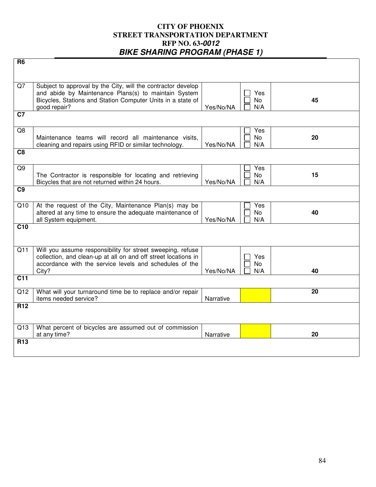| R6              |                                                                                                                                                                                                     |           |                         |    |
|-----------------|-----------------------------------------------------------------------------------------------------------------------------------------------------------------------------------------------------|-----------|-------------------------|----|
| Q7              | Subject to approval by the City, will the contractor develop<br>and abide by Maintenance Plans(s) to maintain System<br>Bicycles, Stations and Station Computer Units in a state of<br>good repair? | Yes/No/NA | Yes<br><b>No</b><br>N/A | 45 |
| C7              |                                                                                                                                                                                                     |           |                         |    |
| Q8              | Maintenance teams will record all maintenance visits,<br>cleaning and repairs using RFID or similar technology.                                                                                     | Yes/No/NA | Yes<br>No<br>N/A        | 20 |
| C <sub>8</sub>  |                                                                                                                                                                                                     |           |                         |    |
| Q <sub>9</sub>  | The Contractor is responsible for locating and retrieving<br>Bicycles that are not returned within 24 hours.                                                                                        | Yes/No/NA | Yes<br>No<br>N/A        | 15 |
| C <sub>9</sub>  |                                                                                                                                                                                                     |           |                         |    |
| Q10             | At the request of the City, Maintenance Plan(s) may be<br>altered at any time to ensure the adequate maintenance of<br>all System equipment.                                                        | Yes/No/NA | Yes<br><b>No</b><br>N/A | 40 |
| C <sub>10</sub> |                                                                                                                                                                                                     |           |                         |    |
| Q11             | Will you assume responsibility for street sweeping, refuse<br>collection, and clean-up at all on and off street locations in<br>accordance with the service levels and schedules of the<br>City?    | Yes/No/NA | Yes.<br>No<br>N/A       | 40 |
| C <sub>11</sub> |                                                                                                                                                                                                     |           |                         |    |
| Q12             | What will your turnaround time be to replace and/or repair<br>items needed service?                                                                                                                 | Narrative |                         | 20 |
| <b>R12</b>      |                                                                                                                                                                                                     |           |                         |    |
| Q13             | What percent of bicycles are assumed out of commission<br>at any time?                                                                                                                              | Narrative |                         | 20 |
| <b>R13</b>      |                                                                                                                                                                                                     |           |                         |    |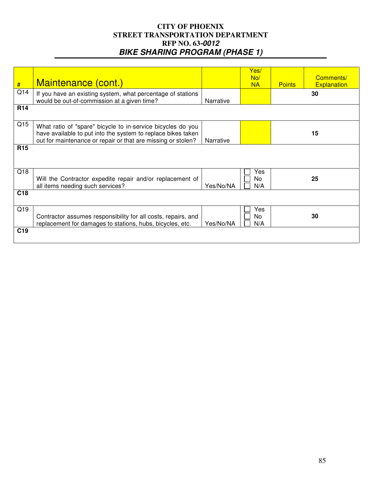| #               | Maintenance (cont.)                                                                                                                                                                         |           | Yes/<br>No/<br><b>NA</b> | <b>Points</b> | Comments/<br><b>Explanation</b> |
|-----------------|---------------------------------------------------------------------------------------------------------------------------------------------------------------------------------------------|-----------|--------------------------|---------------|---------------------------------|
| Q14             | If you have an existing system, what percentage of stations<br>would be out-of-commission at a given time?                                                                                  | Narrative |                          |               | 30                              |
| <b>R14</b>      |                                                                                                                                                                                             |           |                          |               |                                 |
| Q15             | What ratio of "spare" bicycle to in-service bicycles do you<br>have available to put into the system to replace bikes taken<br>out for maintenance or repair or that are missing or stolen? | Narrative |                          |               | 15                              |
| <b>R15</b>      |                                                                                                                                                                                             |           |                          |               |                                 |
| Q18             | Will the Contractor expedite repair and/or replacement of<br>all items needing such services?                                                                                               | Yes/No/NA | Yes<br>No<br>N/A         |               | 25                              |
| C <sub>18</sub> |                                                                                                                                                                                             |           |                          |               |                                 |
| Q19             | Contractor assumes responsibility for all costs, repairs, and<br>replacement for damages to stations, hubs, bicycles, etc.                                                                  | Yes/No/NA | Yes<br>No<br>N/A         |               | 30                              |
| C <sub>19</sub> |                                                                                                                                                                                             |           |                          |               |                                 |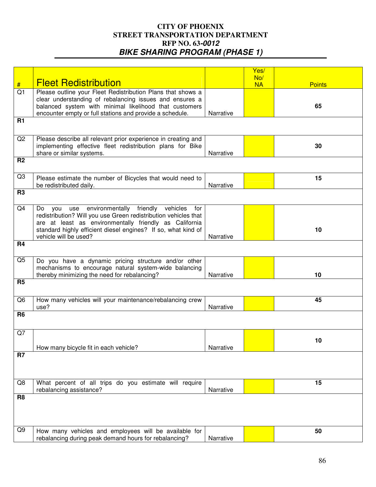|                |                                                                 |           | Yes/      |               |
|----------------|-----------------------------------------------------------------|-----------|-----------|---------------|
|                |                                                                 |           |           |               |
|                | <b>Fleet Redistribution</b>                                     |           | No/       |               |
| #              |                                                                 |           | <b>NA</b> | <b>Points</b> |
| Q1             | Please outline your Fleet Redistribution Plans that shows a     |           |           |               |
|                | clear understanding of rebalancing issues and ensures a         |           |           |               |
|                | balanced system with minimal likelihood that customers          |           |           | 65            |
|                | encounter empty or full stations and provide a schedule.        | Narrative |           |               |
| <b>R1</b>      |                                                                 |           |           |               |
|                |                                                                 |           |           |               |
|                |                                                                 |           |           |               |
| Q2             | Please describe all relevant prior experience in creating and   |           |           |               |
|                |                                                                 |           |           | 30            |
|                | implementing effective fleet redistribution plans for Bike      |           |           |               |
|                | share or similar systems.                                       | Narrative |           |               |
| R <sub>2</sub> |                                                                 |           |           |               |
|                |                                                                 |           |           |               |
| Q3             |                                                                 |           |           | 15            |
|                | Please estimate the number of Bicycles that would need to       |           |           |               |
|                | be redistributed daily.                                         | Narrative |           |               |
| R <sub>3</sub> |                                                                 |           |           |               |
|                |                                                                 |           |           |               |
| Q4             | environmentally friendly<br>vehicles<br>Do<br>for<br>vou<br>use |           |           |               |
|                | redistribution? Will you use Green redistribution vehicles that |           |           |               |
|                |                                                                 |           |           |               |
|                | are at least as environmentally friendly as California          |           |           |               |
|                | standard highly efficient diesel engines? If so, what kind of   |           |           | 10            |
|                | vehicle will be used?                                           | Narrative |           |               |
| <b>R4</b>      |                                                                 |           |           |               |
|                |                                                                 |           |           |               |
| Q <sub>5</sub> |                                                                 |           |           |               |
|                | Do you have a dynamic pricing structure and/or other            |           |           |               |
|                | mechanisms to encourage natural system-wide balancing           |           |           |               |
|                | thereby minimizing the need for rebalancing?                    | Narrative |           | 10            |
| R <sub>5</sub> |                                                                 |           |           |               |
|                |                                                                 |           |           |               |
|                |                                                                 |           |           |               |
| Q <sub>6</sub> | How many vehicles will your maintenance/rebalancing crew        |           |           | 45            |
|                | use?                                                            | Narrative |           |               |
| R <sub>6</sub> |                                                                 |           |           |               |
|                |                                                                 |           |           |               |
|                |                                                                 |           |           |               |
| Q7             |                                                                 |           |           |               |
|                |                                                                 |           |           | 10            |
|                | How many bicycle fit in each vehicle?                           | Narrative |           |               |
| R <sub>7</sub> |                                                                 |           |           |               |
|                |                                                                 |           |           |               |
|                |                                                                 |           |           |               |
|                |                                                                 |           |           |               |
|                |                                                                 |           |           |               |
| Q8             | What percent of all trips do you estimate will require          |           |           | 15            |
|                | rebalancing assistance?                                         | Narrative |           |               |
| R <sub>8</sub> |                                                                 |           |           |               |
|                |                                                                 |           |           |               |
|                |                                                                 |           |           |               |
|                |                                                                 |           |           |               |
|                |                                                                 |           |           |               |
| Q9             | How many vehicles and employees will be available for           |           |           | 50            |
|                | rebalancing during peak demand hours for rebalancing?           | Narrative |           |               |
|                |                                                                 |           |           |               |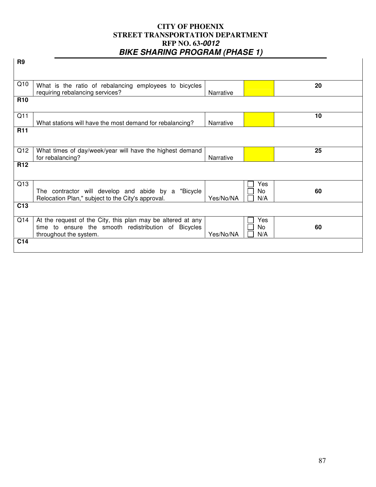| R <sub>9</sub>  |                                                                                                                                               |           |                  |    |  |
|-----------------|-----------------------------------------------------------------------------------------------------------------------------------------------|-----------|------------------|----|--|
|                 |                                                                                                                                               |           |                  |    |  |
| Q10             | What is the ratio of rebalancing employees to bicycles<br>requiring rebalancing services?                                                     | Narrative |                  | 20 |  |
| <b>R10</b>      |                                                                                                                                               |           |                  |    |  |
| Q11             | What stations will have the most demand for rebalancing?                                                                                      | Narrative |                  | 10 |  |
| <b>R11</b>      |                                                                                                                                               |           |                  |    |  |
| Q12             | What times of day/week/year will have the highest demand<br>for rebalancing?                                                                  | Narrative |                  | 25 |  |
| R <sub>12</sub> |                                                                                                                                               |           |                  |    |  |
| Q13             | The contractor will develop and abide by a "Bicycle"<br>Relocation Plan," subject to the City's approval.                                     | Yes/No/NA | Yes<br>No<br>N/A | 60 |  |
| C13             |                                                                                                                                               |           |                  |    |  |
| Q14             | At the request of the City, this plan may be altered at any<br>time to ensure the smooth redistribution of Bicycles<br>throughout the system. | Yes/No/NA | Yes<br>No<br>N/A | 60 |  |
| C14             |                                                                                                                                               |           |                  |    |  |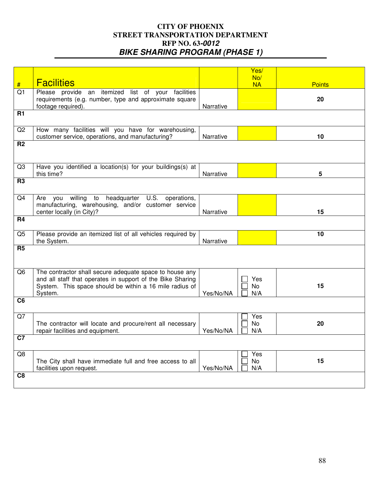|                |                                                                                                                                                                                             |           | Yes/<br>No/             |               |
|----------------|---------------------------------------------------------------------------------------------------------------------------------------------------------------------------------------------|-----------|-------------------------|---------------|
| $\#$           | <b>Facilities</b>                                                                                                                                                                           |           | <b>NA</b>               | <b>Points</b> |
| Q1             | Please provide an itemized list of your facilities<br>requirements (e.g. number, type and approximate square<br>footage required).                                                          | Narrative |                         | 20            |
| <b>R1</b>      |                                                                                                                                                                                             |           |                         |               |
| Q2             | How many facilities will you have for warehousing,<br>customer service, operations, and manufacturing?                                                                                      | Narrative |                         | 10            |
| R <sub>2</sub> |                                                                                                                                                                                             |           |                         |               |
| Q <sub>3</sub> | Have you identified a location(s) for your buildings(s) at<br>this time?                                                                                                                    | Narrative |                         | 5             |
| <b>R3</b>      |                                                                                                                                                                                             |           |                         |               |
| Q4             | willing<br>headquarter U.S.<br>to<br>operations,<br>Are<br>you<br>manufacturing, warehousing, and/or customer service<br>center locally (in City)?                                          | Narrative |                         | 15            |
| R <sub>4</sub> |                                                                                                                                                                                             |           |                         |               |
| Q <sub>5</sub> | Please provide an itemized list of all vehicles required by<br>the System.                                                                                                                  | Narrative |                         | 10            |
| R <sub>5</sub> |                                                                                                                                                                                             |           |                         |               |
| Q <sub>6</sub> | The contractor shall secure adequate space to house any<br>and all staff that operates in support of the Bike Sharing<br>System. This space should be within a 16 mile radius of<br>System. | Yes/No/NA | Yes<br><b>No</b><br>N/A | 15            |
| C <sub>6</sub> |                                                                                                                                                                                             |           |                         |               |
| Q7             | The contractor will locate and procure/rent all necessary<br>repair facilities and equipment.                                                                                               | Yes/No/NA | Yes<br>No<br>N/A        | 20            |
| C7             |                                                                                                                                                                                             |           |                         |               |
| Q8             | The City shall have immediate full and free access to all<br>facilities upon request.                                                                                                       | Yes/No/NA | Yes<br>No<br>N/A        | 15            |
| C <sub>8</sub> |                                                                                                                                                                                             |           |                         |               |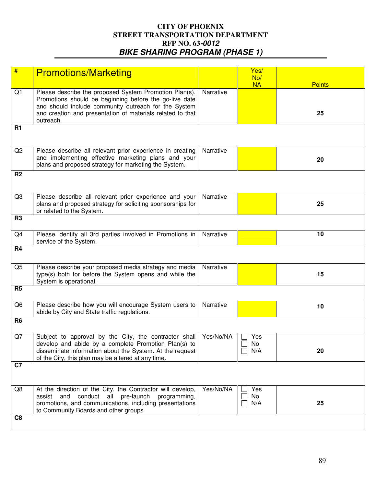| #              | <b>Promotions/Marketing</b>                                                                                                                                                                                                                         |           | Yes/<br>No/<br><b>NA</b> | <b>Points</b> |
|----------------|-----------------------------------------------------------------------------------------------------------------------------------------------------------------------------------------------------------------------------------------------------|-----------|--------------------------|---------------|
| Q <sub>1</sub> | Please describe the proposed System Promotion Plan(s).<br>Promotions should be beginning before the go-live date<br>and should include community outreach for the System<br>and creation and presentation of materials related to that<br>outreach. | Narrative |                          | 25            |
| <b>R1</b>      |                                                                                                                                                                                                                                                     |           |                          |               |
| Q2             | Please describe all relevant prior experience in creating<br>and implementing effective marketing plans and your<br>plans and proposed strategy for marketing the System.                                                                           | Narrative |                          | 20            |
| R <sub>2</sub> |                                                                                                                                                                                                                                                     |           |                          |               |
| Q3             | Please describe all relevant prior experience and your<br>plans and proposed strategy for soliciting sponsorships for<br>or related to the System.                                                                                                  | Narrative |                          | 25            |
| R <sub>3</sub> |                                                                                                                                                                                                                                                     |           |                          |               |
| Q4             | Please identify all 3rd parties involved in Promotions in<br>service of the System.                                                                                                                                                                 | Narrative |                          | 10            |
| <b>R4</b>      |                                                                                                                                                                                                                                                     |           |                          |               |
| Q <sub>5</sub> | Please describe your proposed media strategy and media<br>type(s) both for before the System opens and while the<br>System is operational.                                                                                                          | Narrative |                          | 15            |
| R <sub>5</sub> |                                                                                                                                                                                                                                                     |           |                          |               |
| Q <sub>6</sub> | Please describe how you will encourage System users to<br>abide by City and State traffic regulations.                                                                                                                                              | Narrative |                          | 10            |
| R <sub>6</sub> |                                                                                                                                                                                                                                                     |           |                          |               |
| Q7             | Subject to approval by the City, the contractor shall<br>develop and abide by a complete Promotion Plan(s) to<br>disseminate information about the System. At the request<br>of the City, this plan may be altered at any time.                     | Yes/No/NA | Yes<br>No<br>N/A         | 20            |
| C7             |                                                                                                                                                                                                                                                     |           |                          |               |
| Q8             | At the direction of the City, the Contractor will develop,<br>and conduct all pre-launch<br>programming,<br>assist<br>promotions, and communications, including presentations<br>to Community Boards and other groups.                              | Yes/No/NA | Yes<br>No<br>N/A         | 25            |
| C <sub>8</sub> |                                                                                                                                                                                                                                                     |           |                          |               |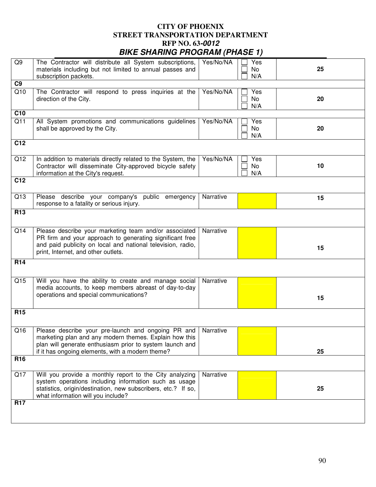| Q9               | The Contractor will distribute all System subscriptions,<br>materials including but not limited to annual passes and<br>subscription packets.                                                                                            | Yes/No/NA | Yes<br>No<br>N/A | 25 |
|------------------|------------------------------------------------------------------------------------------------------------------------------------------------------------------------------------------------------------------------------------------|-----------|------------------|----|
| C <sub>9</sub>   |                                                                                                                                                                                                                                          |           |                  |    |
| Q10              | The Contractor will respond to press inquiries at the<br>direction of the City.                                                                                                                                                          | Yes/No/NA | Yes<br>No<br>N/A | 20 |
| C <sub>10</sub>  |                                                                                                                                                                                                                                          |           |                  |    |
| $\overline{Q11}$ | All System promotions and communications guidelines<br>shall be approved by the City.                                                                                                                                                    | Yes/No/NA | Yes<br>No<br>N/A | 20 |
| C <sub>12</sub>  |                                                                                                                                                                                                                                          |           |                  |    |
| Q12              | In addition to materials directly related to the System, the<br>Contractor will disseminate City-approved bicycle safety<br>information at the City's request.                                                                           | Yes/No/NA | Yes<br>No<br>N/A | 10 |
| $\overline{C12}$ |                                                                                                                                                                                                                                          |           |                  |    |
| Q13              | Please describe your company's public emergency<br>response to a fatality or serious injury.                                                                                                                                             | Narrative |                  | 15 |
| R <sub>13</sub>  |                                                                                                                                                                                                                                          |           |                  |    |
| Q14              | Please describe your marketing team and/or associated<br>PR firm and your approach to generating significant free<br>and paid publicity on local and national television, radio,<br>print, Internet, and other outlets.                  | Narrative |                  | 15 |
| <b>R14</b>       |                                                                                                                                                                                                                                          |           |                  |    |
| Q15              | Will you have the ability to create and manage social<br>media accounts, to keep members abreast of day-to-day<br>operations and special communications?                                                                                 | Narrative |                  | 15 |
| R <sub>15</sub>  |                                                                                                                                                                                                                                          |           |                  |    |
| Q16              | Please describe your pre-launch and ongoing PR and   Narrative<br>marketing plan and any modern themes. Explain how this<br>plan will generate enthusiasm prior to system launch and<br>if it has ongoing elements, with a modern theme? |           |                  | 25 |
| R <sub>16</sub>  |                                                                                                                                                                                                                                          |           |                  |    |
| Q17              | Will you provide a monthly report to the City analyzing<br>system operations including information such as usage<br>statistics, origin/destination, new subscribers, etc.? If so,<br>what information will you include?                  | Narrative |                  | 25 |
| <b>R17</b>       |                                                                                                                                                                                                                                          |           |                  |    |
|                  |                                                                                                                                                                                                                                          |           |                  |    |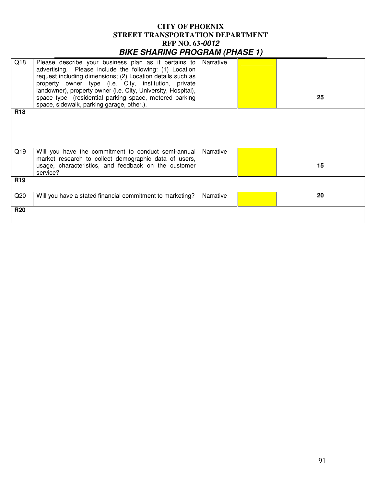| Q18             | Please describe your business plan as it pertains to<br>advertising. Please include the following: (1) Location<br>request including dimensions; (2) Location details such as<br>property owner type (i.e. City, institution, private<br>landowner), property owner (i.e. City, University, Hospital),<br>space type (residential parking space, metered parking<br>space, sidewalk, parking garage, other.). | Narrative | 25 |
|-----------------|---------------------------------------------------------------------------------------------------------------------------------------------------------------------------------------------------------------------------------------------------------------------------------------------------------------------------------------------------------------------------------------------------------------|-----------|----|
| <b>R18</b>      |                                                                                                                                                                                                                                                                                                                                                                                                               |           |    |
| Q19             | Will you have the commitment to conduct semi-annual<br>market research to collect demographic data of users,<br>usage, characteristics, and feedback on the customer<br>service?                                                                                                                                                                                                                              | Narrative | 15 |
| R <sub>19</sub> |                                                                                                                                                                                                                                                                                                                                                                                                               |           |    |
| Q20             | Will you have a stated financial commitment to marketing?                                                                                                                                                                                                                                                                                                                                                     | Narrative | 20 |
| <b>R20</b>      |                                                                                                                                                                                                                                                                                                                                                                                                               |           |    |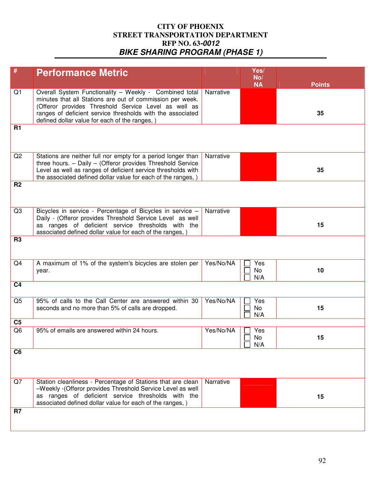| #              | <b>Performance Metric</b>                                                                                                                                                                                                                                                                   |           | Yes/             |               |
|----------------|---------------------------------------------------------------------------------------------------------------------------------------------------------------------------------------------------------------------------------------------------------------------------------------------|-----------|------------------|---------------|
|                |                                                                                                                                                                                                                                                                                             |           | No/<br><b>NA</b> | <b>Points</b> |
| Q1             | Overall System Functionality - Weekly - Combined total<br>minutes that all Stations are out of commission per week.<br>(Offeror provides Threshold Service Level as well as<br>ranges of deficient service thresholds with the associated<br>defined dollar value for each of the ranges, ) | Narrative |                  | 35            |
| <b>R1</b>      |                                                                                                                                                                                                                                                                                             |           |                  |               |
| Q2             | Stations are neither full nor empty for a period longer than<br>three hours. - Daily - (Offeror provides Threshold Service<br>Level as well as ranges of deficient service thresholds with<br>the associated defined dollar value for each of the ranges, )                                 | Narrative |                  | 35            |
| R <sub>2</sub> |                                                                                                                                                                                                                                                                                             |           |                  |               |
| Q3             | Bicycles in service - Percentage of Bicycles in service -<br>Daily - (Offeror provides Threshold Service Level as well<br>as ranges of deficient service thresholds with the<br>associated defined dollar value for each of the ranges, )                                                   | Narrative |                  | 15            |
| R <sub>3</sub> |                                                                                                                                                                                                                                                                                             |           |                  |               |
| Q4             | A maximum of 1% of the system's bicycles are stolen per<br>year.                                                                                                                                                                                                                            | Yes/No/NA | Yes<br>No<br>N/A | 10            |
| C <sub>4</sub> |                                                                                                                                                                                                                                                                                             |           |                  |               |
| Q <sub>5</sub> | 95% of calls to the Call Center are answered within 30<br>seconds and no more than 5% of calls are dropped.                                                                                                                                                                                 | Yes/No/NA | Yes<br>No<br>N/A | 15            |
| C <sub>5</sub> |                                                                                                                                                                                                                                                                                             |           |                  |               |
| Q <sub>6</sub> | 95% of emails are answered within 24 hours.                                                                                                                                                                                                                                                 | Yes/No/NA | Yes<br>No<br>N/A | 15            |
| C <sub>6</sub> |                                                                                                                                                                                                                                                                                             |           |                  |               |
| Q7             | Station cleanliness - Percentage of Stations that are clean<br>-Weekly - (Offeror provides Threshold Service Level as well<br>as ranges of deficient service thresholds with the<br>associated defined dollar value for each of the ranges, )                                               | Narrative |                  | 15            |
| R <sub>7</sub> |                                                                                                                                                                                                                                                                                             |           |                  |               |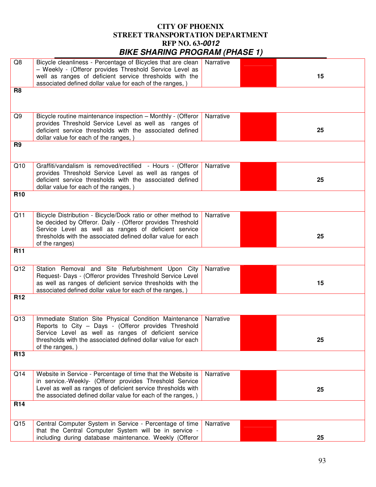|                 | <u>PINE ONALINO I NOGHAM (FIAOL I)</u>                                                                                                                                                                                                                               |           |    |
|-----------------|----------------------------------------------------------------------------------------------------------------------------------------------------------------------------------------------------------------------------------------------------------------------|-----------|----|
| Q8              | Bicycle cleanliness - Percentage of Bicycles that are clean<br>- Weekly - (Offeror provides Threshold Service Level as<br>well as ranges of deficient service thresholds with the<br>associated defined dollar value for each of the ranges, )                       | Narrative | 15 |
| R <sub>8</sub>  |                                                                                                                                                                                                                                                                      |           |    |
| Q9              | Bicycle routine maintenance inspection - Monthly - (Offeror<br>provides Threshold Service Level as well as ranges of<br>deficient service thresholds with the associated defined<br>dollar value for each of the ranges, )                                           | Narrative | 25 |
| R <sub>9</sub>  |                                                                                                                                                                                                                                                                      |           |    |
| Q10             | Graffiti/vandalism is removed/rectified - Hours - (Offeror<br>provides Threshold Service Level as well as ranges of<br>deficient service thresholds with the associated defined<br>dollar value for each of the ranges, )                                            | Narrative | 25 |
| <b>R10</b>      |                                                                                                                                                                                                                                                                      |           |    |
| Q11             | Bicycle Distribution - Bicycle/Dock ratio or other method to<br>be decided by Offeror. Daily - (Offeror provides Threshold<br>Service Level as well as ranges of deficient service<br>thresholds with the associated defined dollar value for each<br>of the ranges) | Narrative | 25 |
| <b>R11</b>      |                                                                                                                                                                                                                                                                      |           |    |
| Q12             | Station Removal and Site Refurbishment Upon City<br>Request- Days - (Offeror provides Threshold Service Level<br>as well as ranges of deficient service thresholds with the<br>associated defined dollar value for each of the ranges, )                             | Narrative | 15 |
| <b>R12</b>      |                                                                                                                                                                                                                                                                      |           |    |
| Q13             | Immediate Station Site Physical Condition Maintenance<br>Reports to City - Days - (Offeror provides Threshold<br>Service Level as well as ranges of deficient service<br>thresholds with the associated defined dollar value for each<br>of the ranges, )            | Narrative | 25 |
| <b>R13</b>      |                                                                                                                                                                                                                                                                      |           |    |
| Q14             | Website in Service - Percentage of time that the Website is<br>in service.-Weekly- (Offeror provides Threshold Service<br>Level as well as ranges of deficient service thresholds with<br>the associated defined dollar value for each of the ranges, )              | Narrative | 25 |
| R <sub>14</sub> |                                                                                                                                                                                                                                                                      |           |    |
| Q15             | Central Computer System in Service - Percentage of time<br>that the Central Computer System will be in service -<br>including during database maintenance. Weekly (Offeror                                                                                           | Narrative | 25 |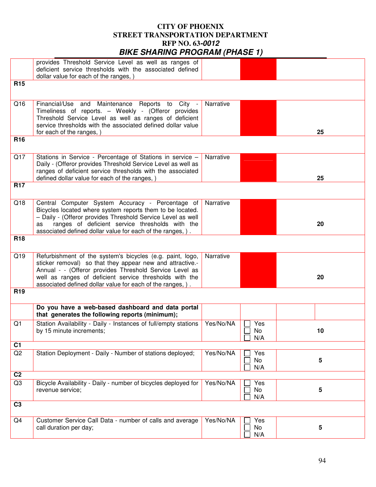|                 | <u>,, בטארו ון ווואט ו ווטעונדומונט שאומ</u>                                                                                                                                                                                                                                                               |           |                  |    |
|-----------------|------------------------------------------------------------------------------------------------------------------------------------------------------------------------------------------------------------------------------------------------------------------------------------------------------------|-----------|------------------|----|
|                 | provides Threshold Service Level as well as ranges of<br>deficient service thresholds with the associated defined<br>dollar value for each of the ranges, )                                                                                                                                                |           |                  |    |
| <b>R15</b>      |                                                                                                                                                                                                                                                                                                            |           |                  |    |
| Q16             | Maintenance Reports to City -<br>Financial/Use and<br>Timeliness of reports. - Weekly - (Offeror provides<br>Threshold Service Level as well as ranges of deficient<br>service thresholds with the associated defined dollar value<br>for each of the ranges, )                                            | Narrative |                  | 25 |
| <b>R16</b>      |                                                                                                                                                                                                                                                                                                            |           |                  |    |
| Q17             | Stations in Service - Percentage of Stations in service -<br>Daily - (Offeror provides Threshold Service Level as well as<br>ranges of deficient service thresholds with the associated<br>defined dollar value for each of the ranges, )                                                                  | Narrative |                  | 25 |
| <b>R17</b>      |                                                                                                                                                                                                                                                                                                            |           |                  |    |
| Q18             | Central Computer System Accuracy - Percentage of<br>Bicycles located where system reports them to be located.<br>- Daily - (Offeror provides Threshold Service Level as well<br>ranges of deficient service thresholds with the<br>as<br>associated defined dollar value for each of the ranges, ).        | Narrative |                  | 20 |
| <b>R18</b>      |                                                                                                                                                                                                                                                                                                            |           |                  |    |
| Q19             | Refurbishment of the system's bicycles (e.g. paint, logo,<br>sticker removal) so that they appear new and attractive.-<br>Annual - - (Offeror provides Threshold Service Level as<br>well as ranges of deficient service thresholds with the<br>associated defined dollar value for each of the ranges, ). | Narrative |                  | 20 |
| R <sub>19</sub> |                                                                                                                                                                                                                                                                                                            |           |                  |    |
|                 | Do you have a web-based dashboard and data portal<br>that generates the following reports (minimum);                                                                                                                                                                                                       |           |                  |    |
| Q1              | Station Availability - Daily - Instances of full/empty stations<br>by 15 minute increments;                                                                                                                                                                                                                | Yes/No/NA | Yes<br>No<br>N/A | 10 |
| $\overline{C1}$ |                                                                                                                                                                                                                                                                                                            |           |                  |    |
| Q2              | Station Deployment - Daily - Number of stations deployed;                                                                                                                                                                                                                                                  | Yes/No/NA | Yes<br>No<br>N/A | 5  |
| $\overline{C2}$ |                                                                                                                                                                                                                                                                                                            |           |                  |    |
| Q3              | Bicycle Availability - Daily - number of bicycles deployed for<br>revenue service;                                                                                                                                                                                                                         | Yes/No/NA | Yes<br>No<br>N/A | 5  |
| C <sub>3</sub>  |                                                                                                                                                                                                                                                                                                            |           |                  |    |
| Q4              | Customer Service Call Data - number of calls and average<br>call duration per day;                                                                                                                                                                                                                         | Yes/No/NA | Yes<br>No<br>N/A | 5  |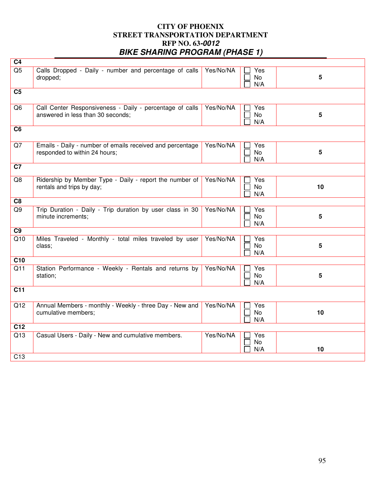| C <sub>4</sub>   |                                                                                               |           |                         |                 |
|------------------|-----------------------------------------------------------------------------------------------|-----------|-------------------------|-----------------|
| Q5               | Calls Dropped - Daily - number and percentage of calls<br>dropped;                            | Yes/No/NA | Yes<br>No<br>N/A        | 5               |
| C <sub>5</sub>   |                                                                                               |           |                         |                 |
| Q <sub>6</sub>   | Call Center Responsiveness - Daily - percentage of calls<br>answered in less than 30 seconds; | Yes/No/NA | Yes<br>No<br>N/A        | $5\phantom{a}$  |
| C <sub>6</sub>   |                                                                                               |           |                         |                 |
| Q7               | Emails - Daily - number of emails received and percentage<br>responded to within 24 hours;    | Yes/No/NA | Yes<br>No<br>N/A        | 5               |
| $\overline{C7}$  |                                                                                               |           |                         |                 |
| Q8               | Ridership by Member Type - Daily - report the number of<br>rentals and trips by day;          | Yes/No/NA | Yes<br><b>No</b><br>N/A | 10              |
| C <sub>8</sub>   |                                                                                               |           |                         |                 |
| Q9               | Trip Duration - Daily - Trip duration by user class in 30<br>minute increments;               | Yes/No/NA | Yes<br><b>No</b><br>N/A | $5\phantom{.0}$ |
| C <sub>9</sub>   |                                                                                               |           |                         |                 |
| Q10              | Miles Traveled - Monthly - total miles traveled by user<br>class;                             | Yes/No/NA | Yes<br>No<br>N/A        | 5               |
| C10              |                                                                                               |           |                         |                 |
| Q11              | Station Performance - Weekly - Rentals and returns by<br>station;                             | Yes/No/NA | Yes<br>No<br>N/A        | 5               |
| $\overline{C11}$ |                                                                                               |           |                         |                 |
| $\overline{Q12}$ | Annual Members - monthly - Weekly - three Day - New and<br>cumulative members;                | Yes/No/NA | Yes<br>No<br>N/A        | 10              |
| C <sub>12</sub>  |                                                                                               |           |                         |                 |
| Q13              | Casual Users - Daily - New and cumulative members.                                            | Yes/No/NA | Yes<br>No<br>N/A        | 10              |
| C13              |                                                                                               |           |                         |                 |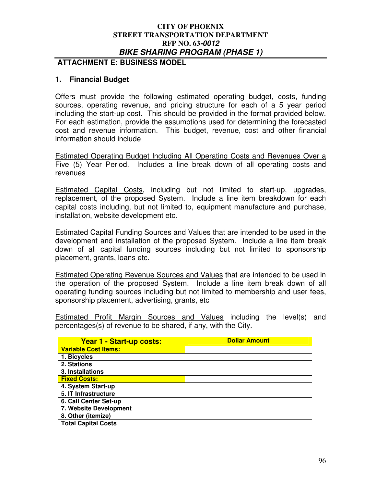## **ATTACHMENT E: BUSINESS MODEL**

## **1. Financial Budget**

Offers must provide the following estimated operating budget, costs, funding sources, operating revenue, and pricing structure for each of a 5 year period including the start-up cost. This should be provided in the format provided below. For each estimation, provide the assumptions used for determining the forecasted cost and revenue information. This budget, revenue, cost and other financial information should include

Estimated Operating Budget Including All Operating Costs and Revenues Over a Five (5) Year Period. Includes a line break down of all operating costs and revenues

Estimated Capital Costs, including but not limited to start-up, upgrades, replacement, of the proposed System. Include a line item breakdown for each capital costs including, but not limited to, equipment manufacture and purchase, installation, website development etc.

Estimated Capital Funding Sources and Values that are intended to be used in the development and installation of the proposed System. Include a line item break down of all capital funding sources including but not limited to sponsorship placement, grants, loans etc.

Estimated Operating Revenue Sources and Values that are intended to be used in the operation of the proposed System. Include a line item break down of all operating funding sources including but not limited to membership and user fees, sponsorship placement, advertising, grants, etc

Estimated Profit Margin Sources and Values including the level(s) and percentages(s) of revenue to be shared, if any, with the City.

| Year 1 - Start-up costs:    | <b>Dollar Amount</b> |
|-----------------------------|----------------------|
| <b>Variable Cost Items:</b> |                      |
| 1. Bicycles                 |                      |
| 2. Stations                 |                      |
| 3. Installations            |                      |
| <b>Fixed Costs:</b>         |                      |
| 4. System Start-up          |                      |
| 5. IT Infrastructure        |                      |
| 6. Call Center Set-up       |                      |
| 7. Website Development      |                      |
| 8. Other (itemize)          |                      |
| <b>Total Capital Costs</b>  |                      |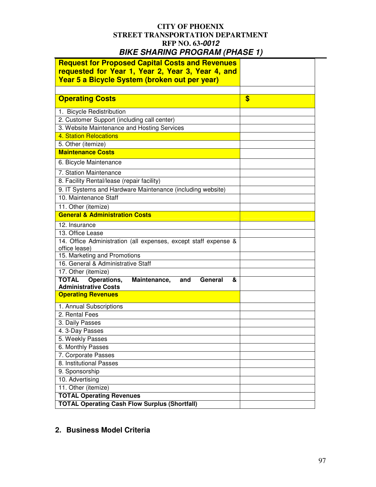| <b>Request for Proposed Capital Costs and Revenues</b><br>requested for Year 1, Year 2, Year 3, Year 4, and |    |
|-------------------------------------------------------------------------------------------------------------|----|
| Year 5 a Bicycle System (broken out per year)                                                               |    |
|                                                                                                             |    |
| <b>Operating Costs</b>                                                                                      | \$ |
| 1. Bicycle Redistribution                                                                                   |    |
| 2. Customer Support (including call center)                                                                 |    |
| 3. Website Maintenance and Hosting Services                                                                 |    |
| 4. Station Relocations                                                                                      |    |
| 5. Other (itemize)                                                                                          |    |
| <b>Maintenance Costs</b>                                                                                    |    |
| 6. Bicycle Maintenance                                                                                      |    |
| 7. Station Maintenance                                                                                      |    |
| 8. Facility Rental/lease (repair facility)                                                                  |    |
| 9. IT Systems and Hardware Maintenance (including website)                                                  |    |
| 10. Maintenance Staff                                                                                       |    |
| 11. Other (itemize)                                                                                         |    |
| <b>General &amp; Administration Costs</b>                                                                   |    |
| 12. Insurance                                                                                               |    |
| 13. Office Lease                                                                                            |    |
| 14. Office Administration (all expenses, except staff expense &<br>office lease)                            |    |
| 15. Marketing and Promotions                                                                                |    |
| 16. General & Administrative Staff                                                                          |    |
| 17. Other (itemize)                                                                                         |    |
| <b>TOTAL</b><br>Operations,<br>Maintenance,<br>General<br>and<br>&<br><b>Administrative Costs</b>           |    |
| <b>Operating Revenues</b>                                                                                   |    |
| 1. Annual Subscriptions                                                                                     |    |
| 2. Rental Fees                                                                                              |    |
| 3. Daily Passes                                                                                             |    |
| 4. 3-Day Passes                                                                                             |    |
| 5. Weekly Passes                                                                                            |    |
| 6. Monthly Passes                                                                                           |    |
| 7. Corporate Passes                                                                                         |    |
| 8. Institutional Passes                                                                                     |    |
| 9. Sponsorship                                                                                              |    |
| 10. Advertising                                                                                             |    |
| 11. Other (itemize)                                                                                         |    |
| <b>TOTAL Operating Revenues</b>                                                                             |    |
| <b>TOTAL Operating Cash Flow Surplus (Shortfall)</b>                                                        |    |

## **2. Business Model Criteria**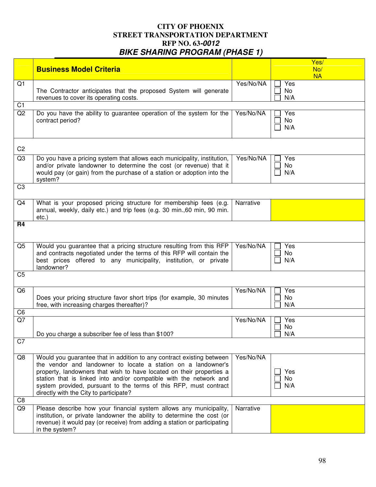|                | <b>Business Model Criteria</b>                                                                                                                                                                                                                                                                                                                                                                      |           | Yes/<br>No/<br><b>NA</b> |
|----------------|-----------------------------------------------------------------------------------------------------------------------------------------------------------------------------------------------------------------------------------------------------------------------------------------------------------------------------------------------------------------------------------------------------|-----------|--------------------------|
| Q1             | The Contractor anticipates that the proposed System will generate<br>revenues to cover its operating costs.                                                                                                                                                                                                                                                                                         | Yes/No/NA | Yes<br>No<br>N/A         |
| C <sub>1</sub> |                                                                                                                                                                                                                                                                                                                                                                                                     |           |                          |
| Q2             | Do you have the ability to guarantee operation of the system for the<br>contract period?                                                                                                                                                                                                                                                                                                            | Yes/No/NA | Yes<br>No<br>N/A         |
| C <sub>2</sub> |                                                                                                                                                                                                                                                                                                                                                                                                     |           |                          |
| Q3             | Do you have a pricing system that allows each municipality, institution,<br>and/or private landowner to determine the cost (or revenue) that it<br>would pay (or gain) from the purchase of a station or adoption into the<br>system?                                                                                                                                                               | Yes/No/NA | Yes<br>No<br>N/A         |
| C <sub>3</sub> |                                                                                                                                                                                                                                                                                                                                                                                                     |           |                          |
| Q4             | What is your proposed pricing structure for membership fees (e.g.<br>annual, weekly, daily etc.) and trip fees (e.g. 30 min., 60 min, 90 min.<br>$etc.$ )                                                                                                                                                                                                                                           | Narrative |                          |
| R <sub>4</sub> |                                                                                                                                                                                                                                                                                                                                                                                                     |           |                          |
| Q <sub>5</sub> | Would you guarantee that a pricing structure resulting from this RFP<br>and contracts negotiated under the terms of this RFP will contain the<br>best prices offered to any municipality, institution, or private<br>landowner?                                                                                                                                                                     | Yes/No/NA | Yes<br>No<br>N/A         |
| C <sub>5</sub> |                                                                                                                                                                                                                                                                                                                                                                                                     |           |                          |
| Q <sub>6</sub> | Does your pricing structure favor short trips (for example, 30 minutes<br>free, with increasing charges thereafter)?                                                                                                                                                                                                                                                                                | Yes/No/NA | Yes<br>No<br>N/A         |
| C <sub>6</sub> |                                                                                                                                                                                                                                                                                                                                                                                                     |           |                          |
| $Q$ 7          | Do you charge a subscriber fee of less than \$100?                                                                                                                                                                                                                                                                                                                                                  | Yes/No/NA | Yes<br>No<br>N/A         |
| C7             |                                                                                                                                                                                                                                                                                                                                                                                                     |           |                          |
| Q8             | Would you guarantee that in addition to any contract existing between<br>the vendor and landowner to locate a station on a landowner's<br>property, landowners that wish to have located on their properties a<br>station that is linked into and/or compatible with the network and<br>system provided, pursuant to the terms of this RFP, must contract<br>directly with the City to participate? | Yes/No/NA | Yes<br>No<br>N/A         |
| C <sub>8</sub> |                                                                                                                                                                                                                                                                                                                                                                                                     |           |                          |
| Q9             | Please describe how your financial system allows any municipality,<br>institution, or private landowner the ability to determine the cost (or<br>revenue) it would pay (or receive) from adding a station or participating<br>in the system?                                                                                                                                                        | Narrative |                          |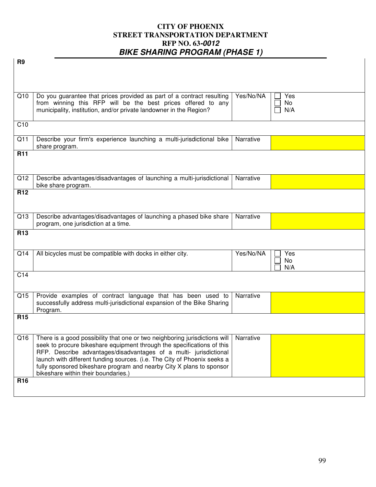| R <sub>9</sub>  |                                                                                                                                                      |           |           |
|-----------------|------------------------------------------------------------------------------------------------------------------------------------------------------|-----------|-----------|
|                 |                                                                                                                                                      |           |           |
|                 |                                                                                                                                                      |           |           |
| Q10             | Do you guarantee that prices provided as part of a contract resulting                                                                                | Yes/No/NA | Yes       |
|                 | from winning this RFP will be the best prices offered to any<br>municipality, institution, and/or private landowner in the Region?                   |           | No<br>N/A |
|                 |                                                                                                                                                      |           |           |
| C10             |                                                                                                                                                      |           |           |
| Q11             | Describe your firm's experience launching a multi-jurisdictional bike<br>share program.                                                              | Narrative |           |
| <b>R11</b>      |                                                                                                                                                      |           |           |
|                 |                                                                                                                                                      |           |           |
| Q12             | Describe advantages/disadvantages of launching a multi-jurisdictional<br>bike share program.                                                         | Narrative |           |
| R <sub>12</sub> |                                                                                                                                                      |           |           |
|                 |                                                                                                                                                      |           |           |
| Q13             | Describe advantages/disadvantages of launching a phased bike share                                                                                   | Narrative |           |
| R <sub>13</sub> | program, one jurisdiction at a time.                                                                                                                 |           |           |
|                 |                                                                                                                                                      |           |           |
| Q14             | All bicycles must be compatible with docks in either city.                                                                                           | Yes/No/NA | Yes       |
|                 |                                                                                                                                                      |           | No<br>N/A |
| C <sub>14</sub> |                                                                                                                                                      |           |           |
|                 |                                                                                                                                                      |           |           |
| Q <sub>15</sub> | Provide examples of contract language that has been used to<br>successfully address multi-jurisdictional expansion of the Bike Sharing               | Narrative |           |
|                 | Program.                                                                                                                                             |           |           |
| R <sub>15</sub> |                                                                                                                                                      |           |           |
|                 |                                                                                                                                                      |           |           |
| Q16             | There is a good possibility that one or two neighboring jurisdictions will<br>seek to procure bikeshare equipment through the specifications of this | Narrative |           |
|                 | RFP. Describe advantages/disadvantages of a multi- jurisdictional                                                                                    |           |           |
|                 | launch with different funding sources. (i.e. The City of Phoenix seeks a<br>fully sponsored bikeshare program and nearby City X plans to sponsor     |           |           |
|                 | bikeshare within their boundaries.)                                                                                                                  |           |           |
| <b>R16</b>      |                                                                                                                                                      |           |           |
|                 |                                                                                                                                                      |           |           |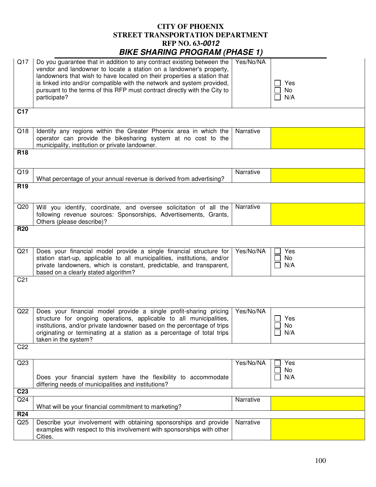|                        | <i>PINE SHAHING HOGHAM (HASE 1)</i>                                                                                                                                                                                                                                                                                                                                                             |           |                  |
|------------------------|-------------------------------------------------------------------------------------------------------------------------------------------------------------------------------------------------------------------------------------------------------------------------------------------------------------------------------------------------------------------------------------------------|-----------|------------------|
| Q17                    | Do you guarantee that in addition to any contract existing between the<br>vendor and landowner to locate a station on a landowner's property,<br>landowners that wish to have located on their properties a station that<br>is linked into and/or compatible with the network and system provided,<br>pursuant to the terms of this RFP must contract directly with the City to<br>participate? | Yes/No/NA | Yes<br>No<br>N/A |
| C <sub>17</sub>        |                                                                                                                                                                                                                                                                                                                                                                                                 |           |                  |
| Q18                    | Identify any regions within the Greater Phoenix area in which the<br>operator can provide the bikesharing system at no cost to the<br>municipality, institution or private landowner.                                                                                                                                                                                                           | Narrative |                  |
| <b>R18</b>             |                                                                                                                                                                                                                                                                                                                                                                                                 |           |                  |
| Q19<br>R <sub>19</sub> | What percentage of your annual revenue is derived from advertising?                                                                                                                                                                                                                                                                                                                             | Narrative |                  |
|                        |                                                                                                                                                                                                                                                                                                                                                                                                 |           |                  |
| Q20                    | Will you identify, coordinate, and oversee solicitation of all the<br>following revenue sources: Sponsorships, Advertisements, Grants,<br>Others (please describe)?                                                                                                                                                                                                                             | Narrative |                  |
| <b>R20</b>             |                                                                                                                                                                                                                                                                                                                                                                                                 |           |                  |
| Q21                    | Does your financial model provide a single financial structure for<br>station start-up, applicable to all municipalities, institutions, and/or<br>private landowners, which is constant, predictable, and transparent,<br>based on a clearly stated algorithm?                                                                                                                                  | Yes/No/NA | Yes<br>No<br>N/A |
| C <sub>21</sub>        |                                                                                                                                                                                                                                                                                                                                                                                                 |           |                  |
| Q22                    | Does your financial model provide a single profit-sharing pricing<br>structure for ongoing operations, applicable to all municipalities,<br>institutions, and/or private landowner based on the percentage of trips<br>originating or terminating at a station as a percentage of total trips<br>taken in the system?                                                                           | Yes/No/NA | Yes<br>No<br>N/A |
| C <sub>22</sub>        |                                                                                                                                                                                                                                                                                                                                                                                                 |           |                  |
| Q23                    | Does your financial system have the flexibility to accommodate<br>differing needs of municipalities and institutions?                                                                                                                                                                                                                                                                           | Yes/No/NA | Yes<br>No<br>N/A |
| C <sub>23</sub>        |                                                                                                                                                                                                                                                                                                                                                                                                 |           |                  |
| Q24                    | What will be your financial commitment to marketing?                                                                                                                                                                                                                                                                                                                                            | Narrative |                  |
| <b>R24</b>             |                                                                                                                                                                                                                                                                                                                                                                                                 |           |                  |
| Q25                    | Describe your involvement with obtaining sponsorships and provide<br>examples with respect to this involvement with sponsorships with other<br>Cities.                                                                                                                                                                                                                                          | Narrative |                  |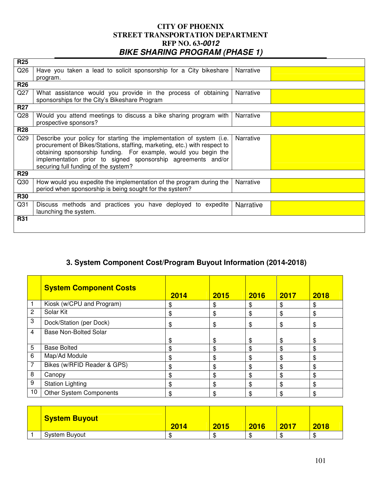| <b>R25</b>      |                                                                           |                  |  |
|-----------------|---------------------------------------------------------------------------|------------------|--|
| Q26             | Have you taken a lead to solicit sponsorship for a City bikeshare         | Narrative        |  |
|                 | program.                                                                  |                  |  |
| <b>R26</b>      |                                                                           |                  |  |
| Q27             | What assistance would you provide in the process of obtaining             | Narrative        |  |
|                 | sponsorships for the City's Bikeshare Program                             |                  |  |
| <b>R27</b>      |                                                                           |                  |  |
| Q28             | Would you attend meetings to discuss a bike sharing program with          | Narrative        |  |
|                 | prospective sponsors?                                                     |                  |  |
| <b>R28</b>      |                                                                           |                  |  |
| Q29             | Describe your policy for starting the implementation of system (i.e.      | Narrative        |  |
|                 | procurement of Bikes/Stations, staffing, marketing, etc.) with respect to |                  |  |
|                 | obtaining sponsorship funding. For example, would you begin the           |                  |  |
|                 | implementation prior to signed sponsorship agreements and/or              |                  |  |
|                 | securing full funding of the system?                                      |                  |  |
| <b>R29</b>      |                                                                           |                  |  |
| Q30             | How would you expedite the implementation of the program during the       | Narrative        |  |
|                 | period when sponsorship is being sought for the system?                   |                  |  |
| <b>R30</b>      |                                                                           |                  |  |
| Q <sub>31</sub> | Discuss methods and practices you have deployed to expedite               | <b>Narrative</b> |  |
|                 | launching the system.                                                     |                  |  |
| <b>R31</b>      |                                                                           |                  |  |
|                 |                                                                           |                  |  |
|                 |                                                                           |                  |  |

# **3. System Component Cost/Program Buyout Information (2014-2018)**

|                | <b>System Component Costs</b>  | 2014 | 2015 | 2016 | 2017 | 2018 |
|----------------|--------------------------------|------|------|------|------|------|
|                | Kiosk (w/CPU and Program)      | \$   | \$   | \$   | \$   | \$   |
| $\overline{2}$ | Solar Kit                      | \$   | \$   | \$   | \$   | \$   |
| 3              | Dock/Station (per Dock)        | \$   | \$   | \$   | \$   | \$   |
| $\overline{4}$ | <b>Base Non-Bolted Solar</b>   |      |      |      |      |      |
|                |                                | \$   | \$   | \$   | \$   | \$   |
| 5              | <b>Base Bolted</b>             | \$   | \$   | \$   | \$   | \$   |
| 6              | Map/Ad Module                  | \$   | \$   | \$   | \$   | \$   |
| $\overline{7}$ | Bikes (w/RFID Reader & GPS)    | \$   | \$   | \$   | \$   | \$   |
| 8              | Canopy                         | \$   | \$   | \$   | \$   | \$   |
| 9              | <b>Station Lighting</b>        | \$   | \$   | \$   | \$   | \$   |
| 10             | <b>Other System Components</b> | \$   | \$   | \$   | \$   | \$   |

| <b>System Buyout</b> | 2014    | 2015 | 2016    | 2017    | 2018 |
|----------------------|---------|------|---------|---------|------|
| <b>System Buyout</b> | ൈ<br>ъ. | æ    | ጦ<br>ъĐ | Φ<br>ъĐ | Ф    |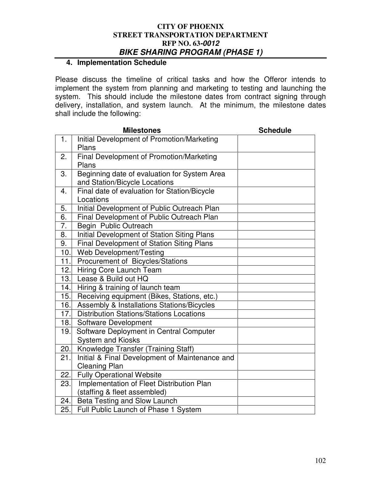## **4. Implementation Schedule**

Please discuss the timeline of critical tasks and how the Offeror intends to implement the system from planning and marketing to testing and launching the system. This should include the milestone dates from contract signing through delivery, installation, and system launch. At the minimum, the milestone dates shall include the following:

|                  | <b>Milestones</b>                                | <b>Schedule</b> |
|------------------|--------------------------------------------------|-----------------|
| 1.               | Initial Development of Promotion/Marketing       |                 |
|                  | Plans                                            |                 |
| 2.               | Final Development of Promotion/Marketing         |                 |
|                  | Plans                                            |                 |
| 3.               | Beginning date of evaluation for System Area     |                 |
|                  | and Station/Bicycle Locations                    |                 |
| 4.               | Final date of evaluation for Station/Bicycle     |                 |
|                  | Locations                                        |                 |
| 5.               | Initial Development of Public Outreach Plan      |                 |
| 6.               | Final Development of Public Outreach Plan        |                 |
| $\overline{7}$ . | Begin Public Outreach                            |                 |
| 8.               | Initial Development of Station Siting Plans      |                 |
| 9.               | <b>Final Development of Station Siting Plans</b> |                 |
| 10.              | Web Development/Testing                          |                 |
| 11.              | Procurement of Bicycles/Stations                 |                 |
| 12.              | <b>Hiring Core Launch Team</b>                   |                 |
| 13.              | Lease & Build out HQ                             |                 |
| 14.              | Hiring & training of launch team                 |                 |
| 15.              | Receiving equipment (Bikes, Stations, etc.)      |                 |
| 16.              | Assembly & Installations Stations/Bicycles       |                 |
| 17.              | <b>Distribution Stations/Stations Locations</b>  |                 |
| 18.              | Software Development                             |                 |
| 19.              | Software Deployment in Central Computer          |                 |
|                  | <b>System and Kiosks</b>                         |                 |
| 20.              | Knowledge Transfer (Training Staff)              |                 |
| 21.              | Initial & Final Development of Maintenance and   |                 |
|                  | <b>Cleaning Plan</b>                             |                 |
| 22.              | <b>Fully Operational Website</b>                 |                 |
| 23.              | Implementation of Fleet Distribution Plan        |                 |
|                  | (staffing & fleet assembled)                     |                 |
| 24.              | Beta Testing and Slow Launch                     |                 |
| 25.              | Full Public Launch of Phase 1 System             |                 |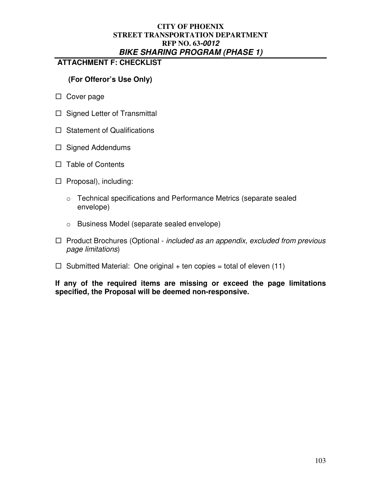## **ATTACHMENT F: CHECKLIST**

## **(For Offeror's Use Only)**

- □ Cover page
- $\Box$  Signed Letter of Transmittal
- $\Box$  Statement of Qualifications
- $\Box$  Signed Addendums
- $\Box$  Table of Contents
- $\Box$  Proposal), including:
	- o Technical specifications and Performance Metrics (separate sealed envelope)
	- o Business Model (separate sealed envelope)
- $\Box$  Product Brochures (Optional included as an appendix, excluded from previous page limitations)
- $\Box$  Submitted Material: One original + ten copies = total of eleven (11)

**If any of the required items are missing or exceed the page limitations specified, the Proposal will be deemed non-responsive.**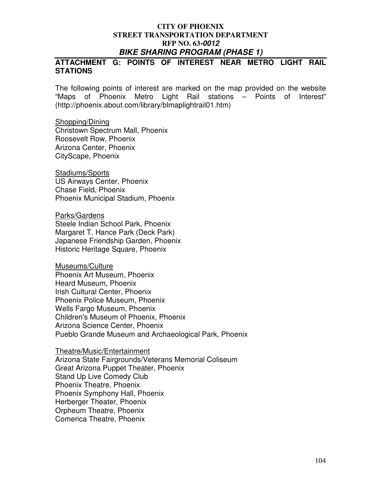## **ATTACHMENT G: POINTS OF INTEREST NEAR METRO LIGHT RAIL STATIONS**

The following points of interest are marked on the map provided on the website "Maps of Phoenix Metro Light Rail stations – Points of Interest" (http://phoenix.about.com/library/blmaplightrail01.htm)

#### Shopping/Dining Christown Spectrum Mall, Phoenix Roosevelt Row, Phoenix Arizona Center, Phoenix CityScape, Phoenix

Stadiums/Sports US Airways Center, Phoenix Chase Field, Phoenix Phoenix Municipal Stadium, Phoenix

Parks/Gardens Steele Indian School Park, Phoenix Margaret T. Hance Park (Deck Park) Japanese Friendship Garden, Phoenix Historic Heritage Square, Phoenix

Museums/Culture Phoenix Art Museum, Phoenix Heard Museum, Phoenix Irish Cultural Center, Phoenix Phoenix Police Museum, Phoenix Wells Fargo Museum, Phoenix Children's Museum of Phoenix, Phoenix Arizona Science Center, Phoenix Pueblo Grande Museum and Archaeological Park, Phoenix

## Theatre/Music/Entertainment Arizona State Fairgrounds/Veterans Memorial Coliseum Great Arizona Puppet Theater, Phoenix Stand Up Live Comedy Club Phoenix Theatre, Phoenix Phoenix Symphony Hall, Phoenix Herberger Theater, Phoenix Orpheum Theatre, Phoenix Comerica Theatre, Phoenix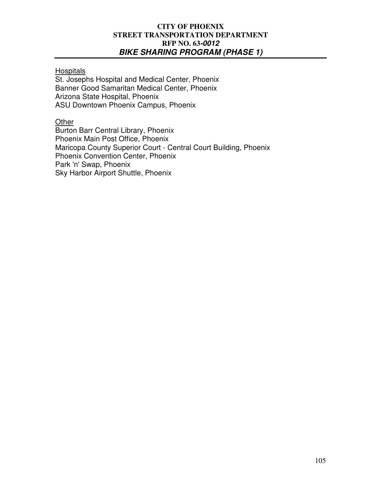**Hospitals** 

St. Josephs Hospital and Medical Center, Phoenix Banner Good Samaritan Medical Center, Phoenix Arizona State Hospital, Phoenix ASU Downtown Phoenix Campus, Phoenix

**Other** 

Burton Barr Central Library, Phoenix Phoenix Main Post Office, Phoenix Maricopa County Superior Court - Central Court Building, Phoenix Phoenix Convention Center, Phoenix Park 'n' Swap, Phoenix Sky Harbor Airport Shuttle, Phoenix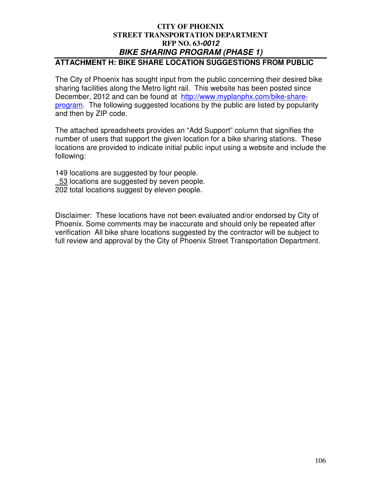# **ATTACHMENT H: BIKE SHARE LOCATION SUGGESTIONS FROM PUBLIC**

The City of Phoenix has sought input from the public concerning their desired bike sharing facilities along the Metro light rail. This website has been posted since December, 2012 and can be found at http://www.myplanphx.com/bike-shareprogram. The following suggested locations by the public are listed by popularity and then by ZIP code.

The attached spreadsheets provides an "Add Support" column that signifies the number of users that support the given location for a bike sharing stations. These locations are provided to indicate initial public input using a website and include the following:

- 149 locations are suggested by four people.
- 53 locations are suggested by seven people.
- 202 total locations suggest by eleven people.

Disclaimer: These locations have not been evaluated and/or endorsed by City of Phoenix. Some comments may be inaccurate and should only be repeated after verification All bike share locations suggested by the contractor will be subject to full review and approval by the City of Phoenix Street Transportation Department.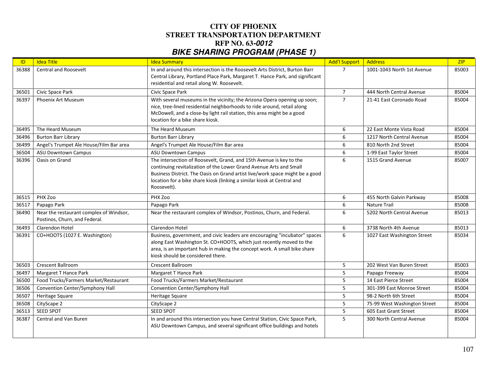| ID    | <b>Idea Title</b>                                                        | <b>Idea Summary</b>                                                                                                                                                                                                                                                                                                 | <b>Add'l Support</b> | Address                      | ZIP   |
|-------|--------------------------------------------------------------------------|---------------------------------------------------------------------------------------------------------------------------------------------------------------------------------------------------------------------------------------------------------------------------------------------------------------------|----------------------|------------------------------|-------|
| 36388 | <b>Central and Roosevelt</b>                                             | In and around this intersection is the Roosevelt Arts District, Burton Barr<br>Central Library, Portland Place Park, Margaret T. Hance Park, and significant<br>residential and retail along W. Roosevelt.                                                                                                          | $\overline{7}$       | 1001-1043 North 1st Avenue   | 85003 |
| 36501 | Civic Space Park                                                         | Civic Space Park                                                                                                                                                                                                                                                                                                    | $\overline{7}$       | 444 North Central Avenue     | 85004 |
| 36397 | Phoenix Art Museum                                                       | With several museums in the vicinity; the Arizona Opera opening up soon;<br>nice, tree-lined residential neighborhoods to ride around, retail along<br>McDowell, and a close-by light rail station, this area might be a good<br>location for a bike share kiosk.                                                   | $\overline{7}$       | 21-41 East Coronado Road     | 85004 |
| 36495 | The Heard Museum                                                         | The Heard Museum                                                                                                                                                                                                                                                                                                    | 6                    | 22 East Monte Vista Road     | 85004 |
| 36496 | <b>Burton Barr Library</b>                                               | <b>Burton Barr Library</b>                                                                                                                                                                                                                                                                                          | 6                    | 1217 North Central Avenue    | 85004 |
| 36499 | Angel's Trumpet Ale House/Film Bar area                                  | Angel's Trumpet Ale House/Film Bar area                                                                                                                                                                                                                                                                             | 6                    | 810 North 2nd Street         | 85004 |
| 36504 | <b>ASU Downtown Campus</b>                                               | <b>ASU Downtown Campus</b>                                                                                                                                                                                                                                                                                          | 6                    | 1-99 East Taylor Street      | 85004 |
| 36396 | Oasis on Grand                                                           | The intersection of Roosevelt, Grand, and 15th Avenue is key to the<br>continuing revitalization of the Lower Grand Avenue Arts and Small<br>Business District. The Oasis on Grand artist live/work space might be a good<br>location for a bike share kiosk (linking a similar kiosk at Central and<br>Roosevelt). | 6                    | 1515 Grand Avenue            | 85007 |
| 36515 | PHX Zoo                                                                  | PHX Zoo                                                                                                                                                                                                                                                                                                             | 6                    | 455 North Galvin Parkway     | 85008 |
| 36517 | Papago Park                                                              | Papago Park                                                                                                                                                                                                                                                                                                         | 6                    | Nature Trail                 | 85008 |
| 36490 | Near the restaurant complex of Windsor,<br>Postinos, Churn, and Federal. | Near the restaurant complex of Windsor, Postinos, Churn, and Federal.                                                                                                                                                                                                                                               | 6                    | 5202 North Central Avenue    | 85013 |
| 36493 | Clarendon Hotel                                                          | <b>Clarendon Hotel</b>                                                                                                                                                                                                                                                                                              | 6                    | 3738 North 4th Avenue        | 85013 |
| 36391 | CO+HOOTS (1027 E. Washington)                                            | Business, government, and civic leaders are encouraging "incubator" spaces<br>along East Washington St. CO+HOOTS, which just recently moved to the<br>area, is an important hub in making the concept work. A small bike share<br>kiosk should be considered there.                                                 | 6                    | 1027 East Washington Street  | 85034 |
| 36503 | Crescent Ballroom                                                        | Crescent Ballroom                                                                                                                                                                                                                                                                                                   | 5                    | 202 West Van Buren Street    | 85003 |
| 36497 | Margaret T Hance Park                                                    | Margaret T Hance Park                                                                                                                                                                                                                                                                                               | 5                    | Papago Freeway               | 85004 |
| 36500 | Food Trucks/Farmers Market/Restaurant                                    | Food Trucks/Farmers Market/Restaurant                                                                                                                                                                                                                                                                               | 5                    | 14 East Pierce Street        | 85004 |
| 36506 | Convention Center/Symphony Hall                                          | Convention Center/Symphony Hall                                                                                                                                                                                                                                                                                     | 5                    | 301-399 East Monroe Street   | 85004 |
| 36507 | Heritage Square                                                          | Heritage Square                                                                                                                                                                                                                                                                                                     | 5                    | 98-2 North 6th Street        | 85004 |
| 36508 | CityScape 2                                                              | CityScape 2                                                                                                                                                                                                                                                                                                         | 5                    | 75-99 West Washington Street | 85004 |
| 36513 | SEED SPOT                                                                | SEED SPOT                                                                                                                                                                                                                                                                                                           | 5                    | 605 East Grant Street        | 85004 |
| 36387 | <b>Central and Van Buren</b>                                             | In and around this intersection you have Central Station, Civic Space Park,<br>ASU Downtown Campus, and several significant office buildings and hotels                                                                                                                                                             | 5                    | 300 North Central Avenue     | 85004 |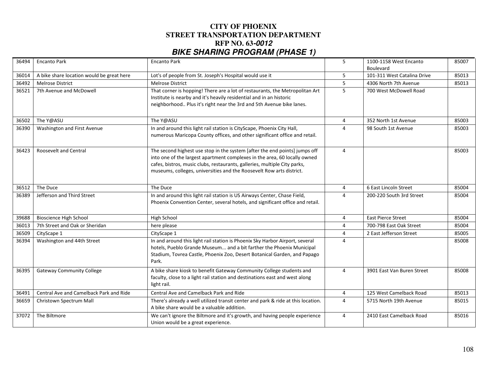| 36494 | <b>Encanto Park</b>                       | <b>Encanto Park</b>                                                                                                                                                                                                                                                                                          | 5              | 1100-1158 West Encanto<br>Boulevard | 85007 |
|-------|-------------------------------------------|--------------------------------------------------------------------------------------------------------------------------------------------------------------------------------------------------------------------------------------------------------------------------------------------------------------|----------------|-------------------------------------|-------|
| 36014 | A bike share location would be great here | Lot's of people from St. Joseph's Hospital would use it                                                                                                                                                                                                                                                      | 5              | 101-311 West Catalina Drive         | 85013 |
| 36492 | <b>Melrose District</b>                   | <b>Melrose District</b>                                                                                                                                                                                                                                                                                      | 5              | 4306 North 7th Avenue               | 85013 |
| 36521 | 7th Avenue and McDowell                   | That corner is hopping! There are a lot of restaurants, the Metropolitan Art<br>Institute is nearby and it's heavily residential and in an historic<br>neighborhood Plus it's right near the 3rd and 5th Avenue bike lanes.                                                                                  | 5              | 700 West McDowell Road              |       |
| 36502 | The Y@ASU                                 | The Y@ASU                                                                                                                                                                                                                                                                                                    | $\overline{4}$ | 352 North 1st Avenue                | 85003 |
| 36390 | Washington and First Avenue               | In and around this light rail station is CityScape, Phoenix City Hall,<br>numerous Maricopa County offices, and other significant office and retail.                                                                                                                                                         | $\overline{4}$ | 98 South 1st Avenue                 | 85003 |
| 36423 | <b>Roosevelt and Central</b>              | The second highest use stop in the system [after the end points] jumps off<br>into one of the largest apartment complexes in the area, 60 locally owned<br>cafes, bistros, music clubs, restaurants, galleries, multiple City parks,<br>museums, colleges, universities and the Roosevelt Row arts district. | $\overline{4}$ |                                     | 85003 |
| 36512 | The Duce                                  | The Duce                                                                                                                                                                                                                                                                                                     | 4              | 6 East Lincoln Street               | 85004 |
| 36389 | Jefferson and Third Street                | In and around this light rail station is US Airways Center, Chase Field,<br>Phoenix Convention Center, several hotels, and significant office and retail.                                                                                                                                                    | $\overline{4}$ | 200-220 South 3rd Street            | 85004 |
| 39688 | <b>Bioscience High School</b>             | High School                                                                                                                                                                                                                                                                                                  | $\overline{4}$ | <b>East Pierce Street</b>           | 85004 |
| 36013 | 7th Street and Oak or Sheridan            | here please                                                                                                                                                                                                                                                                                                  | $\overline{4}$ | 700-798 East Oak Street             | 85004 |
| 36509 | CityScape 1                               | CityScape 1                                                                                                                                                                                                                                                                                                  | $\overline{4}$ | 2 East Jefferson Street             | 85005 |
| 36394 | Washington and 44th Street                | In and around this light rail station is Phoenix Sky Harbor Airport, several<br>hotels, Pueblo Grande Museum and a bit farther the Phoenix Municipal<br>Stadium, Tovrea Castle, Phoenix Zoo, Desert Botanical Garden, and Papago<br>Park.                                                                    | $\Delta$       |                                     | 85008 |
| 36395 | <b>Gateway Community College</b>          | A bike share kiosk to benefit Gateway Community College students and<br>faculty, close to a light rail station and destinations east and west along<br>light rail.                                                                                                                                           | $\overline{4}$ | 3901 East Van Buren Street          | 85008 |
| 36491 | Central Ave and Camelback Park and Ride   | Central Ave and Camelback Park and Ride                                                                                                                                                                                                                                                                      | $\overline{4}$ | 125 West Camelback Road             | 85013 |
| 36659 | Christown Spectrum Mall                   | There's already a well utilized transit center and park & ride at this location.<br>A bike share would be a valuable addition.                                                                                                                                                                               | $\overline{4}$ | 5715 North 19th Avenue              | 85015 |
| 37072 | The Biltmore                              | We can't ignore the Biltmore and it's growth, and having people experience<br>Union would be a great experience.                                                                                                                                                                                             | $\overline{4}$ | 2410 East Camelback Road            | 85016 |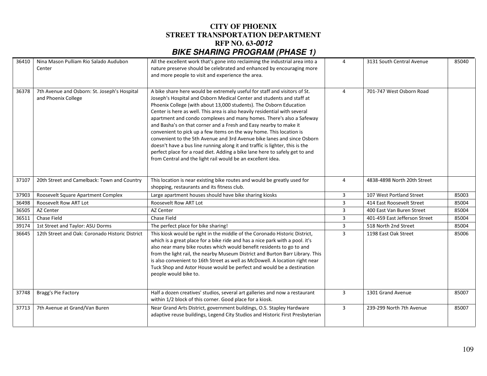| 36410 | Nina Mason Pulliam Rio Salado Audubon<br>Center                     | All the excellent work that's gone into reclaiming the industrial area into a<br>nature preserve should be celebrated and enhanced by encouraging more<br>and more people to visit and experience the area.                                                                                                                                                                                                                                                                                                                                                                                                                                                                                                                                                                                                                         | 4              | 3131 South Central Avenue     | 85040 |
|-------|---------------------------------------------------------------------|-------------------------------------------------------------------------------------------------------------------------------------------------------------------------------------------------------------------------------------------------------------------------------------------------------------------------------------------------------------------------------------------------------------------------------------------------------------------------------------------------------------------------------------------------------------------------------------------------------------------------------------------------------------------------------------------------------------------------------------------------------------------------------------------------------------------------------------|----------------|-------------------------------|-------|
| 36378 | 7th Avenue and Osborn: St. Joseph's Hospital<br>and Phoenix College | A bike share here would be extremely useful for staff and visitors of St.<br>Joseph's Hospital and Osborn Medical Center and students and staff at<br>Phoenix College (with about 13,000 students). The Osborn Education<br>Center is here as well. This area is also heavily residential with several<br>apartment and condo complexes and many homes. There's also a Safeway<br>and Basha's on that corner and a Fresh and Easy nearby to make it<br>convenient to pick up a few items on the way home. This location is<br>convenient to the 5th Avenue and 3rd Avenue bike lanes and since Osborn<br>doesn't have a bus line running along it and traffic is lighter, this is the<br>perfect place for a road diet. Adding a bike lane here to safely get to and<br>from Central and the light rail would be an excellent idea. | $\overline{4}$ | 701-747 West Osborn Road      |       |
| 37107 | 20th Street and Camelback: Town and Country                         | This location is near existing bike routes and would be greatly used for<br>shopping, restaurants and its fitness club.                                                                                                                                                                                                                                                                                                                                                                                                                                                                                                                                                                                                                                                                                                             | $\overline{4}$ | 4838-4898 North 20th Street   |       |
| 37903 | Roosevelt Square Apartment Complex                                  | Large apartment houses should have bike sharing kiosks                                                                                                                                                                                                                                                                                                                                                                                                                                                                                                                                                                                                                                                                                                                                                                              | 3              | 107 West Portland Street      | 85003 |
| 36498 | Roosevelt Row ART Lot                                               | Roosevelt Row ART Lot                                                                                                                                                                                                                                                                                                                                                                                                                                                                                                                                                                                                                                                                                                                                                                                                               | 3              | 414 East Roosevelt Street     | 85004 |
| 36505 | AZ Center                                                           | AZ Center                                                                                                                                                                                                                                                                                                                                                                                                                                                                                                                                                                                                                                                                                                                                                                                                                           | 3              | 400 East Van Buren Street     | 85004 |
| 36511 | Chase Field                                                         | Chase Field                                                                                                                                                                                                                                                                                                                                                                                                                                                                                                                                                                                                                                                                                                                                                                                                                         | 3              | 401-459 East Jefferson Street | 85004 |
| 39174 | 1st Street and Taylor: ASU Dorms                                    | The perfect place for bike sharing!                                                                                                                                                                                                                                                                                                                                                                                                                                                                                                                                                                                                                                                                                                                                                                                                 | $\overline{3}$ | 518 North 2nd Street          | 85004 |
| 36645 | 12th Street and Oak: Coronado Historic District                     | This kiosk would be right in the middle of the Coronado Historic District,<br>which is a great place for a bike ride and has a nice park with a pool. it's<br>also near many bike routes which would benefit residents to go to and<br>from the light rail, the nearby Museum District and Burton Barr Library. This<br>is also convenient to 16th Street as well as McDowell. A location right near<br>Tuck Shop and Astor House would be perfect and would be a destination<br>people would bike to.                                                                                                                                                                                                                                                                                                                              | 3              | 1198 East Oak Street          | 85006 |
| 37748 | Bragg's Pie Factory                                                 | Half a dozen creatives' studios, several art galleries and now a restaurant<br>within 1/2 block of this corner. Good place for a kiosk.                                                                                                                                                                                                                                                                                                                                                                                                                                                                                                                                                                                                                                                                                             | 3              | 1301 Grand Avenue             | 85007 |
| 37713 | 7th Avenue at Grand/Van Buren                                       | Near Grand Arts District, government buildings, O.S. Stapley Hardware<br>adaptive reuse buildings, Legend City Studios and Historic First Presbyterian                                                                                                                                                                                                                                                                                                                                                                                                                                                                                                                                                                                                                                                                              | 3              | 239-299 North 7th Avenue      | 85007 |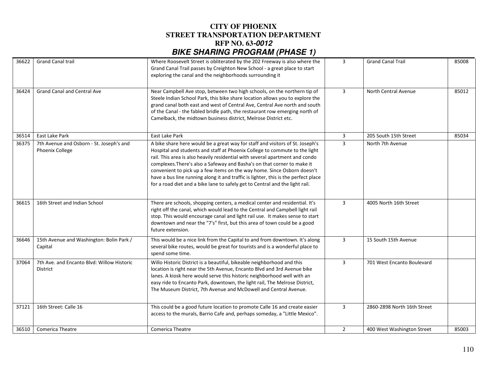| 36622 | <b>Grand Canal trail</b>                                    | Where Roosevelt Street is obliterated by the 202 Freeway is also where the<br>Grand Canal Trail passes by Creighton New School - a great place to start<br>exploring the canal and the neighborhoods surrounding it                                                                                                                                                                                                                                                                                                                                                     | 3              | <b>Grand Canal Trail</b>    | 85008 |
|-------|-------------------------------------------------------------|-------------------------------------------------------------------------------------------------------------------------------------------------------------------------------------------------------------------------------------------------------------------------------------------------------------------------------------------------------------------------------------------------------------------------------------------------------------------------------------------------------------------------------------------------------------------------|----------------|-----------------------------|-------|
| 36424 | <b>Grand Canal and Central Ave</b>                          | Near Campbell Ave stop, between two high schools, on the northern tip of<br>Steele Indian School Park, this bike share location allows you to explore the<br>grand canal both east and west of Central Ave, Central Ave north and south<br>of the Canal - the fabled bridle path, the restaurant row emerging north of<br>Camelback, the midtown business district, Melrose District etc.                                                                                                                                                                               | $\overline{3}$ | North Central Avenue        | 85012 |
| 36514 | East Lake Park                                              | East Lake Park                                                                                                                                                                                                                                                                                                                                                                                                                                                                                                                                                          | 3              | 205 South 15th Street       | 85034 |
| 36375 | 7th Avenue and Osborn - St. Joseph's and<br>Phoenix College | A bike share here would be a great way for staff and visitors of St. Joseph's<br>Hospital and students and staff at Phoenix College to commute to the light<br>rail. This area is also heavily residential with several apartment and condo<br>complexes. There's also a Safeway and Basha's on that corner to make it<br>convenient to pick up a few items on the way home. Since Osborn doesn't<br>have a bus line running along it and traffic is lighter, this is the perfect place<br>for a road diet and a bike lane to safely get to Central and the light rail. | 3              | North 7th Avenue            |       |
| 36615 | 16th Street and Indian School                               | There are schools, shopping centers, a medical center and residential. It's<br>right off the canal, which would lead to the Central and Campbell light rail<br>stop. This would encourage canal and light rail use. It makes sense to start<br>downtown and near the "7's" first, but this area of town could be a good<br>future extension.                                                                                                                                                                                                                            | $\overline{3}$ | 4005 North 16th Street      |       |
| 36646 | 15th Avenue and Washington: Bolin Park /<br>Capital         | This would be a nice link from the Capital to and from downtown. It's along<br>several bike routes, would be great for tourists and is a wonderful place to<br>spend some time.                                                                                                                                                                                                                                                                                                                                                                                         | $\mathbf{3}$   | 15 South 15th Avenue        |       |
| 37064 | 7th Ave. and Encanto Blvd: Willow Historic<br>District      | Willo Historic District is a beautiful, bikeable neighborhood and this<br>location is right near the 5th Avenue, Encanto Blvd and 3rd Avenue bike<br>lanes. A kiosk here would serve this historic neighborhood well with an<br>easy ride to Encanto Park, downtown, the light rail, The Melrose District,<br>The Museum District, 7th Avenue and McDowell and Central Avenue.                                                                                                                                                                                          | $\overline{3}$ | 701 West Encanto Boulevard  |       |
| 37121 | 16th Street: Calle 16                                       | This could be a good future location to promote Calle 16 and create easier<br>access to the murals, Barrio Cafe and, perhaps someday, a "Little Mexico".                                                                                                                                                                                                                                                                                                                                                                                                                | 3              | 2860-2898 North 16th Street |       |
| 36510 | <b>Comerica Theatre</b>                                     | Comerica Theatre                                                                                                                                                                                                                                                                                                                                                                                                                                                                                                                                                        | $\overline{2}$ | 400 West Washington Street  | 85003 |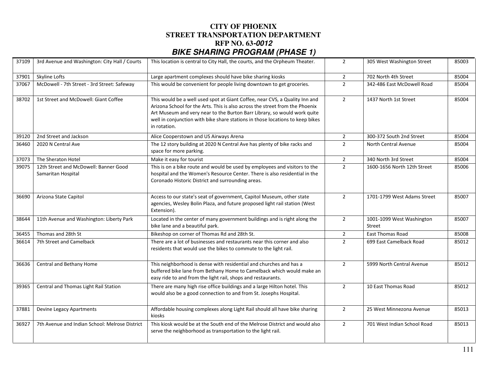| 37109 | 3rd Avenue and Washington: City Hall / Courts               | This location is central to City Hall, the courts, and the Orpheum Theater.                                                                                                                                                                                                                                                              | $\overline{2}$ | 305 West Washington Street          | 85003 |
|-------|-------------------------------------------------------------|------------------------------------------------------------------------------------------------------------------------------------------------------------------------------------------------------------------------------------------------------------------------------------------------------------------------------------------|----------------|-------------------------------------|-------|
| 37901 | Skyline Lofts                                               | Large apartment complexes should have bike sharing kiosks                                                                                                                                                                                                                                                                                | $\overline{2}$ | 702 North 4th Street                | 85004 |
| 37067 | McDowell - 7th Street - 3rd Street: Safeway                 | This would be convenient for people living downtown to get groceries.                                                                                                                                                                                                                                                                    | $\overline{2}$ | 342-486 East McDowell Road          | 85004 |
| 38702 | 1st Street and McDowell: Giant Coffee                       | This would be a well used spot at Giant Coffee, near CVS, a Quality Inn and<br>Arizona School for the Arts. This is also across the street from the Phoenix<br>Art Museum and very near to the Burton Barr Library, so would work quite<br>well in conjunction with bike share stations in those locations to keep bikes<br>in rotation. | $\overline{2}$ | 1437 North 1st Street               | 85004 |
| 39120 | 2nd Street and Jackson                                      | Alice Cooperstown and US Airways Arena                                                                                                                                                                                                                                                                                                   | $\overline{2}$ | 300-372 South 2nd Street            | 85004 |
| 36460 | 2020 N Central Ave                                          | The 12 story building at 2020 N Central Ave has plenty of bike racks and<br>space for more parking.                                                                                                                                                                                                                                      | $\overline{2}$ | North Central Avenue                | 85004 |
| 37073 | The Sheraton Hotel                                          | Make it easy for tourist                                                                                                                                                                                                                                                                                                                 | $\overline{2}$ | 340 North 3rd Street                | 85004 |
| 39075 | 12th Street and McDowell: Banner Good<br>Samaritan Hospital | This is on a bike route and would be used by employees and visitors to the<br>hospital and the Women's Resource Center. There is also residential in the<br>Coronado Historic District and surrounding areas.                                                                                                                            | $\overline{2}$ | 1600-1656 North 12th Street         | 85006 |
| 36690 | Arizona State Capitol                                       | Access to our state's seat of government, Capitol Museum, other state<br>agencies, Wesley Bolin Plaza, and future proposed light rail station (West<br>Extension).                                                                                                                                                                       | $\overline{2}$ | 1701-1799 West Adams Street         | 85007 |
| 38644 | 11th Avenue and Washington: Liberty Park                    | Located in the center of many government buildings and is right along the<br>bike lane and a beautiful park.                                                                                                                                                                                                                             | $\overline{2}$ | 1001-1099 West Washington<br>Street | 85007 |
| 36455 | Thomas and 28th St                                          | Bikeshop on corner of Thomas Rd and 28th St.                                                                                                                                                                                                                                                                                             | $\overline{2}$ | <b>East Thomas Road</b>             | 85008 |
| 36614 | 7th Street and Camelback                                    | There are a lot of businesses and restaurants near this corner and also<br>residents that would use the bikes to commute to the light rail.                                                                                                                                                                                              | $\overline{2}$ | 699 East Camelback Road             | 85012 |
| 36636 | Central and Bethany Home                                    | This neighborhood is dense with residential and churches and has a<br>buffered bike lane from Bethany Home to Camelback which would make an<br>easy ride to and from the light rail, shops and restaurants.                                                                                                                              | $\overline{2}$ | 5999 North Central Avenue           | 85012 |
| 39365 | Central and Thomas Light Rail Station                       | There are many high rise office buildings and a large Hilton hotel. This<br>would also be a good connection to and from St. Josephs Hospital.                                                                                                                                                                                            | $\overline{2}$ | 10 East Thomas Road                 | 85012 |
| 37881 | Devine Legacy Apartments                                    | Affordable housing complexes along Light Rail should all have bike sharing<br>kiosks                                                                                                                                                                                                                                                     | $\overline{2}$ | 25 West Minnezona Avenue            | 85013 |
| 36927 | 7th Avenue and Indian School: Melrose District              | This kiosk would be at the South end of the Melrose District and would also<br>serve the neighborhood as transportation to the light rail.                                                                                                                                                                                               | $\overline{2}$ | 701 West Indian School Road         | 85013 |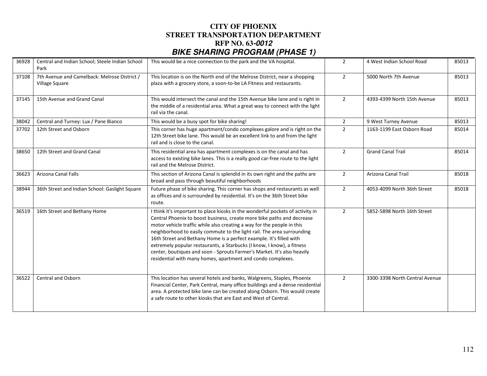| 36928 | Central and Indian School; Steele Indian School<br>Park        | This would be a nice connection to the park and the VA hospital.                                                                                                                                                                                                                                                                                                                                                                                                                                                                                                                                        | $\overline{2}$ | 4 West Indian School Road      | 85013 |
|-------|----------------------------------------------------------------|---------------------------------------------------------------------------------------------------------------------------------------------------------------------------------------------------------------------------------------------------------------------------------------------------------------------------------------------------------------------------------------------------------------------------------------------------------------------------------------------------------------------------------------------------------------------------------------------------------|----------------|--------------------------------|-------|
| 37108 | 7th Avenue and Camelback: Melrose District /<br>Village Square | This location is on the North end of the Melrose District, near a shopping<br>plaza with a grocery store, a soon-to-be LA Fitness and restaurants.                                                                                                                                                                                                                                                                                                                                                                                                                                                      | $\overline{2}$ | 5000 North 7th Avenue          | 85013 |
| 37145 | 15th Avenue and Grand Canal                                    | This would intersect the canal and the 15th Avenue bike lane and is right in<br>the middle of a residential area. What a great way to connect with the light<br>rail via the canal.                                                                                                                                                                                                                                                                                                                                                                                                                     | $\overline{2}$ | 4393-4399 North 15th Avenue    | 85013 |
| 38042 | Central and Turney: Lux / Pane Bianco                          | This would be a busy spot for bike sharing!                                                                                                                                                                                                                                                                                                                                                                                                                                                                                                                                                             | $\overline{2}$ | 9 West Turney Avenue           | 85013 |
| 37702 | 12th Street and Osborn                                         | This corner has huge apartment/condo complexes galore and is right on the<br>12th Street bike lane. This would be an excellent link to and from the light<br>rail and is close to the canal.                                                                                                                                                                                                                                                                                                                                                                                                            | $\overline{2}$ | 1163-1199 East Osborn Road     | 85014 |
| 38650 | 12th Street and Grand Canal                                    | This residential area has apartment complexes is on the canal and has<br>access to existing bike lanes. This is a really good car-free route to the light<br>rail and the Melrose District.                                                                                                                                                                                                                                                                                                                                                                                                             | $\overline{2}$ | <b>Grand Canal Trail</b>       | 85014 |
| 36623 | <b>Arizona Canal Falls</b>                                     | This section of Arizona Canal is splendid in its own right and the paths are<br>broad and pass through beautiful neighborhoods                                                                                                                                                                                                                                                                                                                                                                                                                                                                          | $\overline{2}$ | <b>Arizona Canal Trail</b>     | 85018 |
| 38944 | 36th Street and Indian School: Gaslight Square                 | Future phase of bike sharing. This corner has shops and restaurants as well<br>as offices and is surrounded by residential. It's on the 36th Street bike<br>route.                                                                                                                                                                                                                                                                                                                                                                                                                                      | $\overline{2}$ | 4053-4099 North 36th Street    | 85018 |
| 36519 | 16th Street and Bethany Home                                   | I think it's important to place kiosks in the wonderful pockets of activity in<br>Central Phoenix to boost business, create more bike paths and decrease<br>motor vehicle traffic while also creating a way for the people in this<br>neighborhood to easily commute to the light rail. The area surrounding<br>16th Street and Bethany Home is a perfect example. It's filled with<br>extremely popular restaurants, a Starbucks (I know, I know), a fitness<br>center, boutiques and soon - Sprouts Farmer's Market. It's also heavily<br>residential with many homes, apartment and condo complexes. | $\overline{2}$ | 5852-5898 North 16th Street    |       |
| 36522 | <b>Central and Osborn</b>                                      | This location has several hotels and banks, Walgreens, Staples, Phoenix<br>Financial Center, Park Central, many office buildings and a dense residential<br>area. A protected bike lane can be created along Osborn. This would create<br>a safe route to other kiosks that are East and West of Central.                                                                                                                                                                                                                                                                                               | $\overline{2}$ | 3300-3398 North Central Avenue |       |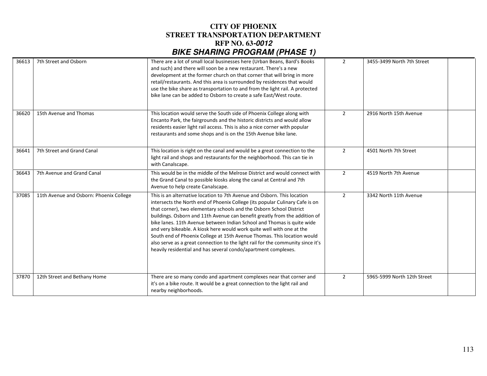| 36613 | 7th Street and Osborn                   | There are a lot of small local businesses here (Urban Beans, Bard's Books<br>and such) and there will soon be a new restaurant. There's a new<br>development at the former church on that corner that will bring in more<br>retail/restaurants. And this area is surrounded by residences that would<br>use the bike share as transportation to and from the light rail. A protected<br>bike lane can be added to Osborn to create a safe East/West route.                                                                                                                                                                                                                                      | $\overline{2}$ | 3455-3499 North 7th Street  |
|-------|-----------------------------------------|-------------------------------------------------------------------------------------------------------------------------------------------------------------------------------------------------------------------------------------------------------------------------------------------------------------------------------------------------------------------------------------------------------------------------------------------------------------------------------------------------------------------------------------------------------------------------------------------------------------------------------------------------------------------------------------------------|----------------|-----------------------------|
| 36620 | 15th Avenue and Thomas                  | This location would serve the South side of Phoenix College along with<br>Encanto Park, the fairgrounds and the historic districts and would allow<br>residents easier light rail access. This is also a nice corner with popular<br>restaurants and some shops and is on the 15th Avenue bike lane.                                                                                                                                                                                                                                                                                                                                                                                            | $\overline{2}$ | 2916 North 15th Avenue      |
| 36641 | 7th Street and Grand Canal              | This location is right on the canal and would be a great connection to the<br>light rail and shops and restaurants for the neighborhood. This can tie in<br>with Canalscape.                                                                                                                                                                                                                                                                                                                                                                                                                                                                                                                    | $\overline{2}$ | 4501 North 7th Street       |
| 36643 | 7th Avenue and Grand Canal              | This would be in the middle of the Melrose District and would connect with<br>the Grand Canal to possible kiosks along the canal at Central and 7th<br>Avenue to help create Canalscape.                                                                                                                                                                                                                                                                                                                                                                                                                                                                                                        | $\overline{2}$ | 4519 North 7th Avenue       |
| 37085 | 11th Avenue and Osborn: Phoenix College | This is an alternative location to 7th Avenue and Osborn. This location<br>intersects the North end of Phoenix College (its popular Culinary Cafe is on<br>that corner), two elementary schools and the Osborn School District<br>buildings. Osborn and 11th Avenue can benefit greatly from the addition of<br>bike lanes. 11th Avenue between Indian School and Thomas is quite wide<br>and very bikeable. A kiosk here would work quite well with one at the<br>South end of Phoenix College at 15th Avenue Thomas. This location would<br>also serve as a great connection to the light rail for the community since it's<br>heavily residential and has several condo/apartment complexes. | $\overline{2}$ | 3342 North 11th Avenue      |
| 37870 | 12th Street and Bethany Home            | There are so many condo and apartment complexes near that corner and<br>it's on a bike route. It would be a great connection to the light rail and<br>nearby neighborhoods.                                                                                                                                                                                                                                                                                                                                                                                                                                                                                                                     | $\overline{2}$ | 5965-5999 North 12th Street |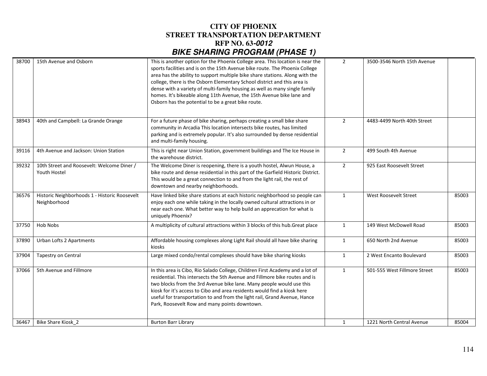| 38700 | 15th Avenue and Osborn                                        | This is another option for the Phoenix College area. This location is near the<br>sports facilities and is on the 15th Avenue bike route. The Phoenix College<br>area has the ability to support multiple bike share stations. Along with the<br>college, there is the Osborn Elementary School district and this area is<br>dense with a variety of multi-family housing as well as many single family<br>homes. It's bikeable along 11th Avenue, the 15th Avenue bike lane and<br>Osborn has the potential to be a great bike route. | $\overline{2}$ | 3500-3546 North 15th Avenue  |       |
|-------|---------------------------------------------------------------|----------------------------------------------------------------------------------------------------------------------------------------------------------------------------------------------------------------------------------------------------------------------------------------------------------------------------------------------------------------------------------------------------------------------------------------------------------------------------------------------------------------------------------------|----------------|------------------------------|-------|
| 38943 | 40th and Campbell: La Grande Orange                           | For a future phase of bike sharing, perhaps creating a small bike share<br>community in Arcadia This location intersects bike routes, has limited<br>parking and is extremely popular. It's also surrounded by dense residential<br>and multi-family housing.                                                                                                                                                                                                                                                                          | $\overline{2}$ | 4483-4499 North 40th Street  |       |
| 39116 | 4th Avenue and Jackson: Union Station                         | This is right near Union Station, government buildings and The Ice House in<br>the warehouse district.                                                                                                                                                                                                                                                                                                                                                                                                                                 | $\overline{2}$ | 499 South 4th Avenue         |       |
| 39232 | 10th Street and Roosevelt: Welcome Diner /<br>Youth Hostel    | The Welcome Diner is reopening, there is a youth hostel, Alwun House, a<br>bike route and dense residential in this part of the Garfield Historic District.<br>This would be a great connection to and from the light rail, the rest of<br>downtown and nearby neighborhoods.                                                                                                                                                                                                                                                          | $\overline{2}$ | 925 East Roosevelt Street    |       |
| 36576 | Historic Neighborhoods 1 - Historic Roosevelt<br>Neighborhood | Have linked bike share stations at each historic neighborhood so people can<br>enjoy each one while taking in the locally owned cultural attractions in or<br>near each one. What better way to help build an apprecation for what is<br>uniquely Phoenix?                                                                                                                                                                                                                                                                             | $\mathbf{1}$   | <b>West Roosevelt Street</b> | 85003 |
| 37750 | <b>Hob Nobs</b>                                               | A multiplicity of cultural attractions within 3 blocks of this hub. Great place                                                                                                                                                                                                                                                                                                                                                                                                                                                        | $\mathbf{1}$   | 149 West McDowell Road       | 85003 |
| 37890 | Urban Lofts 2 Apartments                                      | Affordable housing complexes along Light Rail should all have bike sharing<br>kiosks                                                                                                                                                                                                                                                                                                                                                                                                                                                   | $\mathbf{1}$   | 650 North 2nd Avenue         | 85003 |
| 37904 | Tapestry on Central                                           | Large mixed condo/rental complexes should have bike sharing kiosks                                                                                                                                                                                                                                                                                                                                                                                                                                                                     | $\mathbf{1}$   | 2 West Encanto Boulevard     | 85003 |
| 37066 | 5th Avenue and Fillmore                                       | In this area is Cibo, Rio Salado College, Children First Academy and a lot of<br>residential. This intersects the 5th Avenue and Fillmore bike routes and is<br>two blocks from the 3rd Avenue bike lane. Many people would use this<br>kiosk for it's access to Cibo and area residents would find a kiosk here<br>useful for transportation to and from the light rail, Grand Avenue, Hance<br>Park, Roosevelt Row and many points downtown.                                                                                         | $\mathbf{1}$   | 501-555 West Fillmore Street | 85003 |
| 36467 | <b>Bike Share Kiosk 2</b>                                     | <b>Burton Barr Library</b>                                                                                                                                                                                                                                                                                                                                                                                                                                                                                                             | $\mathbf{1}$   | 1221 North Central Avenue    | 85004 |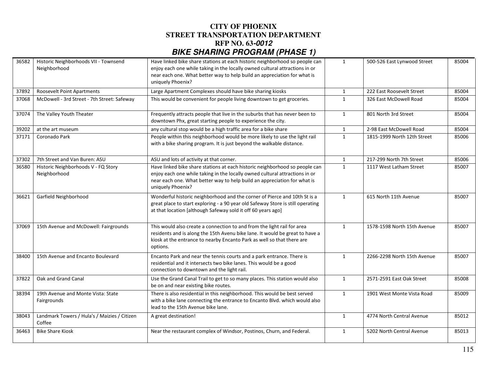| 36582 | Historic Neighborhoods VII - Townsend<br>Neighborhood  | Have linked bike share stations at each historic neighborhood so people can<br>enjoy each one while taking in the locally owned cultural attractions in or<br>near each one. What better way to help build an appreciation for what is<br>uniquely Phoenix? | 1            | 500-526 East Lynwood Street | 85004 |
|-------|--------------------------------------------------------|-------------------------------------------------------------------------------------------------------------------------------------------------------------------------------------------------------------------------------------------------------------|--------------|-----------------------------|-------|
| 37892 | <b>Roosevelt Point Apartments</b>                      | Large Apartment Complexes should have bike sharing kiosks                                                                                                                                                                                                   | $\mathbf{1}$ | 222 East Roosevelt Street   | 85004 |
| 37068 | McDowell - 3rd Street - 7th Street: Safeway            | This would be convenient for people living downtown to get groceries.                                                                                                                                                                                       | $\mathbf{1}$ | 326 East McDowell Road      | 85004 |
| 37074 | The Valley Youth Theater                               | Frequently attracts people that live in the suburbs that has never been to<br>downtown Phx, great starting people to experience the city.                                                                                                                   | $\mathbf{1}$ | 801 North 3rd Street        | 85004 |
| 39202 | at the art museum                                      | any cultural stop would be a high traffic area for a bike share                                                                                                                                                                                             | $\mathbf{1}$ | 2-98 East McDowell Road     | 85004 |
| 37171 | Coronado Park                                          | People within this neighborhood would be more likely to use the light rail<br>with a bike sharing program. It is just beyond the walkable distance.                                                                                                         | $\mathbf{1}$ | 1815-1999 North 12th Street | 85006 |
| 37302 | 7th Street and Van Buren: ASU                          | ASU and lots of activity at that corner.                                                                                                                                                                                                                    | $\mathbf{1}$ | 217-299 North 7th Street    | 85006 |
| 36580 | Historic Neighborhoods V - FQ Story<br>Neighborhood    | Have linked bike share stations at each historic neighborhood so people can<br>enjoy each one while taking in the locally owned cultural attractions in or<br>near each one. What better way to help build an appreciation for what is<br>uniquely Phoenix? | $\mathbf{1}$ | 1117 West Latham Street     | 85007 |
| 36621 | Garfield Neighborhood                                  | Wonderful historic neighborhood and the corner of Pierce and 10th St is a<br>great place to start exploring - a 90 year old Safeway Store is still operating<br>at that location [although Safeway sold it off 60 years ago]                                | $\mathbf{1}$ | 615 North 11th Avenue       | 85007 |
| 37069 | 15th Avenue and McDowell: Fairgrounds                  | This would also create a connection to and from the light rail for area<br>residents and is along the 15th Avenu bike lane. It would be great to have a<br>kiosk at the entrance to nearby Encanto Park as well so that there are<br>options.               | $\mathbf{1}$ | 1578-1598 North 15th Avenue | 85007 |
| 38400 | 15th Avenue and Encanto Boulevard                      | Encanto Park and near the tennis courts and a park entrance. There is<br>residential and it intersects two bike lanes. This would be a good<br>connection to downtown and the light rail.                                                                   | $\mathbf{1}$ | 2266-2298 North 15th Avenue | 85007 |
| 37822 | Oak and Grand Canal                                    | Use the Grand Canal Trail to get to so many places. This station would also<br>be on and near existing bike routes.                                                                                                                                         | 1            | 2571-2591 East Oak Street   | 85008 |
| 38394 | 19th Avenue and Monte Vista: State<br>Fairgrounds      | There is also residential in this neighborhood. This would be best served<br>with a bike lane connecting the entrance to Encanto Blvd. which would also<br>lead to the 15th Avenue bike lane.                                                               | $\mathbf{1}$ | 1901 West Monte Vista Road  | 85009 |
| 38043 | Landmark Towers / Hula's / Maizies / Citizen<br>Coffee | A great destination!                                                                                                                                                                                                                                        | $\mathbf{1}$ | 4774 North Central Avenue   | 85012 |
| 36463 | <b>Bike Share Kiosk</b>                                | Near the restaurant complex of Windsor, Postinos, Churn, and Federal.                                                                                                                                                                                       | $\mathbf{1}$ | 5202 North Central Avenue   | 85013 |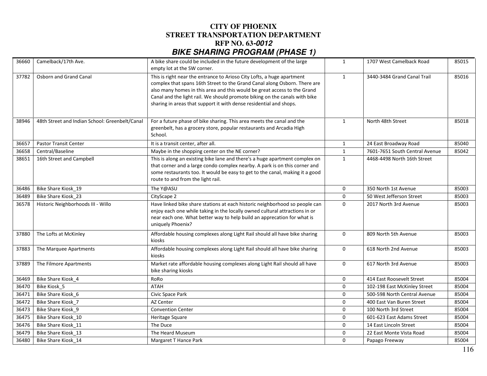| 36660 | Camelback/17th Ave.                            | A bike share could be included in the future development of the large<br>empty lot at the SW corner.                                                                                                                                                                                                                                                                                | 1            | 1707 West Camelback Road       | 85015 |
|-------|------------------------------------------------|-------------------------------------------------------------------------------------------------------------------------------------------------------------------------------------------------------------------------------------------------------------------------------------------------------------------------------------------------------------------------------------|--------------|--------------------------------|-------|
| 37782 | Osborn and Grand Canal                         | This is right near the entrance to Arioso City Lofts, a huge apartment<br>complex that spans 16th Street to the Grand Canal along Osborn. There are<br>also many homes in this area and this would be great access to the Grand<br>Canal and the light rail. We should promote biking on the canals with bike<br>sharing in areas that support it with dense residential and shops. | $\mathbf{1}$ | 3440-3484 Grand Canal Trail    | 85016 |
| 38946 | 48th Street and Indian School: Greenbelt/Canal | For a future phase of bike sharing. This area meets the canal and the<br>greenbelt, has a grocery store, popular restaurants and Arcadia High<br>School.                                                                                                                                                                                                                            | $\mathbf{1}$ | North 48th Street              | 85018 |
| 36657 | <b>Pastor Transit Center</b>                   | It is a transit center, after all.                                                                                                                                                                                                                                                                                                                                                  | $\mathbf{1}$ | 24 East Broadway Road          | 85040 |
| 36658 | Central/Baseline                               | Maybe in the shopping center on the NE corner?                                                                                                                                                                                                                                                                                                                                      | $\mathbf{1}$ | 7601-7651 South Central Avenue | 85042 |
| 38651 | 16th Street and Campbell                       | This is along an existing bike lane and there's a huge apartment complex on<br>that corner and a large condo complex nearby. A park is on this corner and<br>some restaurants too. It would be easy to get to the canal, making it a good<br>route to and from the light rail.                                                                                                      | $\mathbf{1}$ | 4468-4498 North 16th Street    |       |
| 36486 | Bike Share Kiosk 19                            | The Y@ASU                                                                                                                                                                                                                                                                                                                                                                           | 0            | 350 North 1st Avenue           | 85003 |
| 36489 | Bike Share Kiosk 23                            | CityScape 2                                                                                                                                                                                                                                                                                                                                                                         | $\mathbf 0$  | 50 West Jefferson Street       | 85003 |
| 36578 | Historic Neighborhoods III - Willo             | Have linked bike share stations at each historic neighborhood so people can<br>enjoy each one while taking in the locally owned cultural attractions in or<br>near each one. What better way to help build an apprecation for what is<br>uniquely Phoenix?                                                                                                                          | $\mathbf 0$  | 2017 North 3rd Avenue          | 85003 |
| 37880 | The Lofts at McKinley                          | Affordable housing complexes along Light Rail should all have bike sharing<br>kiosks                                                                                                                                                                                                                                                                                                | $\mathbf 0$  | 809 North 5th Avenue           | 85003 |
| 37883 | The Marquee Apartments                         | Affordable housing complexes along Light Rail should all have bike sharing<br>kiosks                                                                                                                                                                                                                                                                                                | $\Omega$     | 618 North 2nd Avenue           | 85003 |
| 37889 | The Filmore Apartments                         | Market rate affordable housing complexes along Light Rail should all have<br>bike sharing kiosks                                                                                                                                                                                                                                                                                    | $\mathbf{0}$ | 617 North 3rd Avenue           | 85003 |
| 36469 | Bike Share Kiosk_4                             | RoRo                                                                                                                                                                                                                                                                                                                                                                                | $\mathbf 0$  | 414 East Roosevelt Street      | 85004 |
| 36470 | Bike Kiosk 5                                   | <b>ATAH</b>                                                                                                                                                                                                                                                                                                                                                                         | $\mathbf 0$  | 102-198 East McKinley Street   | 85004 |
| 36471 | Bike Share Kiosk_6                             | Civic Space Park                                                                                                                                                                                                                                                                                                                                                                    | $\mathbf 0$  | 500-598 North Central Avenue   | 85004 |
| 36472 | Bike Share Kiosk 7                             | <b>AZ Center</b>                                                                                                                                                                                                                                                                                                                                                                    | $\mathbf 0$  | 400 East Van Buren Street      | 85004 |
| 36473 | Bike Share Kiosk 9                             | <b>Convention Center</b>                                                                                                                                                                                                                                                                                                                                                            | $\Omega$     | 100 North 3rd Street           | 85004 |
| 36475 | Bike Share Kiosk 10                            | Heritage Square                                                                                                                                                                                                                                                                                                                                                                     | $\mathbf 0$  | 601-623 East Adams Street      | 85004 |
| 36476 | Bike Share Kiosk_11                            | The Duce                                                                                                                                                                                                                                                                                                                                                                            | $\mathbf 0$  | 14 East Lincoln Street         | 85004 |
| 36479 | Bike Share Kiosk 13                            | The Heard Museum                                                                                                                                                                                                                                                                                                                                                                    | $\mathbf 0$  | 22 East Monte Vista Road       | 85004 |
| 36480 | Bike Share Kiosk 14                            | Margaret T Hance Park                                                                                                                                                                                                                                                                                                                                                               | $\mathbf 0$  | Papago Freeway                 | 85004 |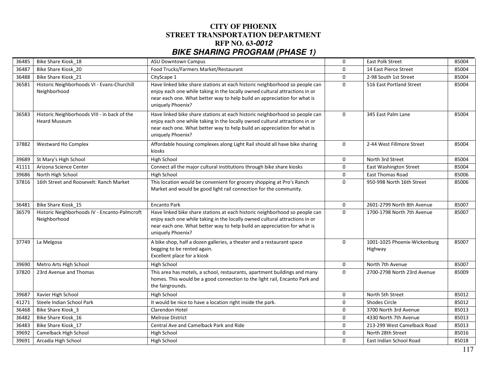| 36485 | Bike Share Kiosk 18                                                 | <b>ASU Downtown Campus</b>                                                                                                                                                                                                                                  | $\mathbf 0$  | <b>East Polk Street</b>                 | 85004 |
|-------|---------------------------------------------------------------------|-------------------------------------------------------------------------------------------------------------------------------------------------------------------------------------------------------------------------------------------------------------|--------------|-----------------------------------------|-------|
| 36487 | Bike Share Kiosk 20                                                 | Food Trucks/Farmers Market/Restaurant                                                                                                                                                                                                                       | $\mathbf 0$  | 14 East Pierce Street                   | 85004 |
| 36488 | Bike Share Kiosk 21                                                 | CityScape 1                                                                                                                                                                                                                                                 | $\mathbf 0$  | 2-98 South 1st Street                   | 85004 |
| 36581 | Historic Neighborhoods VI - Evans-Churchill<br>Neighborhood         | Have linked bike share stations at each historic neighborhood so people can<br>enjoy each one while taking in the locally owned cultural attractions in or<br>near each one. What better way to help build an appreciation for what is<br>uniquely Phoenix? | $\mathbf{0}$ | 516 East Portland Street                | 85004 |
| 36583 | Historic Neighborhoods VIII - in back of the<br><b>Heard Museum</b> | Have linked bike share stations at each historic neighborhood so people can<br>enjoy each one while taking in the locally owned cultural attractions in or<br>near each one. What better way to help build an appreciation for what is<br>uniquely Phoenix? | $\mathbf 0$  | 345 East Palm Lane                      | 85004 |
| 37882 | Westward Ho Complex                                                 | Affordable housing complexes along Light Rail should all have bike sharing<br>kiosks                                                                                                                                                                        | $\mathbf 0$  | 2-44 West Fillmore Street               | 85004 |
| 39689 | St Mary's High School                                               | High School                                                                                                                                                                                                                                                 | $\mathbf 0$  | North 3rd Street                        | 85004 |
| 41111 | Arizona Science Center                                              | Connect all the major cultural institutions through bike share kiosks                                                                                                                                                                                       | $\Omega$     | <b>East Washington Street</b>           | 85004 |
| 39686 | North High School                                                   | High School                                                                                                                                                                                                                                                 | $\mathbf 0$  | East Thomas Road                        | 85006 |
| 37816 | 16th Street and Roosevelt: Ranch Market                             | This location would be convenient for grocery shopping at Pro's Ranch<br>Market and would be good light rail connection for the community.                                                                                                                  | $\Omega$     | 950-998 North 16th Street               | 85006 |
|       |                                                                     |                                                                                                                                                                                                                                                             |              |                                         |       |
| 36481 | Bike Share Kiosk 15                                                 | <b>Encanto Park</b>                                                                                                                                                                                                                                         | 0            | 2601-2799 North 8th Avenue              | 85007 |
| 36579 | Historic Neighborhoods IV - Encanto-Palmcroft<br>Neighborhood       | Have linked bike share stations at each historic neighborhood so people can<br>enjoy each one while taking in the locally owned cultural attractions in or<br>near each one. What better way to help build an appreciation for what is<br>uniquely Phoenix? | $\mathbf 0$  | 1700-1798 North 7th Avenue              | 85007 |
| 37749 | La Melgosa                                                          | A bike shop, half a dozen galleries, a theater and a restaurant space<br>begging to be rented again.<br>Excellent place for a kiosk                                                                                                                         | $\mathbf 0$  | 1001-1025 Phoenix-Wickenburg<br>Highway | 85007 |
| 39690 | Metro Arts High School                                              | <b>High School</b>                                                                                                                                                                                                                                          | $\mathbf 0$  | North 7th Avenue                        | 85007 |
| 37820 | 23rd Avenue and Thomas                                              | This area has motels, a school, restaurants, apartment buildings and many<br>homes. This would be a good connection to the light rail, Encanto Park and<br>the fairgrounds.                                                                                 | $\mathbf 0$  | 2700-2798 North 23rd Avenue             | 85009 |
| 39687 | Xavier High School                                                  | High School                                                                                                                                                                                                                                                 | $\mathbf 0$  | North 5th Street                        | 85012 |
| 41271 | Steele Indian School Park                                           | It would be nice to have a location right inside the park.                                                                                                                                                                                                  | $\mathbf 0$  | <b>Shodes Circle</b>                    | 85012 |
| 36468 | Bike Share Kiosk 3                                                  | <b>Clarendon Hotel</b>                                                                                                                                                                                                                                      | $\Omega$     | 3700 North 3rd Avenue                   | 85013 |
| 36482 | Bike Share Kiosk 16                                                 | <b>Melrose District</b>                                                                                                                                                                                                                                     | $\mathbf 0$  | 4330 North 7th Avenue                   | 85013 |
| 36483 | Bike Share Kiosk 17                                                 | Central Ave and Camelback Park and Ride                                                                                                                                                                                                                     | $\Omega$     | 213-299 West Camelback Road             | 85013 |
| 39692 | Camelback High School                                               | <b>High School</b>                                                                                                                                                                                                                                          | $\Omega$     | North 28th Street                       | 85016 |